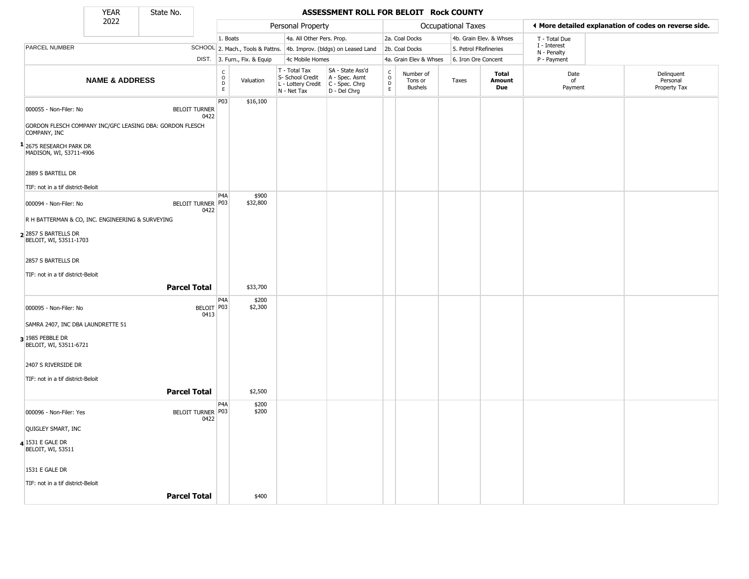State No.

### **YEAR** State No. **ASSESSMENT ROLL FOR BELOIT Rock COUNTY**

|                                                    | 2022                      |                                                                                          |                                                  |                              | Personal Property                                                                       |                                                                     |                                |                                        | Occupational Taxes    |                               |                             | ◀ More detailed explanation of codes on reverse side. |
|----------------------------------------------------|---------------------------|------------------------------------------------------------------------------------------|--------------------------------------------------|------------------------------|-----------------------------------------------------------------------------------------|---------------------------------------------------------------------|--------------------------------|----------------------------------------|-----------------------|-------------------------------|-----------------------------|-------------------------------------------------------|
|                                                    |                           |                                                                                          | 1. Boats                                         |                              | 4a. All Other Pers. Prop.                                                               |                                                                     |                                | 2a. Coal Docks                         |                       | 4b. Grain Elev. & Whses       | T - Total Due               |                                                       |
| PARCEL NUMBER                                      |                           |                                                                                          |                                                  |                              |                                                                                         | SCHOOL 2. Mach., Tools & Pattns. 4b. Improv. (bldgs) on Leased Land |                                | 2b. Coal Docks                         | 5. Petrol FRefineries |                               | I - Interest<br>N - Penalty |                                                       |
|                                                    |                           |                                                                                          |                                                  | DIST. 3. Furn., Fix. & Equip | 4c Mobile Homes                                                                         |                                                                     |                                | 4a. Grain Elev & Whses                 | 6. Iron Ore Concent   |                               | P - Payment                 |                                                       |
|                                                    | <b>NAME &amp; ADDRESS</b> |                                                                                          | $_{\rm o}^{\rm c}$<br>$\mathsf D$<br>$\mathsf E$ | Valuation                    | T - Total Tax<br>S- School Credit<br>L - Lottery Credit   C - Spec. Chrg<br>N - Net Tax | SA - State Ass'd<br>A - Spec. Asmt<br>D - Del Chrg                  | $\rm _o^C$<br>$\mathsf D$<br>E | Number of<br>Tons or<br><b>Bushels</b> | Taxes                 | <b>Total</b><br>Amount<br>Due | Date<br>of<br>Payment       | Delinquent<br>Personal<br>Property Tax                |
| 000055 - Non-Filer: No<br>COMPANY, INC             |                           | <b>BELOIT TURNER</b><br>0422<br>GORDON FLESCH COMPANY INC/GFC LEASING DBA: GORDON FLESCH | P03                                              | \$16,100                     |                                                                                         |                                                                     |                                |                                        |                       |                               |                             |                                                       |
| 1 2675 RESEARCH PARK DR<br>MADISON, WI, 53711-4906 |                           |                                                                                          |                                                  |                              |                                                                                         |                                                                     |                                |                                        |                       |                               |                             |                                                       |
| 2889 S BARTELL DR                                  |                           |                                                                                          |                                                  |                              |                                                                                         |                                                                     |                                |                                        |                       |                               |                             |                                                       |
| TIF: not in a tif district-Beloit                  |                           |                                                                                          |                                                  |                              |                                                                                         |                                                                     |                                |                                        |                       |                               |                             |                                                       |
| 000094 - Non-Filer: No                             |                           | BELOIT TURNER P03<br>0422                                                                | P <sub>4</sub> A                                 | \$900<br>\$32,800            |                                                                                         |                                                                     |                                |                                        |                       |                               |                             |                                                       |
| R H BATTERMAN & CO, INC. ENGINEERING & SURVEYING   |                           |                                                                                          |                                                  |                              |                                                                                         |                                                                     |                                |                                        |                       |                               |                             |                                                       |
| $2$ 2857 S BARTELLS DR<br>BELOIT, WI, 53511-1703   |                           |                                                                                          |                                                  |                              |                                                                                         |                                                                     |                                |                                        |                       |                               |                             |                                                       |
| 2857 S BARTELLS DR                                 |                           |                                                                                          |                                                  |                              |                                                                                         |                                                                     |                                |                                        |                       |                               |                             |                                                       |
| TIF: not in a tif district-Beloit                  |                           |                                                                                          |                                                  |                              |                                                                                         |                                                                     |                                |                                        |                       |                               |                             |                                                       |
|                                                    |                           | <b>Parcel Total</b>                                                                      |                                                  | \$33,700                     |                                                                                         |                                                                     |                                |                                        |                       |                               |                             |                                                       |
| 000095 - Non-Filer: No                             |                           | BELOIT P03<br>0413                                                                       | P4A                                              | \$200<br>\$2,300             |                                                                                         |                                                                     |                                |                                        |                       |                               |                             |                                                       |
| SAMRA 2407, INC DBA LAUNDRETTE 51                  |                           |                                                                                          |                                                  |                              |                                                                                         |                                                                     |                                |                                        |                       |                               |                             |                                                       |
| $3$ 1985 PEBBLE DR<br>BELOIT, WI, 53511-6721       |                           |                                                                                          |                                                  |                              |                                                                                         |                                                                     |                                |                                        |                       |                               |                             |                                                       |
| 2407 S RIVERSIDE DR                                |                           |                                                                                          |                                                  |                              |                                                                                         |                                                                     |                                |                                        |                       |                               |                             |                                                       |
| TIF: not in a tif district-Beloit                  |                           |                                                                                          |                                                  |                              |                                                                                         |                                                                     |                                |                                        |                       |                               |                             |                                                       |
|                                                    |                           | <b>Parcel Total</b>                                                                      |                                                  | \$2,500                      |                                                                                         |                                                                     |                                |                                        |                       |                               |                             |                                                       |
| 000096 - Non-Filer: Yes                            |                           | BELOIT TURNER   P03<br>0422                                                              | P4A                                              | \$200<br>\$200               |                                                                                         |                                                                     |                                |                                        |                       |                               |                             |                                                       |
| QUIGLEY SMART, INC                                 |                           |                                                                                          |                                                  |                              |                                                                                         |                                                                     |                                |                                        |                       |                               |                             |                                                       |
| 4 1531 E GALE DR<br><b>BELOIT, WI, 53511</b>       |                           |                                                                                          |                                                  |                              |                                                                                         |                                                                     |                                |                                        |                       |                               |                             |                                                       |
| 1531 E GALE DR                                     |                           |                                                                                          |                                                  |                              |                                                                                         |                                                                     |                                |                                        |                       |                               |                             |                                                       |
| TIF: not in a tif district-Beloit                  |                           |                                                                                          |                                                  |                              |                                                                                         |                                                                     |                                |                                        |                       |                               |                             |                                                       |
|                                                    |                           | <b>Parcel Total</b>                                                                      |                                                  | \$400                        |                                                                                         |                                                                     |                                |                                        |                       |                               |                             |                                                       |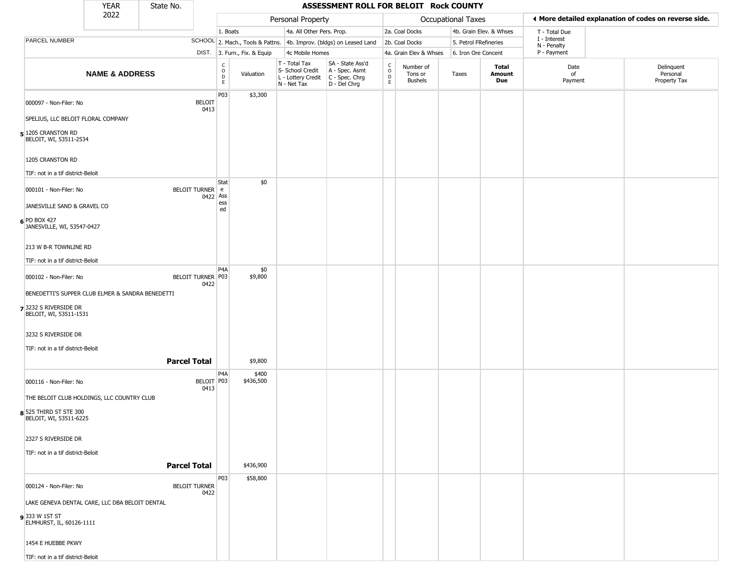|                                                  | <b>YEAR</b>                                      | State No.           |                                  |                         |                              |                                                                        | ASSESSMENT ROLL FOR BELOIT Rock COUNTY                               |                                                          |                                 |                       |                         |                             |                                                       |
|--------------------------------------------------|--------------------------------------------------|---------------------|----------------------------------|-------------------------|------------------------------|------------------------------------------------------------------------|----------------------------------------------------------------------|----------------------------------------------------------|---------------------------------|-----------------------|-------------------------|-----------------------------|-------------------------------------------------------|
|                                                  | 2022                                             |                     |                                  |                         |                              | Personal Property                                                      |                                                                      |                                                          |                                 | Occupational Taxes    |                         |                             | ◀ More detailed explanation of codes on reverse side. |
|                                                  |                                                  |                     |                                  | 1. Boats                |                              | 4a. All Other Pers. Prop.                                              |                                                                      |                                                          | 2a. Coal Docks                  |                       | 4b. Grain Elev. & Whses | T - Total Due               |                                                       |
| PARCEL NUMBER                                    |                                                  |                     |                                  |                         |                              |                                                                        | SCHOOL 2. Mach., Tools & Pattns. 4b. Improv. (bldgs) on Leased Land  |                                                          | 2b. Coal Docks                  | 5. Petrol FRefineries |                         | I - Interest<br>N - Penalty |                                                       |
|                                                  |                                                  |                     |                                  |                         | DIST. 3. Furn., Fix. & Equip | 4c Mobile Homes                                                        |                                                                      |                                                          | 4a. Grain Elev & Whses          | 6. Iron Ore Concent   |                         | P - Payment                 |                                                       |
|                                                  | <b>NAME &amp; ADDRESS</b>                        |                     |                                  | C<br>$\circ$<br>D<br>E. | Valuation                    | T - Total Tax<br>S- School Credit<br>L - Lottery Credit<br>N - Net Tax | SA - State Ass'd<br>A - Spec. Asmt<br>C - Spec. Chrg<br>D - Del Chrg | $\begin{matrix} 0 \\ 0 \\ D \end{matrix}$<br>$\mathsf E$ | Number of<br>Tons or<br>Bushels | Taxes                 | Total<br>Amount<br>Due  | Date<br>of<br>Payment       | Delinquent<br>Personal<br>Property Tax                |
| 000097 - Non-Filer: No                           |                                                  |                     | <b>BELOIT</b><br>0413            | P03                     | \$3,300                      |                                                                        |                                                                      |                                                          |                                 |                       |                         |                             |                                                       |
| SPELIUS, LLC BELOIT FLORAL COMPANY               |                                                  |                     |                                  |                         |                              |                                                                        |                                                                      |                                                          |                                 |                       |                         |                             |                                                       |
| 5 1205 CRANSTON RD<br>BELOIT, WI, 53511-2534     |                                                  |                     |                                  |                         |                              |                                                                        |                                                                      |                                                          |                                 |                       |                         |                             |                                                       |
| 1205 CRANSTON RD                                 |                                                  |                     |                                  |                         |                              |                                                                        |                                                                      |                                                          |                                 |                       |                         |                             |                                                       |
| TIF: not in a tif district-Beloit                |                                                  |                     |                                  | Stat                    | \$0                          |                                                                        |                                                                      |                                                          |                                 |                       |                         |                             |                                                       |
| 000101 - Non-Filer: No                           |                                                  |                     | <b>BELOIT TURNER</b><br>0422 Ass | e<br>ess                |                              |                                                                        |                                                                      |                                                          |                                 |                       |                         |                             |                                                       |
| JANESVILLE SAND & GRAVEL CO                      |                                                  |                     |                                  | ed                      |                              |                                                                        |                                                                      |                                                          |                                 |                       |                         |                             |                                                       |
| 6 PO BOX 427<br>JANESVILLE, WI, 53547-0427       |                                                  |                     |                                  |                         |                              |                                                                        |                                                                      |                                                          |                                 |                       |                         |                             |                                                       |
| 213 W B-R TOWNLINE RD                            |                                                  |                     |                                  |                         |                              |                                                                        |                                                                      |                                                          |                                 |                       |                         |                             |                                                       |
| TIF: not in a tif district-Beloit                |                                                  |                     |                                  |                         |                              |                                                                        |                                                                      |                                                          |                                 |                       |                         |                             |                                                       |
| 000102 - Non-Filer: No                           |                                                  |                     | BELOIT TURNER   P03<br>0422      | P <sub>4</sub> A        | \$0<br>\$9,800               |                                                                        |                                                                      |                                                          |                                 |                       |                         |                             |                                                       |
|                                                  | BENEDETTI'S SUPPER CLUB ELMER & SANDRA BENEDETTI |                     |                                  |                         |                              |                                                                        |                                                                      |                                                          |                                 |                       |                         |                             |                                                       |
| 7 3232 S RIVERSIDE DR<br>BELOIT, WI, 53511-1531  |                                                  |                     |                                  |                         |                              |                                                                        |                                                                      |                                                          |                                 |                       |                         |                             |                                                       |
| 3232 S RIVERSIDE DR                              |                                                  |                     |                                  |                         |                              |                                                                        |                                                                      |                                                          |                                 |                       |                         |                             |                                                       |
| TIF: not in a tif district-Beloit                |                                                  |                     |                                  |                         |                              |                                                                        |                                                                      |                                                          |                                 |                       |                         |                             |                                                       |
|                                                  |                                                  | <b>Parcel Total</b> |                                  | P <sub>4</sub> A        | \$9,800<br>\$400             |                                                                        |                                                                      |                                                          |                                 |                       |                         |                             |                                                       |
| 000116 - Non-Filer: No                           |                                                  |                     | BELOIT P03<br>0413               |                         | \$436,500                    |                                                                        |                                                                      |                                                          |                                 |                       |                         |                             |                                                       |
| THE BELOIT CLUB HOLDINGS, LLC COUNTRY CLUB       |                                                  |                     |                                  |                         |                              |                                                                        |                                                                      |                                                          |                                 |                       |                         |                             |                                                       |
| 8 525 THIRD ST STE 300<br>BELOIT, WI, 53511-6225 |                                                  |                     |                                  |                         |                              |                                                                        |                                                                      |                                                          |                                 |                       |                         |                             |                                                       |
| 2327 S RIVERSIDE DR                              |                                                  |                     |                                  |                         |                              |                                                                        |                                                                      |                                                          |                                 |                       |                         |                             |                                                       |
| TIF: not in a tif district-Beloit                |                                                  | <b>Parcel Total</b> |                                  |                         | \$436,900                    |                                                                        |                                                                      |                                                          |                                 |                       |                         |                             |                                                       |
|                                                  |                                                  |                     |                                  | P03                     | \$58,800                     |                                                                        |                                                                      |                                                          |                                 |                       |                         |                             |                                                       |
| 000124 - Non-Filer: No                           |                                                  |                     | <b>BELOIT TURNER</b><br>0422     |                         |                              |                                                                        |                                                                      |                                                          |                                 |                       |                         |                             |                                                       |
| LAKE GENEVA DENTAL CARE, LLC DBA BELOIT DENTAL   |                                                  |                     |                                  |                         |                              |                                                                        |                                                                      |                                                          |                                 |                       |                         |                             |                                                       |
| 933 W 1ST ST<br>ELMHURST, IL, 60126-1111         |                                                  |                     |                                  |                         |                              |                                                                        |                                                                      |                                                          |                                 |                       |                         |                             |                                                       |
| 1454 E HUEBBE PKWY                               |                                                  |                     |                                  |                         |                              |                                                                        |                                                                      |                                                          |                                 |                       |                         |                             |                                                       |
| TIF: not in a tif district-Beloit                |                                                  |                     |                                  |                         |                              |                                                                        |                                                                      |                                                          |                                 |                       |                         |                             |                                                       |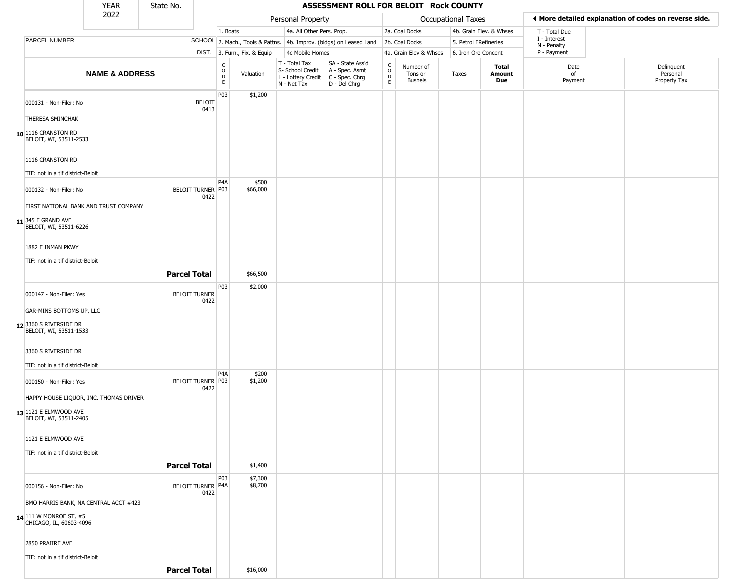|                                                                 | YEAR                      | State No.            |                           |                                |                              |                                                                                       | ASSESSMENT ROLL FOR BELOIT Rock COUNTY                              |                                   |                                 |                       |                         |                             |                                                       |
|-----------------------------------------------------------------|---------------------------|----------------------|---------------------------|--------------------------------|------------------------------|---------------------------------------------------------------------------------------|---------------------------------------------------------------------|-----------------------------------|---------------------------------|-----------------------|-------------------------|-----------------------------|-------------------------------------------------------|
|                                                                 | 2022                      |                      |                           |                                |                              | Personal Property                                                                     |                                                                     |                                   |                                 | Occupational Taxes    |                         |                             | ♦ More detailed explanation of codes on reverse side. |
|                                                                 |                           |                      |                           | 1. Boats                       |                              | 4a. All Other Pers. Prop.                                                             |                                                                     |                                   | 2a. Coal Docks                  |                       | 4b. Grain Elev. & Whses | T - Total Due               |                                                       |
| PARCEL NUMBER                                                   |                           |                      |                           |                                |                              |                                                                                       | SCHOOL 2. Mach., Tools & Pattns. 4b. Improv. (bldgs) on Leased Land |                                   | 2b. Coal Docks                  | 5. Petrol FRefineries |                         | I - Interest<br>N - Penalty |                                                       |
|                                                                 |                           |                      |                           |                                | DIST. 3. Furn., Fix. & Equip | 4c Mobile Homes                                                                       |                                                                     |                                   | 4a. Grain Elev & Whses          | 6. Iron Ore Concent   |                         | P - Payment                 |                                                       |
|                                                                 | <b>NAME &amp; ADDRESS</b> |                      |                           | $\rm _o^C$<br>$\mathsf D$<br>E | Valuation                    | T - Total Tax<br>S- School Credit<br>L - Lottery Credit C - Spec. Chrg<br>N - Net Tax | SA - State Ass'd<br>A - Spec. Asmt<br>D - Del Chrg                  | $\mathsf{C}$<br>$\circ$<br>D<br>E | Number of<br>Tons or<br>Bushels | Taxes                 | Total<br>Amount<br>Due  | Date<br>of<br>Payment       | Delinquent<br>Personal<br>Property Tax                |
| 000131 - Non-Filer: No                                          |                           |                      | <b>BELOIT</b>             | P03                            | \$1,200                      |                                                                                       |                                                                     |                                   |                                 |                       |                         |                             |                                                       |
| THERESA SMINCHAK                                                |                           |                      | 0413                      |                                |                              |                                                                                       |                                                                     |                                   |                                 |                       |                         |                             |                                                       |
| 10 1116 CRANSTON RD<br>BELOIT, WI, 53511-2533                   |                           |                      |                           |                                |                              |                                                                                       |                                                                     |                                   |                                 |                       |                         |                             |                                                       |
| 1116 CRANSTON RD                                                |                           |                      |                           |                                |                              |                                                                                       |                                                                     |                                   |                                 |                       |                         |                             |                                                       |
| TIF: not in a tif district-Beloit                               |                           |                      |                           |                                |                              |                                                                                       |                                                                     |                                   |                                 |                       |                         |                             |                                                       |
| 000132 - Non-Filer: No                                          |                           |                      | BELOIT TURNER P03<br>0422 | P <sub>4</sub> A               | \$500<br>\$66,000            |                                                                                       |                                                                     |                                   |                                 |                       |                         |                             |                                                       |
| FIRST NATIONAL BANK AND TRUST COMPANY                           |                           |                      |                           |                                |                              |                                                                                       |                                                                     |                                   |                                 |                       |                         |                             |                                                       |
| 11 345 E GRAND AVE<br>BELOIT, WI, 53511-6226                    |                           |                      |                           |                                |                              |                                                                                       |                                                                     |                                   |                                 |                       |                         |                             |                                                       |
| 1882 E INMAN PKWY                                               |                           |                      |                           |                                |                              |                                                                                       |                                                                     |                                   |                                 |                       |                         |                             |                                                       |
| TIF: not in a tif district-Beloit                               |                           |                      |                           |                                |                              |                                                                                       |                                                                     |                                   |                                 |                       |                         |                             |                                                       |
|                                                                 |                           | <b>Parcel Total</b>  |                           |                                | \$66,500                     |                                                                                       |                                                                     |                                   |                                 |                       |                         |                             |                                                       |
|                                                                 |                           |                      |                           | P03                            | \$2,000                      |                                                                                       |                                                                     |                                   |                                 |                       |                         |                             |                                                       |
| 000147 - Non-Filer: Yes                                         |                           | <b>BELOIT TURNER</b> | 0422                      |                                |                              |                                                                                       |                                                                     |                                   |                                 |                       |                         |                             |                                                       |
| GAR-MINS BOTTOMS UP, LLC                                        |                           |                      |                           |                                |                              |                                                                                       |                                                                     |                                   |                                 |                       |                         |                             |                                                       |
| 12 3360 S RIVERSIDE DR<br>BELOIT, WI, 53511-1533                |                           |                      |                           |                                |                              |                                                                                       |                                                                     |                                   |                                 |                       |                         |                             |                                                       |
| 3360 S RIVERSIDE DR                                             |                           |                      |                           |                                |                              |                                                                                       |                                                                     |                                   |                                 |                       |                         |                             |                                                       |
| TIF: not in a tif district-Beloit                               |                           |                      |                           |                                |                              |                                                                                       |                                                                     |                                   |                                 |                       |                         |                             |                                                       |
| 000150 - Non-Filer: Yes                                         |                           |                      | BELOIT TURNER P03<br>0422 | P <sub>4</sub> A               | \$200<br>\$1,200             |                                                                                       |                                                                     |                                   |                                 |                       |                         |                             |                                                       |
| HAPPY HOUSE LIQUOR, INC. THOMAS DRIVER                          |                           |                      |                           |                                |                              |                                                                                       |                                                                     |                                   |                                 |                       |                         |                             |                                                       |
| 13 1121 E ELMWOOD AVE<br>BELOIT, WI, 53511-2405                 |                           |                      |                           |                                |                              |                                                                                       |                                                                     |                                   |                                 |                       |                         |                             |                                                       |
| 1121 E ELMWOOD AVE                                              |                           |                      |                           |                                |                              |                                                                                       |                                                                     |                                   |                                 |                       |                         |                             |                                                       |
| TIF: not in a tif district-Beloit                               |                           |                      |                           |                                |                              |                                                                                       |                                                                     |                                   |                                 |                       |                         |                             |                                                       |
|                                                                 |                           | <b>Parcel Total</b>  |                           |                                | \$1,400                      |                                                                                       |                                                                     |                                   |                                 |                       |                         |                             |                                                       |
|                                                                 |                           |                      |                           | P03                            | \$7,300                      |                                                                                       |                                                                     |                                   |                                 |                       |                         |                             |                                                       |
| 000156 - Non-Filer: No<br>BMO HARRIS BANK, NA CENTRAL ACCT #423 |                           |                      | BELOIT TURNER P4A<br>0422 |                                | \$8,700                      |                                                                                       |                                                                     |                                   |                                 |                       |                         |                             |                                                       |
|                                                                 |                           |                      |                           |                                |                              |                                                                                       |                                                                     |                                   |                                 |                       |                         |                             |                                                       |
| 14 111 W MONROE ST, #5<br>CHICAGO, IL, 60603-4096               |                           |                      |                           |                                |                              |                                                                                       |                                                                     |                                   |                                 |                       |                         |                             |                                                       |
| 2850 PRAIIRE AVE                                                |                           |                      |                           |                                |                              |                                                                                       |                                                                     |                                   |                                 |                       |                         |                             |                                                       |
| TIF: not in a tif district-Beloit                               |                           |                      |                           |                                |                              |                                                                                       |                                                                     |                                   |                                 |                       |                         |                             |                                                       |
|                                                                 |                           | <b>Parcel Total</b>  |                           |                                | \$16,000                     |                                                                                       |                                                                     |                                   |                                 |                       |                         |                             |                                                       |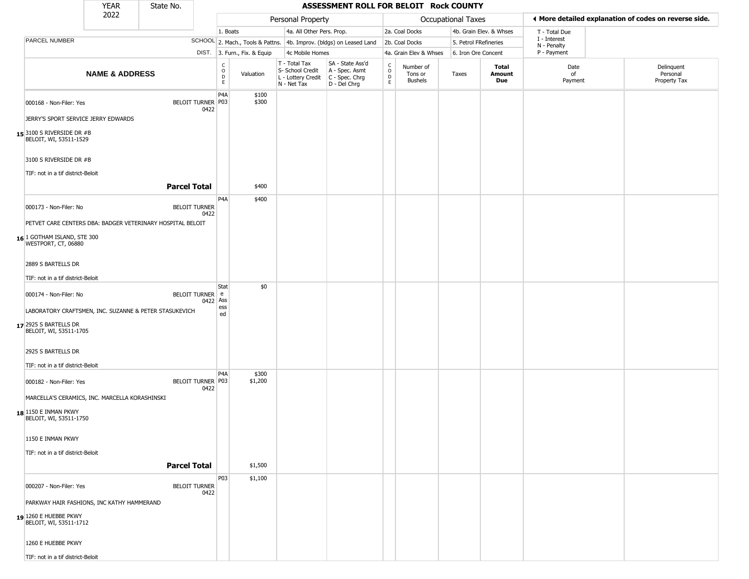|                                                             | <b>YEAR</b>                                                | State No.            |             |                                           |                                                                                         | ASSESSMENT ROLL FOR BELOIT Rock COUNTY             |                      |                                        |                       |                         |                             |                                                       |
|-------------------------------------------------------------|------------------------------------------------------------|----------------------|-------------|-------------------------------------------|-----------------------------------------------------------------------------------------|----------------------------------------------------|----------------------|----------------------------------------|-----------------------|-------------------------|-----------------------------|-------------------------------------------------------|
|                                                             | 2022                                                       |                      |             |                                           | Personal Property                                                                       |                                                    |                      |                                        | Occupational Taxes    |                         |                             | ◀ More detailed explanation of codes on reverse side. |
|                                                             |                                                            |                      |             | 1. Boats                                  | 4a. All Other Pers. Prop.                                                               |                                                    |                      | 2a. Coal Docks                         |                       | 4b. Grain Elev. & Whses | T - Total Due               |                                                       |
| PARCEL NUMBER                                               |                                                            |                      |             | SCHOOL 2. Mach., Tools & Pattns.          |                                                                                         | 4b. Improv. (bldgs) on Leased Land                 |                      | 2b. Coal Docks                         | 5. Petrol FRefineries |                         | I - Interest<br>N - Penalty |                                                       |
|                                                             |                                                            |                      |             | DIST. 3. Furn., Fix. & Equip              | 4c Mobile Homes                                                                         |                                                    |                      | 4a. Grain Elev & Whses                 | 6. Iron Ore Concent   |                         | P - Payment                 |                                                       |
|                                                             | <b>NAME &amp; ADDRESS</b>                                  |                      |             | $_{\rm o}^{\rm c}$<br>Valuation<br>D<br>E | T - Total Tax<br>S- School Credit<br>L - Lottery Credit   C - Spec. Chrg<br>N - Net Tax | SA - State Ass'd<br>A - Spec. Asmt<br>D - Del Chrg | $\rm _o^C$<br>D<br>E | Number of<br>Tons or<br><b>Bushels</b> | Taxes                 | Total<br>Amount<br>Due  | Date<br>of<br>Payment       | Delinquent<br>Personal<br>Property Tax                |
| 000168 - Non-Filer: Yes                                     | JERRY'S SPORT SERVICE JERRY EDWARDS                        | BELOIT TURNER P03    | 0422        | P4A<br>\$100<br>\$300                     |                                                                                         |                                                    |                      |                                        |                       |                         |                             |                                                       |
| 15 3100 S RIVERSIDE DR #B<br>BELOIT, WI, 53511-1529         |                                                            |                      |             |                                           |                                                                                         |                                                    |                      |                                        |                       |                         |                             |                                                       |
| 3100 S RIVERSIDE DR #B<br>TIF: not in a tif district-Beloit |                                                            | <b>Parcel Total</b>  |             | \$400                                     |                                                                                         |                                                    |                      |                                        |                       |                         |                             |                                                       |
|                                                             |                                                            |                      |             | P <sub>4</sub> A<br>\$400                 |                                                                                         |                                                    |                      |                                        |                       |                         |                             |                                                       |
| 000173 - Non-Filer: No                                      |                                                            | <b>BELOIT TURNER</b> | 0422        |                                           |                                                                                         |                                                    |                      |                                        |                       |                         |                             |                                                       |
| 16 1 GOTHAM ISLAND, STE 300<br>WESTPORT, CT, 06880          | PETVET CARE CENTERS DBA: BADGER VETERINARY HOSPITAL BELOIT |                      |             |                                           |                                                                                         |                                                    |                      |                                        |                       |                         |                             |                                                       |
| 2889 S BARTELLS DR                                          |                                                            |                      |             |                                           |                                                                                         |                                                    |                      |                                        |                       |                         |                             |                                                       |
| TIF: not in a tif district-Beloit                           |                                                            |                      |             |                                           |                                                                                         |                                                    |                      |                                        |                       |                         |                             |                                                       |
| 000174 - Non-Filer: No                                      |                                                            | BELOIT TURNER e      | 0422 Ass    | \$0<br>Stat                               |                                                                                         |                                                    |                      |                                        |                       |                         |                             |                                                       |
|                                                             | LABORATORY CRAFTSMEN, INC. SUZANNE & PETER STASUKEVICH     |                      |             | ess<br>ed                                 |                                                                                         |                                                    |                      |                                        |                       |                         |                             |                                                       |
| 17 2925 S BARTELLS DR<br>BELOIT, WI, 53511-1705             |                                                            |                      |             |                                           |                                                                                         |                                                    |                      |                                        |                       |                         |                             |                                                       |
| 2925 S BARTELLS DR                                          |                                                            |                      |             |                                           |                                                                                         |                                                    |                      |                                        |                       |                         |                             |                                                       |
| TIF: not in a tif district-Beloit                           |                                                            |                      |             |                                           |                                                                                         |                                                    |                      |                                        |                       |                         |                             |                                                       |
| 000182 - Non-Filer: Yes                                     |                                                            | BELOIT TURNER P03    | P4A<br>0422 | \$300<br>\$1,200                          |                                                                                         |                                                    |                      |                                        |                       |                         |                             |                                                       |
|                                                             | MARCELLA'S CERAMICS, INC. MARCELLA KORASHINSKI             |                      |             |                                           |                                                                                         |                                                    |                      |                                        |                       |                         |                             |                                                       |
| 18 1150 E INMAN PKWY<br>BELOIT, WI, 53511-1750              |                                                            |                      |             |                                           |                                                                                         |                                                    |                      |                                        |                       |                         |                             |                                                       |
| 1150 E INMAN PKWY                                           |                                                            |                      |             |                                           |                                                                                         |                                                    |                      |                                        |                       |                         |                             |                                                       |
| TIF: not in a tif district-Beloit                           |                                                            |                      |             |                                           |                                                                                         |                                                    |                      |                                        |                       |                         |                             |                                                       |
|                                                             |                                                            | <b>Parcel Total</b>  |             | \$1,500                                   |                                                                                         |                                                    |                      |                                        |                       |                         |                             |                                                       |
| 000207 - Non-Filer: Yes                                     |                                                            | <b>BELOIT TURNER</b> | 0422        | <b>P03</b><br>\$1,100                     |                                                                                         |                                                    |                      |                                        |                       |                         |                             |                                                       |
| 19 1260 E HUEBBE PKWY<br>BELOIT, WI, 53511-1712             | PARKWAY HAIR FASHIONS, INC KATHY HAMMERAND                 |                      |             |                                           |                                                                                         |                                                    |                      |                                        |                       |                         |                             |                                                       |
| 1260 E HUEBBE PKWY                                          |                                                            |                      |             |                                           |                                                                                         |                                                    |                      |                                        |                       |                         |                             |                                                       |
| TIF: not in a tif district-Beloit                           |                                                            |                      |             |                                           |                                                                                         |                                                    |                      |                                        |                       |                         |                             |                                                       |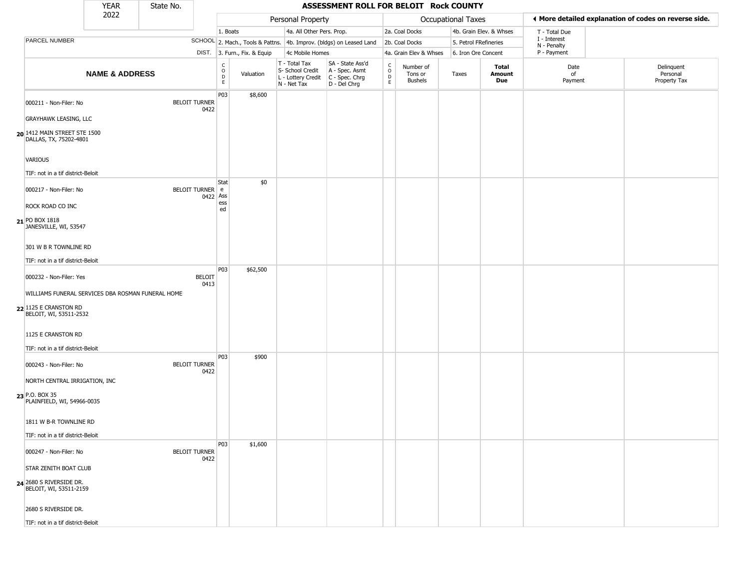|                                                                                                      | <b>YEAR</b>               | State No. |                              |                        |                              |                                                                        | ASSESSMENT ROLL FOR BELOIT Rock COUNTY                               |                         |                                        |                       |                         |                             |                                                       |
|------------------------------------------------------------------------------------------------------|---------------------------|-----------|------------------------------|------------------------|------------------------------|------------------------------------------------------------------------|----------------------------------------------------------------------|-------------------------|----------------------------------------|-----------------------|-------------------------|-----------------------------|-------------------------------------------------------|
|                                                                                                      | 2022                      |           |                              |                        |                              | Personal Property                                                      |                                                                      |                         |                                        | Occupational Taxes    |                         |                             | ◀ More detailed explanation of codes on reverse side. |
|                                                                                                      |                           |           |                              | 1. Boats               |                              | 4a. All Other Pers. Prop.                                              |                                                                      |                         | 2a. Coal Docks                         |                       | 4b. Grain Elev. & Whses | T - Total Due               |                                                       |
| <b>PARCEL NUMBER</b>                                                                                 |                           |           |                              |                        |                              |                                                                        | SCHOOL 2. Mach., Tools & Pattns. 4b. Improv. (bldgs) on Leased Land  |                         | 2b. Coal Docks                         | 5. Petrol FRefineries |                         | I - Interest<br>N - Penalty |                                                       |
|                                                                                                      |                           |           |                              |                        | DIST. 3. Furn., Fix. & Equip | 4c Mobile Homes                                                        |                                                                      |                         | 4a. Grain Elev & Whses                 | 6. Iron Ore Concent   |                         | P - Payment                 |                                                       |
|                                                                                                      | <b>NAME &amp; ADDRESS</b> |           |                              | C<br>$\circ$<br>D<br>E | Valuation                    | T - Total Tax<br>S- School Credit<br>L - Lottery Credit<br>N - Net Tax | SA - State Ass'd<br>A - Spec. Asmt<br>C - Spec. Chrg<br>D - Del Chrg | $\frac{c}{0}$<br>D<br>E | Number of<br>Tons or<br><b>Bushels</b> | Taxes                 | Total<br>Amount<br>Due  | Date<br>of<br>Payment       | Delinquent<br>Personal<br>Property Tax                |
| 000211 - Non-Filer: No<br><b>GRAYHAWK LEASING, LLC</b>                                               |                           |           | <b>BELOIT TURNER</b><br>0422 | P03                    | \$8,600                      |                                                                        |                                                                      |                         |                                        |                       |                         |                             |                                                       |
| 20 1412 MAIN STREET STE 1500<br>DALLAS, TX, 75202-4801                                               |                           |           |                              |                        |                              |                                                                        |                                                                      |                         |                                        |                       |                         |                             |                                                       |
| <b>VARIOUS</b><br>TIF: not in a tif district-Beloit                                                  |                           |           |                              |                        |                              |                                                                        |                                                                      |                         |                                        |                       |                         |                             |                                                       |
| 000217 - Non-Filer: No<br>ROCK ROAD CO INC                                                           |                           |           | BELOIT TURNER e<br>0422 Ass  | Stat<br>ess<br>ed      | \$0                          |                                                                        |                                                                      |                         |                                        |                       |                         |                             |                                                       |
| 21 PO BOX 1818<br>JANESVILLE, WI, 53547                                                              |                           |           |                              |                        |                              |                                                                        |                                                                      |                         |                                        |                       |                         |                             |                                                       |
| 301 W B R TOWNLINE RD<br>TIF: not in a tif district-Beloit                                           |                           |           |                              |                        |                              |                                                                        |                                                                      |                         |                                        |                       |                         |                             |                                                       |
| 000232 - Non-Filer: Yes                                                                              |                           |           | <b>BELOIT</b><br>0413        | P03                    | \$62,500                     |                                                                        |                                                                      |                         |                                        |                       |                         |                             |                                                       |
| WILLIAMS FUNERAL SERVICES DBA ROSMAN FUNERAL HOME<br>22 1125 E CRANSTON RD<br>BELOIT, WI, 53511-2532 |                           |           |                              |                        |                              |                                                                        |                                                                      |                         |                                        |                       |                         |                             |                                                       |
| 1125 E CRANSTON RD<br>TIF: not in a tif district-Beloit                                              |                           |           |                              |                        |                              |                                                                        |                                                                      |                         |                                        |                       |                         |                             |                                                       |
| 000243 - Non-Filer: No                                                                               |                           |           | <b>BELOIT TURNER</b><br>0422 | P03                    | \$900                        |                                                                        |                                                                      |                         |                                        |                       |                         |                             |                                                       |
| NORTH CENTRAL IRRIGATION, INC<br>23 P.O. BOX 35<br>PLAINFIELD, WI, 54966-0035                        |                           |           |                              |                        |                              |                                                                        |                                                                      |                         |                                        |                       |                         |                             |                                                       |
| 1811 W B-R TOWNLINE RD                                                                               |                           |           |                              |                        |                              |                                                                        |                                                                      |                         |                                        |                       |                         |                             |                                                       |
| TIF: not in a tif district-Beloit                                                                    |                           |           |                              | P03                    | \$1,600                      |                                                                        |                                                                      |                         |                                        |                       |                         |                             |                                                       |
| 000247 - Non-Filer: No                                                                               |                           |           | <b>BELOIT TURNER</b><br>0422 |                        |                              |                                                                        |                                                                      |                         |                                        |                       |                         |                             |                                                       |
| STAR ZENITH BOAT CLUB<br>24 2680 S RIVERSIDE DR.<br>BELOIT, WI, 53511-2159                           |                           |           |                              |                        |                              |                                                                        |                                                                      |                         |                                        |                       |                         |                             |                                                       |
| 2680 S RIVERSIDE DR.                                                                                 |                           |           |                              |                        |                              |                                                                        |                                                                      |                         |                                        |                       |                         |                             |                                                       |
| TIF: not in a tif district-Beloit                                                                    |                           |           |                              |                        |                              |                                                                        |                                                                      |                         |                                        |                       |                         |                             |                                                       |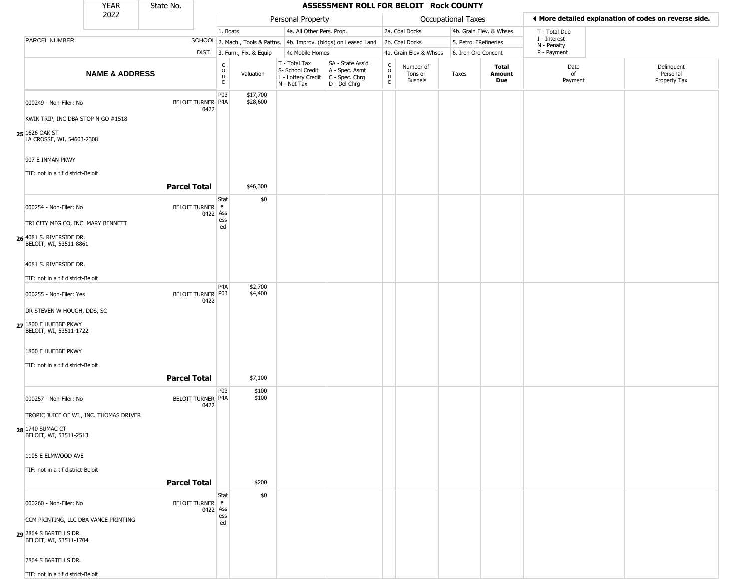|                                                    | <b>YEAR</b>                             | State No.                |                                 |                              |                                                  | ASSESSMENT ROLL FOR BELOIT Rock COUNTY                                                    |                          |                                 |                    |                         |                             |                                                       |
|----------------------------------------------------|-----------------------------------------|--------------------------|---------------------------------|------------------------------|--------------------------------------------------|-------------------------------------------------------------------------------------------|--------------------------|---------------------------------|--------------------|-------------------------|-----------------------------|-------------------------------------------------------|
|                                                    | 2022                                    |                          |                                 |                              | Personal Property                                |                                                                                           |                          |                                 | Occupational Taxes |                         |                             | ◀ More detailed explanation of codes on reverse side. |
|                                                    |                                         |                          |                                 | 1. Boats                     |                                                  | 4a. All Other Pers. Prop.                                                                 |                          | 2a. Coal Docks                  |                    | 4b. Grain Elev. & Whses | T - Total Due               |                                                       |
| PARCEL NUMBER                                      |                                         |                          |                                 |                              |                                                  | SCHOOL 2. Mach., Tools & Pattns. 4b. Improv. (bldgs) on Leased Land                       |                          | 2b. Coal Docks                  |                    | 5. Petrol FRefineries   | I - Interest<br>N - Penalty |                                                       |
|                                                    |                                         |                          |                                 | DIST. 3. Furn., Fix. & Equip | 4c Mobile Homes                                  |                                                                                           |                          | 4a. Grain Elev & Whses          |                    | 6. Iron Ore Concent     | P - Payment                 |                                                       |
|                                                    | <b>NAME &amp; ADDRESS</b>               |                          | $\rm _o^c$<br>$\mathsf D$<br>E. | Valuation                    | T - Total Tax<br>S- School Credit<br>N - Net Tax | SA - State Ass'd<br>A - Spec. Asmt<br>L - Lottery Credit   C - Spec. Chrg<br>D - Del Chrg | $\int_{0}^{c}$<br>D<br>E | Number of<br>Tons or<br>Bushels | Taxes              | Total<br>Amount<br>Due  | Date<br>of<br>Payment       | Delinquent<br>Personal<br>Property Tax                |
| 000249 - Non-Filer: No                             |                                         | <b>BELOIT TURNER P4A</b> | P03<br>0422                     | \$17,700<br>\$28,600         |                                                  |                                                                                           |                          |                                 |                    |                         |                             |                                                       |
| KWIK TRIP, INC DBA STOP N GO #1518                 |                                         |                          |                                 |                              |                                                  |                                                                                           |                          |                                 |                    |                         |                             |                                                       |
| 25 1626 OAK ST<br>LA CROSSE, WI, 54603-2308        |                                         |                          |                                 |                              |                                                  |                                                                                           |                          |                                 |                    |                         |                             |                                                       |
| 907 E INMAN PKWY                                   |                                         |                          |                                 |                              |                                                  |                                                                                           |                          |                                 |                    |                         |                             |                                                       |
| TIF: not in a tif district-Beloit                  |                                         | <b>Parcel Total</b>      |                                 | \$46,300                     |                                                  |                                                                                           |                          |                                 |                    |                         |                             |                                                       |
| 000254 - Non-Filer: No                             |                                         | BELOIT TURNER e          | Stat<br>0422 Ass                | \$0                          |                                                  |                                                                                           |                          |                                 |                    |                         |                             |                                                       |
| TRI CITY MFG CO, INC. MARY BENNETT                 |                                         |                          | ess<br>ed                       |                              |                                                  |                                                                                           |                          |                                 |                    |                         |                             |                                                       |
| 26 4081 S. RIVERSIDE DR.<br>BELOIT, WI, 53511-8861 |                                         |                          |                                 |                              |                                                  |                                                                                           |                          |                                 |                    |                         |                             |                                                       |
| 4081 S. RIVERSIDE DR.                              |                                         |                          |                                 |                              |                                                  |                                                                                           |                          |                                 |                    |                         |                             |                                                       |
| TIF: not in a tif district-Beloit                  |                                         |                          |                                 |                              |                                                  |                                                                                           |                          |                                 |                    |                         |                             |                                                       |
|                                                    |                                         | BELOIT TURNER P03        | P <sub>4</sub> A                | \$2,700<br>\$4,400           |                                                  |                                                                                           |                          |                                 |                    |                         |                             |                                                       |
| 000255 - Non-Filer: Yes                            |                                         |                          | 0422                            |                              |                                                  |                                                                                           |                          |                                 |                    |                         |                             |                                                       |
| DR STEVEN W HOUGH, DDS, SC                         |                                         |                          |                                 |                              |                                                  |                                                                                           |                          |                                 |                    |                         |                             |                                                       |
| 27 1800 E HUEBBE PKWY<br>BELOIT, WI, 53511-1722    |                                         |                          |                                 |                              |                                                  |                                                                                           |                          |                                 |                    |                         |                             |                                                       |
| 1800 E HUEBBE PKWY                                 |                                         |                          |                                 |                              |                                                  |                                                                                           |                          |                                 |                    |                         |                             |                                                       |
| TIF: not in a tif district-Beloit                  |                                         |                          |                                 |                              |                                                  |                                                                                           |                          |                                 |                    |                         |                             |                                                       |
|                                                    |                                         | <b>Parcel Total</b>      |                                 | \$7,100                      |                                                  |                                                                                           |                          |                                 |                    |                         |                             |                                                       |
| 000257 - Non-Filer: No                             |                                         | <b>BELOIT TURNER P4A</b> | P03<br>0422                     | \$100<br>\$100               |                                                  |                                                                                           |                          |                                 |                    |                         |                             |                                                       |
|                                                    | TROPIC JUICE OF WI., INC. THOMAS DRIVER |                          |                                 |                              |                                                  |                                                                                           |                          |                                 |                    |                         |                             |                                                       |
| <b>28</b> 1740 SUMAC CT<br>BELOIT, WI, 53511-2513  |                                         |                          |                                 |                              |                                                  |                                                                                           |                          |                                 |                    |                         |                             |                                                       |
| 1105 E ELMWOOD AVE                                 |                                         |                          |                                 |                              |                                                  |                                                                                           |                          |                                 |                    |                         |                             |                                                       |
| TIF: not in a tif district-Beloit                  |                                         |                          |                                 |                              |                                                  |                                                                                           |                          |                                 |                    |                         |                             |                                                       |
|                                                    |                                         | <b>Parcel Total</b>      |                                 | \$200                        |                                                  |                                                                                           |                          |                                 |                    |                         |                             |                                                       |
| 000260 - Non-Filer: No                             |                                         | BELOIT TURNER e          | Stat                            | \$0                          |                                                  |                                                                                           |                          |                                 |                    |                         |                             |                                                       |
|                                                    | CCM PRINTING, LLC DBA VANCE PRINTING    |                          | 0422 Ass<br>ess                 |                              |                                                  |                                                                                           |                          |                                 |                    |                         |                             |                                                       |
| 29 2864 S BARTELLS DR.<br>BELOIT, WI, 53511-1704   |                                         |                          | ed                              |                              |                                                  |                                                                                           |                          |                                 |                    |                         |                             |                                                       |
| 2864 S BARTELLS DR.                                |                                         |                          |                                 |                              |                                                  |                                                                                           |                          |                                 |                    |                         |                             |                                                       |
| TIF: not in a tif district-Beloit                  |                                         |                          |                                 |                              |                                                  |                                                                                           |                          |                                 |                    |                         |                             |                                                       |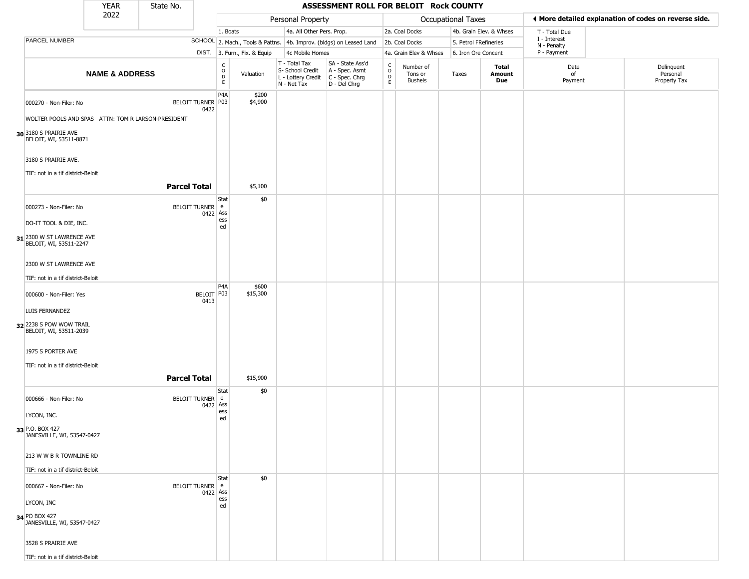|                                                                               | <b>YEAR</b>               | State No.           |                    |                                                             |                                  |                                                                        | ASSESSMENT ROLL FOR BELOIT Rock COUNTY                               |                                              |                                        |                     |                         |                             |                                                       |
|-------------------------------------------------------------------------------|---------------------------|---------------------|--------------------|-------------------------------------------------------------|----------------------------------|------------------------------------------------------------------------|----------------------------------------------------------------------|----------------------------------------------|----------------------------------------|---------------------|-------------------------|-----------------------------|-------------------------------------------------------|
|                                                                               | 2022                      |                     |                    |                                                             |                                  | Personal Property                                                      |                                                                      |                                              |                                        | Occupational Taxes  |                         |                             | ♦ More detailed explanation of codes on reverse side. |
|                                                                               |                           |                     |                    | 1. Boats                                                    |                                  | 4a. All Other Pers. Prop.                                              |                                                                      |                                              | 2a. Coal Docks                         |                     | 4b. Grain Elev. & Whses | T - Total Due               |                                                       |
| PARCEL NUMBER                                                                 |                           |                     |                    |                                                             | SCHOOL 2. Mach., Tools & Pattns. |                                                                        | 4b. Improv. (bldgs) on Leased Land                                   |                                              | 2b. Coal Docks                         |                     | 5. Petrol FRefineries   | I - Interest<br>N - Penalty |                                                       |
|                                                                               |                           |                     |                    |                                                             | DIST. 3. Furn., Fix. & Equip     | 4c Mobile Homes                                                        |                                                                      |                                              | 4a. Grain Elev & Whses                 | 6. Iron Ore Concent |                         | P - Payment                 |                                                       |
|                                                                               | <b>NAME &amp; ADDRESS</b> |                     |                    | $\begin{matrix} 0 \\ 0 \\ D \end{matrix}$<br>$\mathsf{E}^-$ | Valuation                        | T - Total Tax<br>S- School Credit<br>L - Lottery Credit<br>N - Net Tax | SA - State Ass'd<br>A - Spec. Asmt<br>C - Spec. Chrg<br>D - Del Chrg | $\begin{array}{c}\nC \\ O \\ D\n\end{array}$ | Number of<br>Tons or<br><b>Bushels</b> | Taxes               | Total<br>Amount<br>Due  | Date<br>of<br>Payment       | Delinquent<br>Personal<br>Property Tax                |
| 000270 - Non-Filer: No<br>WOLTER POOLS AND SPAS ATTN: TOM R LARSON-PRESIDENT  |                           | BELOIT TURNER P03   | 0422               | P4A                                                         | \$200<br>\$4,900                 |                                                                        |                                                                      |                                              |                                        |                     |                         |                             |                                                       |
| 30 3180 S PRAIRIE AVE<br>BELOIT, WI, 53511-8871                               |                           |                     |                    |                                                             |                                  |                                                                        |                                                                      |                                              |                                        |                     |                         |                             |                                                       |
| 3180 S PRAIRIE AVE.<br>TIF: not in a tif district-Beloit                      |                           |                     |                    |                                                             |                                  |                                                                        |                                                                      |                                              |                                        |                     |                         |                             |                                                       |
|                                                                               |                           | <b>Parcel Total</b> |                    |                                                             | \$5,100                          |                                                                        |                                                                      |                                              |                                        |                     |                         |                             |                                                       |
| 000273 - Non-Filer: No                                                        |                           | BELOIT TURNER e     | 0422 Ass           | Stat<br>ess                                                 | \$0                              |                                                                        |                                                                      |                                              |                                        |                     |                         |                             |                                                       |
| DO-IT TOOL & DIE, INC.<br>31 2300 W ST LAWRENCE AVE<br>BELOIT, WI, 53511-2247 |                           |                     |                    | ed                                                          |                                  |                                                                        |                                                                      |                                              |                                        |                     |                         |                             |                                                       |
| 2300 W ST LAWRENCE AVE                                                        |                           |                     |                    |                                                             |                                  |                                                                        |                                                                      |                                              |                                        |                     |                         |                             |                                                       |
| TIF: not in a tif district-Beloit                                             |                           |                     |                    | P4A                                                         | \$600                            |                                                                        |                                                                      |                                              |                                        |                     |                         |                             |                                                       |
| 000600 - Non-Filer: Yes                                                       |                           |                     | BELOIT P03<br>0413 |                                                             | \$15,300                         |                                                                        |                                                                      |                                              |                                        |                     |                         |                             |                                                       |
| LUIS FERNANDEZ<br>32 2238 S POW WOW TRAIL<br>BELOIT, WI, 53511-2039           |                           |                     |                    |                                                             |                                  |                                                                        |                                                                      |                                              |                                        |                     |                         |                             |                                                       |
| 1975 S PORTER AVE<br>TIF: not in a tif district-Beloit                        |                           |                     |                    |                                                             |                                  |                                                                        |                                                                      |                                              |                                        |                     |                         |                             |                                                       |
|                                                                               |                           | <b>Parcel Total</b> |                    |                                                             | \$15,900                         |                                                                        |                                                                      |                                              |                                        |                     |                         |                             |                                                       |
| 000666 - Non-Filer: No                                                        |                           | BELOIT TURNER e     | 0422 Ass           | Stat                                                        | \$0                              |                                                                        |                                                                      |                                              |                                        |                     |                         |                             |                                                       |
| LYCON, INC.                                                                   |                           |                     |                    | ess<br>ed                                                   |                                  |                                                                        |                                                                      |                                              |                                        |                     |                         |                             |                                                       |
| 33 P.O. BOX 427<br>JANESVILLE, WI, 53547-0427                                 |                           |                     |                    |                                                             |                                  |                                                                        |                                                                      |                                              |                                        |                     |                         |                             |                                                       |
| 213 W W B R TOWNLINE RD                                                       |                           |                     |                    |                                                             |                                  |                                                                        |                                                                      |                                              |                                        |                     |                         |                             |                                                       |
| TIF: not in a tif district-Beloit                                             |                           |                     |                    |                                                             |                                  |                                                                        |                                                                      |                                              |                                        |                     |                         |                             |                                                       |
| 000667 - Non-Filer: No                                                        |                           | BELOIT TURNER e     | 0422 Ass           | Stat                                                        | \$0                              |                                                                        |                                                                      |                                              |                                        |                     |                         |                             |                                                       |
| LYCON, INC                                                                    |                           |                     |                    | ess<br>ed                                                   |                                  |                                                                        |                                                                      |                                              |                                        |                     |                         |                             |                                                       |
| 34 PO BOX 427<br>JANESVILLE, WI, 53547-0427                                   |                           |                     |                    |                                                             |                                  |                                                                        |                                                                      |                                              |                                        |                     |                         |                             |                                                       |
| 3528 S PRAIRIE AVE                                                            |                           |                     |                    |                                                             |                                  |                                                                        |                                                                      |                                              |                                        |                     |                         |                             |                                                       |
| TIF: not in a tif district-Beloit                                             |                           |                     |                    |                                                             |                                  |                                                                        |                                                                      |                                              |                                        |                     |                         |                             |                                                       |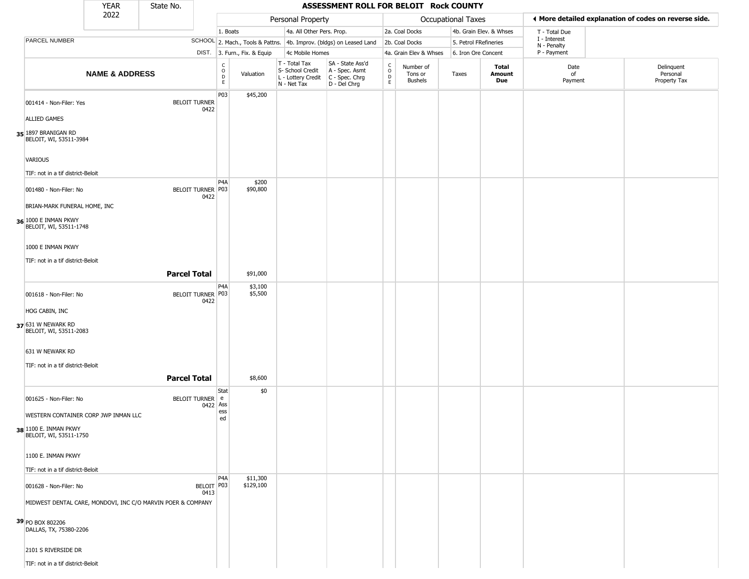|                                                 | <b>YEAR</b>               | State No.                                                   |                    |                                                              |                       |                                                                                       | ASSESSMENT ROLL FOR BELOIT Rock COUNTY                              |                                   |                                        |                       |                         |                             |                                                       |
|-------------------------------------------------|---------------------------|-------------------------------------------------------------|--------------------|--------------------------------------------------------------|-----------------------|---------------------------------------------------------------------------------------|---------------------------------------------------------------------|-----------------------------------|----------------------------------------|-----------------------|-------------------------|-----------------------------|-------------------------------------------------------|
|                                                 | 2022                      |                                                             |                    |                                                              |                       | Personal Property                                                                     |                                                                     |                                   |                                        | Occupational Taxes    |                         |                             | ♦ More detailed explanation of codes on reverse side. |
|                                                 |                           |                                                             |                    | 1. Boats                                                     |                       | 4a. All Other Pers. Prop.                                                             |                                                                     |                                   | 2a. Coal Docks                         |                       | 4b. Grain Elev. & Whses | T - Total Due               |                                                       |
| <b>PARCEL NUMBER</b>                            |                           |                                                             |                    |                                                              |                       |                                                                                       | SCHOOL 2. Mach., Tools & Pattns. 4b. Improv. (bldgs) on Leased Land |                                   | 2b. Coal Docks                         | 5. Petrol FRefineries |                         | I - Interest<br>N - Penalty |                                                       |
|                                                 |                           |                                                             |                    | DIST. 3. Furn., Fix. & Equip                                 |                       | 4c Mobile Homes                                                                       |                                                                     |                                   | 4a. Grain Elev & Whses                 | 6. Iron Ore Concent   |                         | P - Payment                 |                                                       |
|                                                 | <b>NAME &amp; ADDRESS</b> |                                                             |                    | $\begin{array}{c} C \\ O \\ D \\ E \end{array}$<br>Valuation |                       | T - Total Tax<br>S- School Credit<br>L - Lottery Credit C - Spec. Chrg<br>N - Net Tax | SA - State Ass'd<br>A - Spec. Asmt<br>D - Del Chrg                  | $\frac{c}{0}$<br>$\mathsf D$<br>E | Number of<br>Tons or<br><b>Bushels</b> | Taxes                 | Total<br>Amount<br>Due  | Date<br>of<br>Payment       | Delinquent<br>Personal<br>Property Tax                |
| 001414 - Non-Filer: Yes                         |                           | <b>BELOIT TURNER</b>                                        | 0422               | P03                                                          | \$45,200              |                                                                                       |                                                                     |                                   |                                        |                       |                         |                             |                                                       |
| <b>ALLIED GAMES</b>                             |                           |                                                             |                    |                                                              |                       |                                                                                       |                                                                     |                                   |                                        |                       |                         |                             |                                                       |
| 35 1897 BRANIGAN RD<br>BELOIT, WI, 53511-3984   |                           |                                                             |                    |                                                              |                       |                                                                                       |                                                                     |                                   |                                        |                       |                         |                             |                                                       |
| VARIOUS                                         |                           |                                                             |                    |                                                              |                       |                                                                                       |                                                                     |                                   |                                        |                       |                         |                             |                                                       |
| TIF: not in a tif district-Beloit               |                           |                                                             |                    | P <sub>4</sub> A                                             | \$200                 |                                                                                       |                                                                     |                                   |                                        |                       |                         |                             |                                                       |
| 001480 - Non-Filer: No                          |                           | BELOIT TURNER P03                                           | 0422               |                                                              | \$90,800              |                                                                                       |                                                                     |                                   |                                        |                       |                         |                             |                                                       |
| BRIAN-MARK FUNERAL HOME, INC                    |                           |                                                             |                    |                                                              |                       |                                                                                       |                                                                     |                                   |                                        |                       |                         |                             |                                                       |
| 36 1000 E INMAN PKWY<br>BELOIT, WI, 53511-1748  |                           |                                                             |                    |                                                              |                       |                                                                                       |                                                                     |                                   |                                        |                       |                         |                             |                                                       |
| 1000 E INMAN PKWY                               |                           |                                                             |                    |                                                              |                       |                                                                                       |                                                                     |                                   |                                        |                       |                         |                             |                                                       |
| TIF: not in a tif district-Beloit               |                           |                                                             |                    |                                                              |                       |                                                                                       |                                                                     |                                   |                                        |                       |                         |                             |                                                       |
|                                                 |                           | <b>Parcel Total</b>                                         |                    |                                                              | \$91,000              |                                                                                       |                                                                     |                                   |                                        |                       |                         |                             |                                                       |
| 001618 - Non-Filer: No                          |                           | BELOIT TURNER P03                                           | 0422               | P <sub>4</sub> A                                             | \$3,100<br>\$5,500    |                                                                                       |                                                                     |                                   |                                        |                       |                         |                             |                                                       |
| HOG CABIN, INC                                  |                           |                                                             |                    |                                                              |                       |                                                                                       |                                                                     |                                   |                                        |                       |                         |                             |                                                       |
| 37 631 W NEWARK RD<br>BELOIT, WI, 53511-2083    |                           |                                                             |                    |                                                              |                       |                                                                                       |                                                                     |                                   |                                        |                       |                         |                             |                                                       |
| 631 W NEWARK RD                                 |                           |                                                             |                    |                                                              |                       |                                                                                       |                                                                     |                                   |                                        |                       |                         |                             |                                                       |
| TIF: not in a tif district-Beloit               |                           |                                                             |                    |                                                              |                       |                                                                                       |                                                                     |                                   |                                        |                       |                         |                             |                                                       |
|                                                 |                           | <b>Parcel Total</b>                                         |                    |                                                              | \$8,600               |                                                                                       |                                                                     |                                   |                                        |                       |                         |                             |                                                       |
| 001625 - Non-Filer: No                          |                           | <b>BELOIT TURNER</b>                                        | e<br>Ass<br>0422   | Stat                                                         | \$0                   |                                                                                       |                                                                     |                                   |                                        |                       |                         |                             |                                                       |
| WESTERN CONTAINER CORP JWP INMAN LLC            |                           |                                                             |                    | ess<br>ed                                                    |                       |                                                                                       |                                                                     |                                   |                                        |                       |                         |                             |                                                       |
| 38 1100 E. INMAN PKWY<br>BELOIT, WI, 53511-1750 |                           |                                                             |                    |                                                              |                       |                                                                                       |                                                                     |                                   |                                        |                       |                         |                             |                                                       |
| 1100 E. INMAN PKWY                              |                           |                                                             |                    |                                                              |                       |                                                                                       |                                                                     |                                   |                                        |                       |                         |                             |                                                       |
| TIF: not in a tif district-Beloit               |                           |                                                             |                    |                                                              |                       |                                                                                       |                                                                     |                                   |                                        |                       |                         |                             |                                                       |
| 001628 - Non-Filer: No                          |                           |                                                             | BELOIT P03<br>0413 | P <sub>4</sub> A                                             | \$11,300<br>\$129,100 |                                                                                       |                                                                     |                                   |                                        |                       |                         |                             |                                                       |
|                                                 |                           | MIDWEST DENTAL CARE, MONDOVI, INC C/O MARVIN POER & COMPANY |                    |                                                              |                       |                                                                                       |                                                                     |                                   |                                        |                       |                         |                             |                                                       |
| 39 PO BOX 802206<br>DALLAS, TX, 75380-2206      |                           |                                                             |                    |                                                              |                       |                                                                                       |                                                                     |                                   |                                        |                       |                         |                             |                                                       |
| 2101 S RIVERSIDE DR                             |                           |                                                             |                    |                                                              |                       |                                                                                       |                                                                     |                                   |                                        |                       |                         |                             |                                                       |
| TIF: not in a tif district-Beloit               |                           |                                                             |                    |                                                              |                       |                                                                                       |                                                                     |                                   |                                        |                       |                         |                             |                                                       |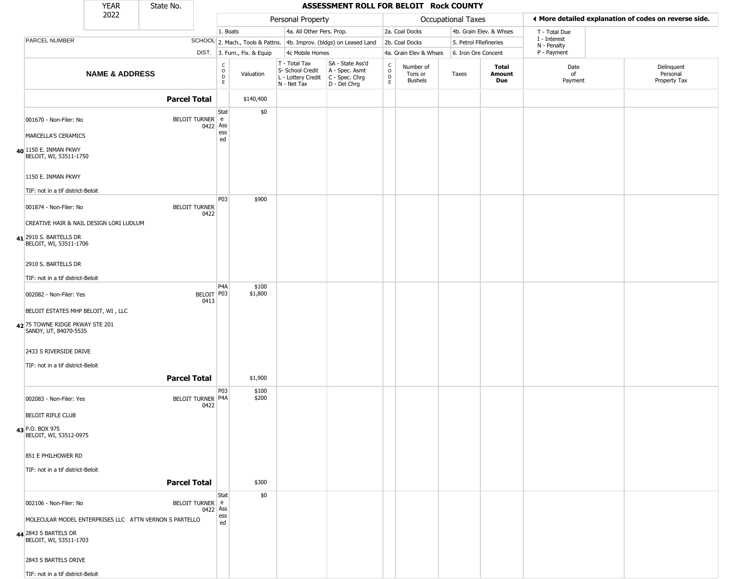|                                                          | <b>YEAR</b>                             | State No.                                              |                                                          |                              |                                                                                         | ASSESSMENT ROLL FOR BELOIT Rock COUNTY                              |                        |                                 |                       |                         |                             |                                                       |
|----------------------------------------------------------|-----------------------------------------|--------------------------------------------------------|----------------------------------------------------------|------------------------------|-----------------------------------------------------------------------------------------|---------------------------------------------------------------------|------------------------|---------------------------------|-----------------------|-------------------------|-----------------------------|-------------------------------------------------------|
|                                                          | 2022                                    |                                                        |                                                          |                              | Personal Property                                                                       |                                                                     |                        |                                 | Occupational Taxes    |                         |                             | I More detailed explanation of codes on reverse side. |
|                                                          |                                         |                                                        |                                                          | 1. Boats                     | 4a. All Other Pers. Prop.                                                               |                                                                     |                        | 2a. Coal Docks                  |                       | 4b. Grain Elev. & Whses | T - Total Due               |                                                       |
| PARCEL NUMBER                                            |                                         |                                                        |                                                          |                              |                                                                                         | SCHOOL 2. Mach., Tools & Pattns. 4b. Improv. (bldgs) on Leased Land |                        | 2b. Coal Docks                  | 5. Petrol FRefineries |                         | I - Interest<br>N - Penalty |                                                       |
|                                                          |                                         |                                                        |                                                          | DIST. 3. Furn., Fix. & Equip | 4c Mobile Homes                                                                         |                                                                     |                        | 4a. Grain Elev & Whses          | 6. Iron Ore Concent   |                         | P - Payment                 |                                                       |
|                                                          | <b>NAME &amp; ADDRESS</b>               |                                                        | $\begin{smallmatrix} C \\ O \\ D \end{smallmatrix}$<br>E | Valuation                    | T - Total Tax<br>S- School Credit<br>L - Lottery Credit   C - Spec. Chrg<br>N - Net Tax | SA - State Ass'd<br>A - Spec. Asmt<br>D - Del Chrg                  | C<br>$\circ$<br>D<br>E | Number of<br>Tons or<br>Bushels | Taxes                 | Total<br>Amount<br>Due  | Date<br>of<br>Payment       | Delinquent<br>Personal<br>Property Tax                |
|                                                          |                                         | <b>Parcel Total</b>                                    |                                                          | \$140,400                    |                                                                                         |                                                                     |                        |                                 |                       |                         |                             |                                                       |
| 001670 - Non-Filer: No                                   |                                         | BELOIT TURNER e                                        | <b>Stat</b><br>0422 Ass                                  | \$0                          |                                                                                         |                                                                     |                        |                                 |                       |                         |                             |                                                       |
| MARCELLA'S CERAMICS                                      |                                         |                                                        | ess<br>ed                                                |                              |                                                                                         |                                                                     |                        |                                 |                       |                         |                             |                                                       |
| 40 1150 E. INMAN PKWY<br>BELOIT, WI, 53511-1750          |                                         |                                                        |                                                          |                              |                                                                                         |                                                                     |                        |                                 |                       |                         |                             |                                                       |
| 1150 E. INMAN PKWY<br>TIF: not in a tif district-Beloit  |                                         |                                                        |                                                          |                              |                                                                                         |                                                                     |                        |                                 |                       |                         |                             |                                                       |
| 001874 - Non-Filer: No                                   |                                         | <b>BELOIT TURNER</b>                                   | <b>P03</b><br>0422                                       | \$900                        |                                                                                         |                                                                     |                        |                                 |                       |                         |                             |                                                       |
|                                                          | CREATIVE HAIR & NAIL DESIGN LORI LUDLUM |                                                        |                                                          |                              |                                                                                         |                                                                     |                        |                                 |                       |                         |                             |                                                       |
| 41 2910 S. BARTELLS DR<br>BELOIT, WI, 53511-1706         |                                         |                                                        |                                                          |                              |                                                                                         |                                                                     |                        |                                 |                       |                         |                             |                                                       |
| 2910 S. BARTELLS DR                                      |                                         |                                                        |                                                          |                              |                                                                                         |                                                                     |                        |                                 |                       |                         |                             |                                                       |
| TIF: not in a tif district-Beloit                        |                                         |                                                        |                                                          |                              |                                                                                         |                                                                     |                        |                                 |                       |                         |                             |                                                       |
| 002082 - Non-Filer: Yes                                  |                                         |                                                        | P4A<br>BELOIT P03                                        | \$100<br>\$1,800             |                                                                                         |                                                                     |                        |                                 |                       |                         |                             |                                                       |
| BELOIT ESTATES MHP BELOIT, WI, LLC                       |                                         |                                                        | 0413                                                     |                              |                                                                                         |                                                                     |                        |                                 |                       |                         |                             |                                                       |
| 42 75 TOWNE RIDGE PKWAY STE 201<br>SANDY, UT, 84070-5535 |                                         |                                                        |                                                          |                              |                                                                                         |                                                                     |                        |                                 |                       |                         |                             |                                                       |
| 2433 S RIVERSIDE DRIVE                                   |                                         |                                                        |                                                          |                              |                                                                                         |                                                                     |                        |                                 |                       |                         |                             |                                                       |
| TIF: not in a tif district-Beloit                        |                                         |                                                        |                                                          |                              |                                                                                         |                                                                     |                        |                                 |                       |                         |                             |                                                       |
|                                                          |                                         | <b>Parcel Total</b>                                    |                                                          | \$1,900                      |                                                                                         |                                                                     |                        |                                 |                       |                         |                             |                                                       |
| 002083 - Non-Filer: Yes                                  |                                         | BELOIT TURNER P4A                                      | P03<br>0422                                              | \$100<br>\$200               |                                                                                         |                                                                     |                        |                                 |                       |                         |                             |                                                       |
| <b>BELOIT RIFLE CLUB</b>                                 |                                         |                                                        |                                                          |                              |                                                                                         |                                                                     |                        |                                 |                       |                         |                             |                                                       |
| 43 P.O. BOX 975<br>BELOIT, WI, 53512-0975                |                                         |                                                        |                                                          |                              |                                                                                         |                                                                     |                        |                                 |                       |                         |                             |                                                       |
| 851 E PHILHOWER RD                                       |                                         |                                                        |                                                          |                              |                                                                                         |                                                                     |                        |                                 |                       |                         |                             |                                                       |
| TIF: not in a tif district-Beloit                        |                                         |                                                        |                                                          |                              |                                                                                         |                                                                     |                        |                                 |                       |                         |                             |                                                       |
|                                                          |                                         | <b>Parcel Total</b>                                    |                                                          | \$300                        |                                                                                         |                                                                     |                        |                                 |                       |                         |                             |                                                       |
| 002106 - Non-Filer: No                                   |                                         | BELOIT TURNER e                                        | <b>Stat</b><br>0422 Ass                                  | \$0                          |                                                                                         |                                                                     |                        |                                 |                       |                         |                             |                                                       |
|                                                          |                                         | MOLECULAR MODEL ENTERPRISES LLC ATTN VERNON S PARTELLO | ess<br>ed                                                |                              |                                                                                         |                                                                     |                        |                                 |                       |                         |                             |                                                       |
| 44 2843 S BARTELS DR<br>BELOIT, WI, 53511-1703           |                                         |                                                        |                                                          |                              |                                                                                         |                                                                     |                        |                                 |                       |                         |                             |                                                       |
| 2843 S BARTELS DRIVE                                     |                                         |                                                        |                                                          |                              |                                                                                         |                                                                     |                        |                                 |                       |                         |                             |                                                       |
| TIF: not in a tif district-Beloit                        |                                         |                                                        |                                                          |                              |                                                                                         |                                                                     |                        |                                 |                       |                         |                             |                                                       |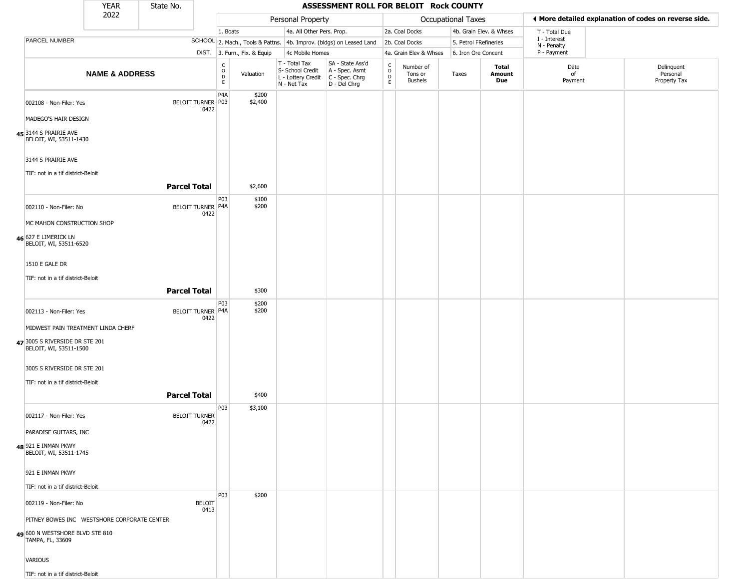|                                                          | <b>YEAR</b>               | State No.            |                       |                                                 |                              |                                                                                         | ASSESSMENT ROLL FOR BELOIT Rock COUNTY                              |                                                          |                                        |                       |                         |                             |                                                       |
|----------------------------------------------------------|---------------------------|----------------------|-----------------------|-------------------------------------------------|------------------------------|-----------------------------------------------------------------------------------------|---------------------------------------------------------------------|----------------------------------------------------------|----------------------------------------|-----------------------|-------------------------|-----------------------------|-------------------------------------------------------|
|                                                          | 2022                      |                      |                       |                                                 |                              | Personal Property                                                                       |                                                                     |                                                          |                                        | Occupational Taxes    |                         |                             | ♦ More detailed explanation of codes on reverse side. |
|                                                          |                           |                      |                       | 1. Boats                                        |                              | 4a. All Other Pers. Prop.                                                               |                                                                     |                                                          | 2a. Coal Docks                         |                       | 4b. Grain Elev. & Whses | T - Total Due               |                                                       |
| PARCEL NUMBER                                            |                           |                      |                       |                                                 |                              |                                                                                         | SCHOOL 2. Mach., Tools & Pattns. 4b. Improv. (bldgs) on Leased Land |                                                          | 2b. Coal Docks                         | 5. Petrol FRefineries |                         | I - Interest<br>N - Penalty |                                                       |
|                                                          |                           |                      |                       |                                                 | DIST. 3. Furn., Fix. & Equip | 4c Mobile Homes                                                                         |                                                                     |                                                          | 4a. Grain Elev & Whses                 | 6. Iron Ore Concent   |                         | P - Payment                 |                                                       |
|                                                          | <b>NAME &amp; ADDRESS</b> |                      |                       | $\begin{array}{c} C \\ O \\ D \\ E \end{array}$ | Valuation                    | T - Total Tax<br>S- School Credit<br>L - Lottery Credit   C - Spec. Chrg<br>N - Net Tax | SA - State Ass'd<br>A - Spec. Asmt<br>D - Del Chrg                  | $\begin{smallmatrix} C \\ O \\ D \end{smallmatrix}$<br>E | Number of<br>Tons or<br><b>Bushels</b> | Taxes                 | Total<br>Amount<br>Due  | Date<br>of<br>Payment       | Delinquent<br>Personal<br>Property Tax                |
| 002108 - Non-Filer: Yes                                  |                           | BELOIT TURNER P03    | 0422                  | P <sub>4</sub> A                                | \$200<br>\$2,400             |                                                                                         |                                                                     |                                                          |                                        |                       |                         |                             |                                                       |
| MADEGO'S HAIR DESIGN                                     |                           |                      |                       |                                                 |                              |                                                                                         |                                                                     |                                                          |                                        |                       |                         |                             |                                                       |
| 45 3144 S PRAIRIE AVE<br>BELOIT, WI, 53511-1430          |                           |                      |                       |                                                 |                              |                                                                                         |                                                                     |                                                          |                                        |                       |                         |                             |                                                       |
| 3144 S PRAIRIE AVE                                       |                           |                      |                       |                                                 |                              |                                                                                         |                                                                     |                                                          |                                        |                       |                         |                             |                                                       |
| TIF: not in a tif district-Beloit                        |                           | <b>Parcel Total</b>  |                       |                                                 | \$2,600                      |                                                                                         |                                                                     |                                                          |                                        |                       |                         |                             |                                                       |
|                                                          |                           |                      |                       | P03                                             | \$100                        |                                                                                         |                                                                     |                                                          |                                        |                       |                         |                             |                                                       |
| 002110 - Non-Filer: No                                   |                           | BELOIT TURNER P4A    | 0422                  |                                                 | \$200                        |                                                                                         |                                                                     |                                                          |                                        |                       |                         |                             |                                                       |
| MC MAHON CONSTRUCTION SHOP                               |                           |                      |                       |                                                 |                              |                                                                                         |                                                                     |                                                          |                                        |                       |                         |                             |                                                       |
| 46 627 E LIMERICK LN<br>BELOIT, WI, 53511-6520           |                           |                      |                       |                                                 |                              |                                                                                         |                                                                     |                                                          |                                        |                       |                         |                             |                                                       |
| 1510 E GALE DR                                           |                           |                      |                       |                                                 |                              |                                                                                         |                                                                     |                                                          |                                        |                       |                         |                             |                                                       |
| TIF: not in a tif district-Beloit                        |                           |                      |                       |                                                 |                              |                                                                                         |                                                                     |                                                          |                                        |                       |                         |                             |                                                       |
|                                                          |                           | <b>Parcel Total</b>  |                       |                                                 | \$300                        |                                                                                         |                                                                     |                                                          |                                        |                       |                         |                             |                                                       |
| 002113 - Non-Filer: Yes                                  |                           | BELOIT TURNER P4A    | 0422                  | P03                                             | \$200<br>\$200               |                                                                                         |                                                                     |                                                          |                                        |                       |                         |                             |                                                       |
| MIDWEST PAIN TREATMENT LINDA CHERF                       |                           |                      |                       |                                                 |                              |                                                                                         |                                                                     |                                                          |                                        |                       |                         |                             |                                                       |
| 47 3005 S RIVERSIDE DR STE 201<br>BELOIT, WI, 53511-1500 |                           |                      |                       |                                                 |                              |                                                                                         |                                                                     |                                                          |                                        |                       |                         |                             |                                                       |
| 3005 S RIVERSIDE DR STE 201                              |                           |                      |                       |                                                 |                              |                                                                                         |                                                                     |                                                          |                                        |                       |                         |                             |                                                       |
| TIF: not in a tif district-Beloit                        |                           |                      |                       |                                                 |                              |                                                                                         |                                                                     |                                                          |                                        |                       |                         |                             |                                                       |
|                                                          |                           | <b>Parcel Total</b>  |                       |                                                 | \$400                        |                                                                                         |                                                                     |                                                          |                                        |                       |                         |                             |                                                       |
| 002117 - Non-Filer: Yes                                  |                           | <b>BELOIT TURNER</b> | 0422                  | P03                                             | \$3,100                      |                                                                                         |                                                                     |                                                          |                                        |                       |                         |                             |                                                       |
| PARADISE GUITARS, INC                                    |                           |                      |                       |                                                 |                              |                                                                                         |                                                                     |                                                          |                                        |                       |                         |                             |                                                       |
| 48 921 E INMAN PKWY<br>BELOIT, WI, 53511-1745            |                           |                      |                       |                                                 |                              |                                                                                         |                                                                     |                                                          |                                        |                       |                         |                             |                                                       |
| 921 E INMAN PKWY                                         |                           |                      |                       |                                                 |                              |                                                                                         |                                                                     |                                                          |                                        |                       |                         |                             |                                                       |
| TIF: not in a tif district-Beloit                        |                           |                      |                       |                                                 |                              |                                                                                         |                                                                     |                                                          |                                        |                       |                         |                             |                                                       |
| 002119 - Non-Filer: No                                   |                           |                      | <b>BELOIT</b><br>0413 | <b>P03</b>                                      | \$200                        |                                                                                         |                                                                     |                                                          |                                        |                       |                         |                             |                                                       |
| PITNEY BOWES INC WESTSHORE CORPORATE CENTER              |                           |                      |                       |                                                 |                              |                                                                                         |                                                                     |                                                          |                                        |                       |                         |                             |                                                       |
| 600 N WESTSHORE BLVD STE 810<br>TAMPA, FL, 33609         |                           |                      |                       |                                                 |                              |                                                                                         |                                                                     |                                                          |                                        |                       |                         |                             |                                                       |
| <b>VARIOUS</b>                                           |                           |                      |                       |                                                 |                              |                                                                                         |                                                                     |                                                          |                                        |                       |                         |                             |                                                       |
| TIF: not in a tif district-Beloit                        |                           |                      |                       |                                                 |                              |                                                                                         |                                                                     |                                                          |                                        |                       |                         |                             |                                                       |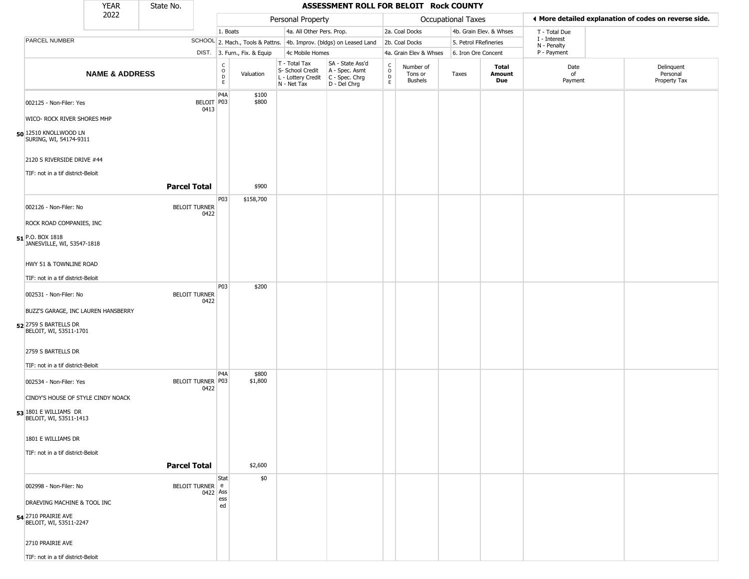|                                                 | <b>YEAR</b>                                                     | State No.            |                                              |                                  |                                                                        | ASSESSMENT ROLL FOR BELOIT Rock COUNTY                               |                                                 |                                        |                       |                         |                             |                                                       |
|-------------------------------------------------|-----------------------------------------------------------------|----------------------|----------------------------------------------|----------------------------------|------------------------------------------------------------------------|----------------------------------------------------------------------|-------------------------------------------------|----------------------------------------|-----------------------|-------------------------|-----------------------------|-------------------------------------------------------|
|                                                 | 2022                                                            |                      |                                              |                                  | Personal Property                                                      |                                                                      |                                                 |                                        | Occupational Taxes    |                         |                             | ♦ More detailed explanation of codes on reverse side. |
|                                                 |                                                                 |                      |                                              | 1. Boats                         | 4a. All Other Pers. Prop.                                              |                                                                      |                                                 | 2a. Coal Docks                         |                       | 4b. Grain Elev. & Whses | T - Total Due               |                                                       |
| PARCEL NUMBER                                   |                                                                 |                      |                                              | SCHOOL 2. Mach., Tools & Pattns. |                                                                        | 4b. Improv. (bldgs) on Leased Land                                   |                                                 | 2b. Coal Docks                         | 5. Petrol FRefineries |                         | I - Interest<br>N - Penalty |                                                       |
|                                                 |                                                                 |                      |                                              | DIST. 3. Furn., Fix. & Equip     | 4c Mobile Homes                                                        |                                                                      |                                                 | 4a. Grain Elev & Whses                 | 6. Iron Ore Concent   |                         | P - Payment                 |                                                       |
|                                                 | <b>NAME &amp; ADDRESS</b>                                       |                      | $\begin{array}{c}\nC \\ O \\ D\n\end{array}$ | Valuation                        | T - Total Tax<br>S- School Credit<br>L - Lottery Credit<br>N - Net Tax | SA - State Ass'd<br>A - Spec. Asmt<br>C - Spec. Chrg<br>D - Del Chrg | $\begin{array}{c} C \\ O \\ D \\ E \end{array}$ | Number of<br>Tons or<br><b>Bushels</b> | Taxes                 | Total<br>Amount<br>Due  | Date<br>of<br>Payment       | Delinquent<br>Personal<br>Property Tax                |
| 002125 - Non-Filer: Yes                         | WICO- ROCK RIVER SHORES MHP                                     |                      | P <sub>4</sub> A<br>BELOIT P03<br>0413       | \$100<br>\$800                   |                                                                        |                                                                      |                                                 |                                        |                       |                         |                             |                                                       |
| 50 12510 KNOLLWOOD LN<br>SURING, WI, 54174-9311 |                                                                 |                      |                                              |                                  |                                                                        |                                                                      |                                                 |                                        |                       |                         |                             |                                                       |
|                                                 | 2120 S RIVERSIDE DRIVE #44<br>TIF: not in a tif district-Beloit | <b>Parcel Total</b>  |                                              | \$900                            |                                                                        |                                                                      |                                                 |                                        |                       |                         |                             |                                                       |
| 002126 - Non-Filer: No                          |                                                                 | <b>BELOIT TURNER</b> | P03<br>0422                                  | \$158,700                        |                                                                        |                                                                      |                                                 |                                        |                       |                         |                             |                                                       |
| 51 P.O. BOX 1818                                | ROCK ROAD COMPANIES, INC<br>JANESVILLE, WI, 53547-1818          |                      |                                              |                                  |                                                                        |                                                                      |                                                 |                                        |                       |                         |                             |                                                       |
|                                                 | HWY 51 & TOWNLINE ROAD                                          |                      |                                              |                                  |                                                                        |                                                                      |                                                 |                                        |                       |                         |                             |                                                       |
| 002531 - Non-Filer: No                          | TIF: not in a tif district-Beloit                               | <b>BELOIT TURNER</b> | P03<br>0422                                  | \$200                            |                                                                        |                                                                      |                                                 |                                        |                       |                         |                             |                                                       |
| 52 2759 S BARTELLS DR<br>BELOIT, WI, 53511-1701 | BUZZ'S GARAGE, INC LAUREN HANSBERRY                             |                      |                                              |                                  |                                                                        |                                                                      |                                                 |                                        |                       |                         |                             |                                                       |
| 2759 S BARTELLS DR                              | TIF: not in a tif district-Beloit                               |                      |                                              |                                  |                                                                        |                                                                      |                                                 |                                        |                       |                         |                             |                                                       |
| 002534 - Non-Filer: Yes                         | CINDY'S HOUSE OF STYLE CINDY NOACK                              | BELOIT TURNER P03    | P4A<br>0422                                  | \$800<br>\$1,800                 |                                                                        |                                                                      |                                                 |                                        |                       |                         |                             |                                                       |
| 53 1801 E WILLIAMS DR<br>BELOIT, WI, 53511-1413 |                                                                 |                      |                                              |                                  |                                                                        |                                                                      |                                                 |                                        |                       |                         |                             |                                                       |
| 1801 E WILLIAMS DR                              | TIF: not in a tif district-Beloit                               |                      |                                              |                                  |                                                                        |                                                                      |                                                 |                                        |                       |                         |                             |                                                       |
|                                                 |                                                                 | <b>Parcel Total</b>  |                                              | \$2,600                          |                                                                        |                                                                      |                                                 |                                        |                       |                         |                             |                                                       |
| 002998 - Non-Filer: No<br>54 2710 PRAIRIE AVE   | DRAEVING MACHINE & TOOL INC                                     | BELOIT TURNER e      | Stat<br>0422 Ass<br>ess<br>ed                | \$0                              |                                                                        |                                                                      |                                                 |                                        |                       |                         |                             |                                                       |
| BELOIT, WI, 53511-2247<br>2710 PRAIRIE AVE      | TIF: not in a tif district-Beloit                               |                      |                                              |                                  |                                                                        |                                                                      |                                                 |                                        |                       |                         |                             |                                                       |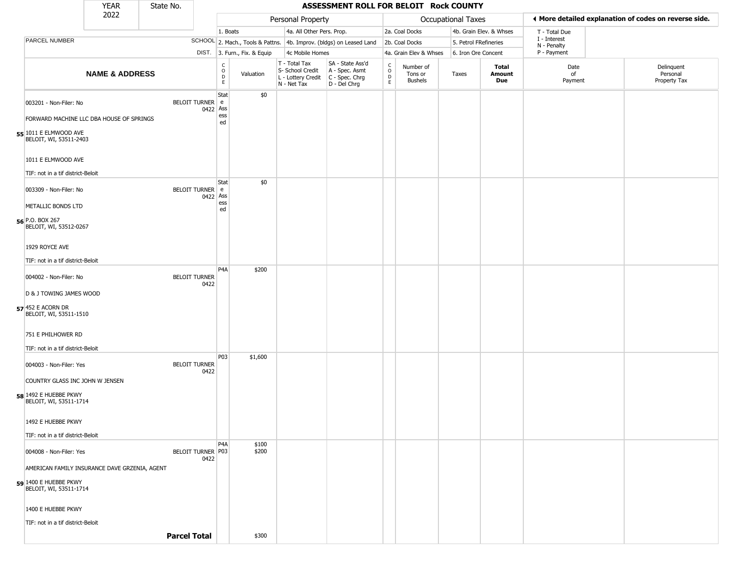|                   |                                                                           | <b>YEAR</b>                                   | State No.            |          |                                                   |                              |                                                                                         | ASSESSMENT ROLL FOR BELOIT Rock COUNTY                              |                  |                                        |                    |                         |                             |                                                       |
|-------------------|---------------------------------------------------------------------------|-----------------------------------------------|----------------------|----------|---------------------------------------------------|------------------------------|-----------------------------------------------------------------------------------------|---------------------------------------------------------------------|------------------|----------------------------------------|--------------------|-------------------------|-----------------------------|-------------------------------------------------------|
|                   |                                                                           | 2022                                          |                      |          |                                                   |                              | Personal Property                                                                       |                                                                     |                  |                                        | Occupational Taxes |                         |                             | ◀ More detailed explanation of codes on reverse side. |
|                   |                                                                           |                                               |                      |          | 1. Boats                                          |                              | 4a. All Other Pers. Prop.                                                               |                                                                     |                  | 2a. Coal Docks                         |                    | 4b. Grain Elev. & Whses | T - Total Due               |                                                       |
|                   | PARCEL NUMBER                                                             |                                               |                      |          |                                                   |                              |                                                                                         | SCHOOL 2. Mach., Tools & Pattns. 4b. Improv. (bldgs) on Leased Land |                  | 2b. Coal Docks                         |                    | 5. Petrol FRefineries   | I - Interest<br>N - Penalty |                                                       |
|                   |                                                                           |                                               |                      |          |                                                   | DIST. 3. Furn., Fix. & Equip | 4c Mobile Homes                                                                         |                                                                     |                  | 4a. Grain Elev & Whses                 |                    | 6. Iron Ore Concent     | P - Payment                 |                                                       |
|                   |                                                                           | <b>NAME &amp; ADDRESS</b>                     |                      |          | C<br>$\begin{array}{c}\n0 \\ D \\ E\n\end{array}$ | Valuation                    | T - Total Tax<br>S- School Credit<br>L - Lottery Credit   C - Spec. Chrg<br>N - Net Tax | SA - State Ass'd<br>A - Spec. Asmt<br>D - Del Chrg                  | C<br>D<br>D<br>E | Number of<br>Tons or<br><b>Bushels</b> | Taxes              | Total<br>Amount<br>Due  | Date<br>of<br>Payment       | Delinquent<br>Personal<br>Property Tax                |
|                   | 003201 - Non-Filer: No<br>55 1011 E ELMWOOD AVE<br>BELOIT, WI, 53511-2403 | FORWARD MACHINE LLC DBA HOUSE OF SPRINGS      | BELOIT TURNER e      | 0422 Ass | Stat<br>ess<br>ed                                 | \$0                          |                                                                                         |                                                                     |                  |                                        |                    |                         |                             |                                                       |
|                   | 1011 E ELMWOOD AVE<br>TIF: not in a tif district-Beloit                   |                                               |                      |          |                                                   |                              |                                                                                         |                                                                     |                  |                                        |                    |                         |                             |                                                       |
|                   | 003309 - Non-Filer: No<br>METALLIC BONDS LTD                              |                                               | BELOIT TURNER e      | 0422 Ass | Stat<br>ess                                       | \$0                          |                                                                                         |                                                                     |                  |                                        |                    |                         |                             |                                                       |
| 56 P.O. BOX 267   | BELOIT, WI, 53512-0267                                                    |                                               |                      |          | ed                                                |                              |                                                                                         |                                                                     |                  |                                        |                    |                         |                             |                                                       |
|                   | 1929 ROYCE AVE                                                            |                                               |                      |          |                                                   |                              |                                                                                         |                                                                     |                  |                                        |                    |                         |                             |                                                       |
|                   | TIF: not in a tif district-Beloit                                         |                                               |                      |          | P4A                                               | \$200                        |                                                                                         |                                                                     |                  |                                        |                    |                         |                             |                                                       |
|                   | 004002 - Non-Filer: No<br>D & J TOWING JAMES WOOD                         |                                               | <b>BELOIT TURNER</b> | 0422     |                                                   |                              |                                                                                         |                                                                     |                  |                                        |                    |                         |                             |                                                       |
| 57 452 E ACORN DR | BELOIT, WI, 53511-1510                                                    |                                               |                      |          |                                                   |                              |                                                                                         |                                                                     |                  |                                        |                    |                         |                             |                                                       |
|                   | 751 E PHILHOWER RD                                                        |                                               |                      |          |                                                   |                              |                                                                                         |                                                                     |                  |                                        |                    |                         |                             |                                                       |
|                   | TIF: not in a tif district-Beloit                                         |                                               |                      |          | P03                                               | \$1,600                      |                                                                                         |                                                                     |                  |                                        |                    |                         |                             |                                                       |
|                   | 004003 - Non-Filer: Yes                                                   |                                               | <b>BELOIT TURNER</b> | 0422     |                                                   |                              |                                                                                         |                                                                     |                  |                                        |                    |                         |                             |                                                       |
|                   | 58 1492 E HUEBBE PKWY<br>BELOIT, WI, 53511-1714                           | COUNTRY GLASS INC JOHN W JENSEN               |                      |          |                                                   |                              |                                                                                         |                                                                     |                  |                                        |                    |                         |                             |                                                       |
|                   | 1492 E HUEBBE PKWY<br>TIF: not in a tif district-Beloit                   |                                               |                      |          |                                                   |                              |                                                                                         |                                                                     |                  |                                        |                    |                         |                             |                                                       |
|                   | 004008 - Non-Filer: Yes                                                   |                                               | BELOIT TURNER P03    | 0422     | P4A                                               | \$100<br>\$200               |                                                                                         |                                                                     |                  |                                        |                    |                         |                             |                                                       |
|                   |                                                                           | AMERICAN FAMILY INSURANCE DAVE GRZENIA, AGENT |                      |          |                                                   |                              |                                                                                         |                                                                     |                  |                                        |                    |                         |                             |                                                       |
|                   | 59 1400 E HUEBBE PKWY<br>BELOIT, WI, 53511-1714                           |                                               |                      |          |                                                   |                              |                                                                                         |                                                                     |                  |                                        |                    |                         |                             |                                                       |
|                   | 1400 E HUEBBE PKWY                                                        |                                               |                      |          |                                                   |                              |                                                                                         |                                                                     |                  |                                        |                    |                         |                             |                                                       |
|                   | TIF: not in a tif district-Beloit                                         |                                               |                      |          |                                                   |                              |                                                                                         |                                                                     |                  |                                        |                    |                         |                             |                                                       |
|                   |                                                                           |                                               | <b>Parcel Total</b>  |          |                                                   | \$300                        |                                                                                         |                                                                     |                  |                                        |                    |                         |                             |                                                       |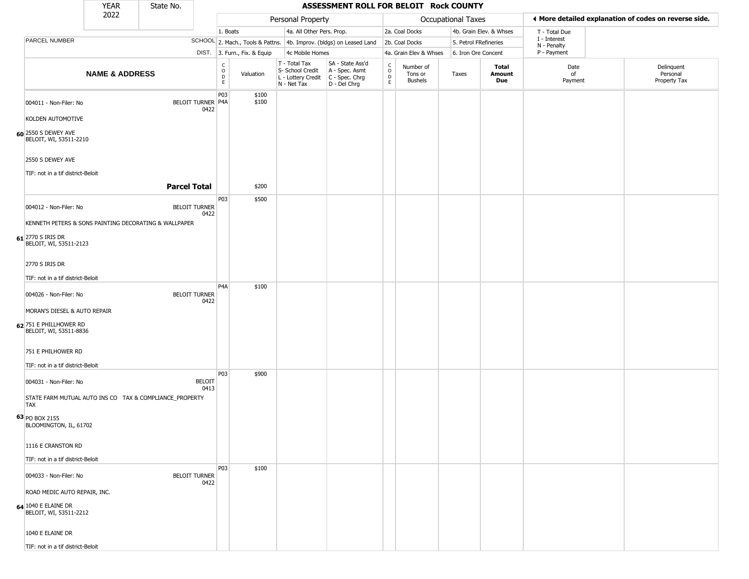|                                                                    | <b>YEAR</b>               | State No.                                               |                             |                              |                                                                                         | ASSESSMENT ROLL FOR BELOIT Rock COUNTY                              |                                                   |                                        |                       |                         |                             |                                                       |
|--------------------------------------------------------------------|---------------------------|---------------------------------------------------------|-----------------------------|------------------------------|-----------------------------------------------------------------------------------------|---------------------------------------------------------------------|---------------------------------------------------|----------------------------------------|-----------------------|-------------------------|-----------------------------|-------------------------------------------------------|
|                                                                    | 2022                      |                                                         |                             |                              | Personal Property                                                                       |                                                                     |                                                   |                                        | Occupational Taxes    |                         |                             | ◀ More detailed explanation of codes on reverse side. |
|                                                                    |                           |                                                         | 1. Boats                    |                              | 4a. All Other Pers. Prop.                                                               |                                                                     |                                                   | 2a. Coal Docks                         |                       | 4b. Grain Elev. & Whses | T - Total Due               |                                                       |
| PARCEL NUMBER                                                      |                           |                                                         |                             |                              |                                                                                         | SCHOOL 2. Mach., Tools & Pattns. 4b. Improv. (bldgs) on Leased Land |                                                   | 2b. Coal Docks                         | 5. Petrol FRefineries |                         | I - Interest<br>N - Penalty |                                                       |
|                                                                    |                           |                                                         |                             | DIST. 3. Furn., Fix. & Equip | 4c Mobile Homes                                                                         |                                                                     |                                                   | 4a. Grain Elev & Whses                 | 6. Iron Ore Concent   |                         | P - Payment                 |                                                       |
|                                                                    | <b>NAME &amp; ADDRESS</b> |                                                         | C<br>$\mathsf{o}$<br>D<br>E | Valuation                    | T - Total Tax<br>S- School Credit<br>L - Lottery Credit   C - Spec. Chrg<br>N - Net Tax | SA - State Ass'd<br>A - Spec. Asmt<br>D - Del Chrg                  | $\begin{array}{c}\nC \\ O \\ D \\ E\n\end{array}$ | Number of<br>Tons or<br><b>Bushels</b> | Taxes                 | Total<br>Amount<br>Due  | Date<br>of<br>Payment       | Delinquent<br>Personal<br>Property Tax                |
| 004011 - Non-Filer: No                                             |                           | BELOIT TURNER P4A<br>0422                               | P03                         | \$100<br>\$100               |                                                                                         |                                                                     |                                                   |                                        |                       |                         |                             |                                                       |
| KOLDEN AUTOMOTIVE<br>60 2550 S DEWEY AVE<br>BELOIT, WI, 53511-2210 |                           |                                                         |                             |                              |                                                                                         |                                                                     |                                                   |                                        |                       |                         |                             |                                                       |
| 2550 S DEWEY AVE                                                   |                           |                                                         |                             |                              |                                                                                         |                                                                     |                                                   |                                        |                       |                         |                             |                                                       |
| TIF: not in a tif district-Beloit                                  |                           | <b>Parcel Total</b>                                     |                             | \$200                        |                                                                                         |                                                                     |                                                   |                                        |                       |                         |                             |                                                       |
|                                                                    |                           |                                                         | P03                         | \$500                        |                                                                                         |                                                                     |                                                   |                                        |                       |                         |                             |                                                       |
| 004012 - Non-Filer: No                                             |                           | <b>BELOIT TURNER</b><br>0422                            |                             |                              |                                                                                         |                                                                     |                                                   |                                        |                       |                         |                             |                                                       |
|                                                                    |                           | KENNETH PETERS & SONS PAINTING DECORATING & WALLPAPER   |                             |                              |                                                                                         |                                                                     |                                                   |                                        |                       |                         |                             |                                                       |
| 61 2770 S IRIS DR<br>BELOIT, WI, 53511-2123                        |                           |                                                         |                             |                              |                                                                                         |                                                                     |                                                   |                                        |                       |                         |                             |                                                       |
| 2770 S IRIS DR                                                     |                           |                                                         |                             |                              |                                                                                         |                                                                     |                                                   |                                        |                       |                         |                             |                                                       |
| TIF: not in a tif district-Beloit                                  |                           |                                                         |                             |                              |                                                                                         |                                                                     |                                                   |                                        |                       |                         |                             |                                                       |
| 004026 - Non-Filer: No                                             |                           | <b>BELOIT TURNER</b><br>0422                            | P <sub>4</sub> A            | \$100                        |                                                                                         |                                                                     |                                                   |                                        |                       |                         |                             |                                                       |
| MORAN'S DIESEL & AUTO REPAIR                                       |                           |                                                         |                             |                              |                                                                                         |                                                                     |                                                   |                                        |                       |                         |                             |                                                       |
| 62 751 E PHILLHOWER RD<br>BELOIT, WI, 53511-8836                   |                           |                                                         |                             |                              |                                                                                         |                                                                     |                                                   |                                        |                       |                         |                             |                                                       |
| 751 E PHILHOWER RD                                                 |                           |                                                         |                             |                              |                                                                                         |                                                                     |                                                   |                                        |                       |                         |                             |                                                       |
| TIF: not in a tif district-Beloit                                  |                           |                                                         | P03                         | \$900                        |                                                                                         |                                                                     |                                                   |                                        |                       |                         |                             |                                                       |
| 004031 - Non-Filer: No                                             |                           | <b>BELOIT</b><br>0413                                   |                             |                              |                                                                                         |                                                                     |                                                   |                                        |                       |                         |                             |                                                       |
| <b>TAX</b>                                                         |                           | STATE FARM MUTUAL AUTO INS CO TAX & COMPLIANCE_PROPERTY |                             |                              |                                                                                         |                                                                     |                                                   |                                        |                       |                         |                             |                                                       |
| 63 PO BOX 2155<br>BLOOMINGTON, IL, 61702                           |                           |                                                         |                             |                              |                                                                                         |                                                                     |                                                   |                                        |                       |                         |                             |                                                       |
| 1116 E CRANSTON RD                                                 |                           |                                                         |                             |                              |                                                                                         |                                                                     |                                                   |                                        |                       |                         |                             |                                                       |
| TIF: not in a tif district-Beloit                                  |                           |                                                         |                             |                              |                                                                                         |                                                                     |                                                   |                                        |                       |                         |                             |                                                       |
| 004033 - Non-Filer: No                                             |                           | <b>BELOIT TURNER</b><br>0422                            | P03                         | \$100                        |                                                                                         |                                                                     |                                                   |                                        |                       |                         |                             |                                                       |
| ROAD MEDIC AUTO REPAIR, INC.                                       |                           |                                                         |                             |                              |                                                                                         |                                                                     |                                                   |                                        |                       |                         |                             |                                                       |
| $64$ 1040 E ELAINE DR<br>BELOIT, WI, 53511-2212                    |                           |                                                         |                             |                              |                                                                                         |                                                                     |                                                   |                                        |                       |                         |                             |                                                       |
| 1040 E ELAINE DR                                                   |                           |                                                         |                             |                              |                                                                                         |                                                                     |                                                   |                                        |                       |                         |                             |                                                       |
| TIF: not in a tif district-Beloit                                  |                           |                                                         |                             |                              |                                                                                         |                                                                     |                                                   |                                        |                       |                         |                             |                                                       |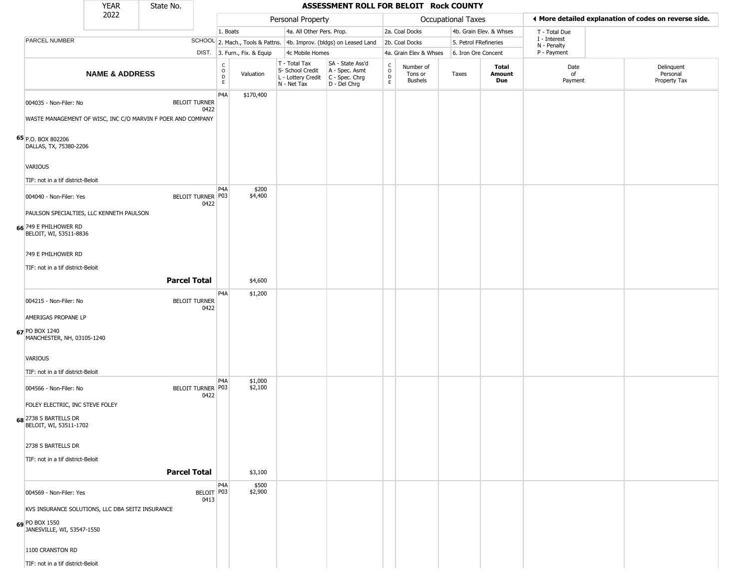|                                                                                       | <b>YEAR</b>               | State No.           |                              |                                                                    |                              |                                                                                         | ASSESSMENT ROLL FOR BELOIT Rock COUNTY                              |                                                 |                                        |                           |                         |                             |                                                       |
|---------------------------------------------------------------------------------------|---------------------------|---------------------|------------------------------|--------------------------------------------------------------------|------------------------------|-----------------------------------------------------------------------------------------|---------------------------------------------------------------------|-------------------------------------------------|----------------------------------------|---------------------------|-------------------------|-----------------------------|-------------------------------------------------------|
|                                                                                       | 2022                      |                     |                              |                                                                    |                              | Personal Property                                                                       |                                                                     |                                                 |                                        | <b>Occupational Taxes</b> |                         |                             | ♦ More detailed explanation of codes on reverse side. |
|                                                                                       |                           |                     |                              | 1. Boats                                                           |                              | 4a. All Other Pers. Prop.                                                               |                                                                     |                                                 | 2a. Coal Docks                         |                           | 4b. Grain Elev. & Whses | T - Total Due               |                                                       |
| PARCEL NUMBER                                                                         |                           |                     |                              |                                                                    |                              |                                                                                         | SCHOOL 2. Mach., Tools & Pattns. 4b. Improv. (bldgs) on Leased Land |                                                 | 2b. Coal Docks                         | 5. Petrol FRefineries     |                         | I - Interest<br>N - Penalty |                                                       |
|                                                                                       |                           |                     |                              |                                                                    | DIST. 3. Furn., Fix. & Equip | 4c Mobile Homes                                                                         |                                                                     |                                                 | 4a. Grain Elev & Whses                 | 6. Iron Ore Concent       |                         | P - Payment                 |                                                       |
|                                                                                       | <b>NAME &amp; ADDRESS</b> |                     |                              | $\begin{smallmatrix} C \\ O \\ D \end{smallmatrix}$<br>$\mathsf E$ | Valuation                    | T - Total Tax<br>S- School Credit<br>L - Lottery Credit   C - Spec. Chrg<br>N - Net Tax | SA - State Ass'd<br>A - Spec. Asmt<br>D - Del Chrg                  | $\begin{array}{c} C \\ O \\ D \\ E \end{array}$ | Number of<br>Tons or<br><b>Bushels</b> | Taxes                     | Total<br>Amount<br>Due  | Date<br>of<br>Payment       | Delinquent<br>Personal<br>Property Tax                |
| 004035 - Non-Filer: No<br>WASTE MANAGEMENT OF WISC, INC C/O MARVIN F POER AND COMPANY |                           |                     | <b>BELOIT TURNER</b><br>0422 | P4A                                                                | \$170,400                    |                                                                                         |                                                                     |                                                 |                                        |                           |                         |                             |                                                       |
| 65 P.O. BOX 802206<br>DALLAS, TX, 75380-2206                                          |                           |                     |                              |                                                                    |                              |                                                                                         |                                                                     |                                                 |                                        |                           |                         |                             |                                                       |
| VARIOUS                                                                               |                           |                     |                              |                                                                    |                              |                                                                                         |                                                                     |                                                 |                                        |                           |                         |                             |                                                       |
| TIF: not in a tif district-Beloit                                                     |                           |                     |                              | P4A                                                                | \$200                        |                                                                                         |                                                                     |                                                 |                                        |                           |                         |                             |                                                       |
| 004040 - Non-Filer: Yes                                                               |                           |                     | BELOIT TURNER P03<br>0422    |                                                                    | \$4,400                      |                                                                                         |                                                                     |                                                 |                                        |                           |                         |                             |                                                       |
| PAULSON SPECIALTIES, LLC KENNETH PAULSON                                              |                           |                     |                              |                                                                    |                              |                                                                                         |                                                                     |                                                 |                                        |                           |                         |                             |                                                       |
| 66 749 E PHILHOWER RD<br>BELOIT, WI, 53511-8836                                       |                           |                     |                              |                                                                    |                              |                                                                                         |                                                                     |                                                 |                                        |                           |                         |                             |                                                       |
| 749 E PHILHOWER RD                                                                    |                           |                     |                              |                                                                    |                              |                                                                                         |                                                                     |                                                 |                                        |                           |                         |                             |                                                       |
| TIF: not in a tif district-Beloit                                                     |                           |                     |                              |                                                                    |                              |                                                                                         |                                                                     |                                                 |                                        |                           |                         |                             |                                                       |
|                                                                                       |                           | <b>Parcel Total</b> |                              |                                                                    | \$4,600                      |                                                                                         |                                                                     |                                                 |                                        |                           |                         |                             |                                                       |
| 004215 - Non-Filer: No                                                                |                           |                     | <b>BELOIT TURNER</b><br>0422 | P <sub>4</sub> A                                                   | \$1,200                      |                                                                                         |                                                                     |                                                 |                                        |                           |                         |                             |                                                       |
| AMERIGAS PROPANE LP                                                                   |                           |                     |                              |                                                                    |                              |                                                                                         |                                                                     |                                                 |                                        |                           |                         |                             |                                                       |
| 67 PO BOX 1240<br>MANCHESTER, NH, 03105-1240                                          |                           |                     |                              |                                                                    |                              |                                                                                         |                                                                     |                                                 |                                        |                           |                         |                             |                                                       |
| <b>VARIOUS</b>                                                                        |                           |                     |                              |                                                                    |                              |                                                                                         |                                                                     |                                                 |                                        |                           |                         |                             |                                                       |
| TIF: not in a tif district-Beloit                                                     |                           |                     |                              |                                                                    |                              |                                                                                         |                                                                     |                                                 |                                        |                           |                         |                             |                                                       |
| 004566 - Non-Filer: No                                                                |                           |                     | BELOIT TURNER   P03<br>0422  | P4A                                                                | \$1,000<br>\$2,100           |                                                                                         |                                                                     |                                                 |                                        |                           |                         |                             |                                                       |
| FOLEY ELECTRIC, INC STEVE FOLEY                                                       |                           |                     |                              |                                                                    |                              |                                                                                         |                                                                     |                                                 |                                        |                           |                         |                             |                                                       |
| 68 2738 S BARTELLS DR<br>BELOIT, WI, 53511-1702                                       |                           |                     |                              |                                                                    |                              |                                                                                         |                                                                     |                                                 |                                        |                           |                         |                             |                                                       |
| 2738 S BARTELLS DR                                                                    |                           |                     |                              |                                                                    |                              |                                                                                         |                                                                     |                                                 |                                        |                           |                         |                             |                                                       |
| TIF: not in a tif district-Beloit                                                     |                           |                     |                              |                                                                    |                              |                                                                                         |                                                                     |                                                 |                                        |                           |                         |                             |                                                       |
|                                                                                       |                           | <b>Parcel Total</b> |                              |                                                                    | \$3,100                      |                                                                                         |                                                                     |                                                 |                                        |                           |                         |                             |                                                       |
| 004569 - Non-Filer: Yes                                                               |                           |                     | BELOIT P03<br>0413           | P4A                                                                | \$500<br>\$2,900             |                                                                                         |                                                                     |                                                 |                                        |                           |                         |                             |                                                       |
| KVS INSURANCE SOLUTIONS, LLC DBA SEITZ INSURANCE                                      |                           |                     |                              |                                                                    |                              |                                                                                         |                                                                     |                                                 |                                        |                           |                         |                             |                                                       |
| 69 PO BOX 1550<br>JANESVILLE, WI, 53547-1550                                          |                           |                     |                              |                                                                    |                              |                                                                                         |                                                                     |                                                 |                                        |                           |                         |                             |                                                       |
| 1100 CRANSTON RD                                                                      |                           |                     |                              |                                                                    |                              |                                                                                         |                                                                     |                                                 |                                        |                           |                         |                             |                                                       |
| TIF: not in a tif district-Beloit                                                     |                           |                     |                              |                                                                    |                              |                                                                                         |                                                                     |                                                 |                                        |                           |                         |                             |                                                       |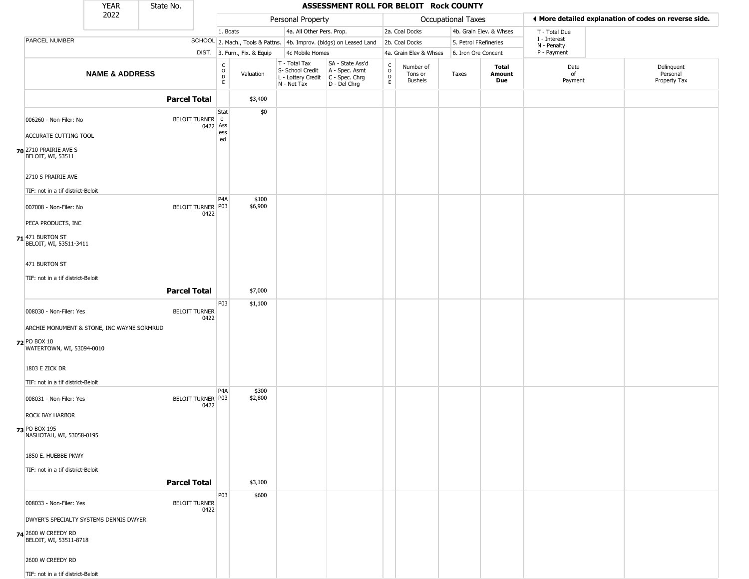|                       |                                                         | <b>YEAR</b>                                | State No.           |                              |                                                                    |                              |                                                                                         | ASSESSMENT ROLL FOR BELOIT Rock COUNTY                              |                                                          |                                        |                           |                         |                             |                                                       |
|-----------------------|---------------------------------------------------------|--------------------------------------------|---------------------|------------------------------|--------------------------------------------------------------------|------------------------------|-----------------------------------------------------------------------------------------|---------------------------------------------------------------------|----------------------------------------------------------|----------------------------------------|---------------------------|-------------------------|-----------------------------|-------------------------------------------------------|
|                       |                                                         | 2022                                       |                     |                              |                                                                    |                              | Personal Property                                                                       |                                                                     |                                                          |                                        | <b>Occupational Taxes</b> |                         |                             | ◀ More detailed explanation of codes on reverse side. |
|                       |                                                         |                                            |                     |                              | 1. Boats                                                           |                              | 4a. All Other Pers. Prop.                                                               |                                                                     |                                                          | 2a. Coal Docks                         |                           | 4b. Grain Elev. & Whses | T - Total Due               |                                                       |
|                       | PARCEL NUMBER                                           |                                            |                     |                              |                                                                    |                              |                                                                                         | SCHOOL 2. Mach., Tools & Pattns. 4b. Improv. (bldgs) on Leased Land |                                                          | 2b. Coal Docks                         | 5. Petrol FRefineries     |                         | I - Interest<br>N - Penalty |                                                       |
|                       |                                                         |                                            |                     |                              |                                                                    | DIST. 3. Furn., Fix. & Equip | 4c Mobile Homes                                                                         |                                                                     |                                                          | 4a. Grain Elev & Whses                 | 6. Iron Ore Concent       |                         | P - Payment                 |                                                       |
|                       |                                                         | <b>NAME &amp; ADDRESS</b>                  |                     |                              | $\begin{smallmatrix} C \\ O \\ D \end{smallmatrix}$<br>$\mathsf E$ | Valuation                    | T - Total Tax<br>S- School Credit<br>L - Lottery Credit   C - Spec. Chrg<br>N - Net Tax | SA - State Ass'd<br>A - Spec. Asmt<br>D - Del Chrg                  | $\begin{smallmatrix} C \\ O \\ D \end{smallmatrix}$<br>E | Number of<br>Tons or<br><b>Bushels</b> | Taxes                     | Total<br>Amount<br>Due  | Date<br>of<br>Payment       | Delinquent<br>Personal<br>Property Tax                |
|                       |                                                         |                                            | <b>Parcel Total</b> |                              |                                                                    | \$3,400                      |                                                                                         |                                                                     |                                                          |                                        |                           |                         |                             |                                                       |
|                       | 006260 - Non-Filer: No                                  |                                            |                     | BELOIT TURNER e<br>0422 Ass  | Stat                                                               | \$0                          |                                                                                         |                                                                     |                                                          |                                        |                           |                         |                             |                                                       |
|                       | ACCURATE CUTTING TOOL                                   |                                            |                     |                              | ess<br>ed                                                          |                              |                                                                                         |                                                                     |                                                          |                                        |                           |                         |                             |                                                       |
| 70 2710 PRAIRIE AVE S | BELOIT, WI, 53511                                       |                                            |                     |                              |                                                                    |                              |                                                                                         |                                                                     |                                                          |                                        |                           |                         |                             |                                                       |
|                       | 2710 S PRAIRIE AVE<br>TIF: not in a tif district-Beloit |                                            |                     |                              |                                                                    |                              |                                                                                         |                                                                     |                                                          |                                        |                           |                         |                             |                                                       |
|                       | 007008 - Non-Filer: No                                  |                                            |                     | BELOIT TURNER P03<br>0422    | P4A                                                                | \$100<br>\$6,900             |                                                                                         |                                                                     |                                                          |                                        |                           |                         |                             |                                                       |
|                       | PECA PRODUCTS, INC                                      |                                            |                     |                              |                                                                    |                              |                                                                                         |                                                                     |                                                          |                                        |                           |                         |                             |                                                       |
| $71$ 471 BURTON ST    | BELOIT, WI, 53511-3411                                  |                                            |                     |                              |                                                                    |                              |                                                                                         |                                                                     |                                                          |                                        |                           |                         |                             |                                                       |
| 471 BURTON ST         |                                                         |                                            |                     |                              |                                                                    |                              |                                                                                         |                                                                     |                                                          |                                        |                           |                         |                             |                                                       |
|                       | TIF: not in a tif district-Beloit                       |                                            |                     |                              |                                                                    |                              |                                                                                         |                                                                     |                                                          |                                        |                           |                         |                             |                                                       |
|                       |                                                         |                                            | <b>Parcel Total</b> |                              |                                                                    | \$7,000                      |                                                                                         |                                                                     |                                                          |                                        |                           |                         |                             |                                                       |
|                       |                                                         |                                            |                     |                              | P03                                                                | \$1,100                      |                                                                                         |                                                                     |                                                          |                                        |                           |                         |                             |                                                       |
|                       | 008030 - Non-Filer: Yes                                 |                                            |                     | <b>BELOIT TURNER</b><br>0422 |                                                                    |                              |                                                                                         |                                                                     |                                                          |                                        |                           |                         |                             |                                                       |
|                       |                                                         | ARCHIE MONUMENT & STONE, INC WAYNE SORMRUD |                     |                              |                                                                    |                              |                                                                                         |                                                                     |                                                          |                                        |                           |                         |                             |                                                       |
| 72 PO BOX 10          | WATERTOWN, WI, 53094-0010                               |                                            |                     |                              |                                                                    |                              |                                                                                         |                                                                     |                                                          |                                        |                           |                         |                             |                                                       |
| 1803 E ZICK DR        |                                                         |                                            |                     |                              |                                                                    |                              |                                                                                         |                                                                     |                                                          |                                        |                           |                         |                             |                                                       |
|                       | TIF: not in a tif district-Beloit                       |                                            |                     |                              |                                                                    |                              |                                                                                         |                                                                     |                                                          |                                        |                           |                         |                             |                                                       |
|                       | 008031 - Non-Filer: Yes                                 |                                            |                     | BELOIT TURNER P03<br>0422    | P4A                                                                | \$300<br>\$2,800             |                                                                                         |                                                                     |                                                          |                                        |                           |                         |                             |                                                       |
|                       | ROCK BAY HARBOR                                         |                                            |                     |                              |                                                                    |                              |                                                                                         |                                                                     |                                                          |                                        |                           |                         |                             |                                                       |
| 73 PO BOX 195         | NASHOTAH, WI, 53058-0195                                |                                            |                     |                              |                                                                    |                              |                                                                                         |                                                                     |                                                          |                                        |                           |                         |                             |                                                       |
|                       | 1850 E. HUEBBE PKWY                                     |                                            |                     |                              |                                                                    |                              |                                                                                         |                                                                     |                                                          |                                        |                           |                         |                             |                                                       |
|                       | TIF: not in a tif district-Beloit                       |                                            |                     |                              |                                                                    |                              |                                                                                         |                                                                     |                                                          |                                        |                           |                         |                             |                                                       |
|                       |                                                         |                                            | <b>Parcel Total</b> |                              |                                                                    | \$3,100                      |                                                                                         |                                                                     |                                                          |                                        |                           |                         |                             |                                                       |
|                       | 008033 - Non-Filer: Yes                                 |                                            |                     | <b>BELOIT TURNER</b><br>0422 | P03                                                                | \$600                        |                                                                                         |                                                                     |                                                          |                                        |                           |                         |                             |                                                       |
|                       |                                                         | DWYER'S SPECIALTY SYSTEMS DENNIS DWYER     |                     |                              |                                                                    |                              |                                                                                         |                                                                     |                                                          |                                        |                           |                         |                             |                                                       |
| 74 2600 W CREEDY RD   | BELOIT, WI, 53511-8718                                  |                                            |                     |                              |                                                                    |                              |                                                                                         |                                                                     |                                                          |                                        |                           |                         |                             |                                                       |
|                       | 2600 W CREEDY RD                                        |                                            |                     |                              |                                                                    |                              |                                                                                         |                                                                     |                                                          |                                        |                           |                         |                             |                                                       |
|                       | TIF: not in a tif district-Beloit                       |                                            |                     |                              |                                                                    |                              |                                                                                         |                                                                     |                                                          |                                        |                           |                         |                             |                                                       |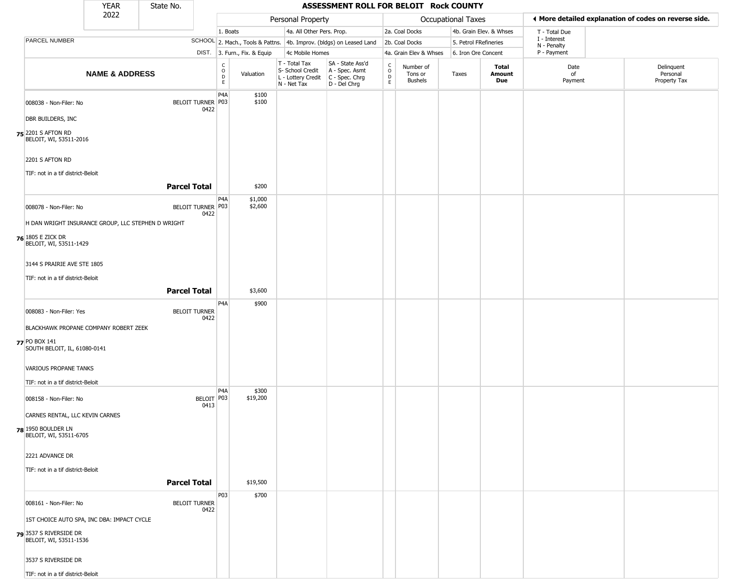|                                                                                        | YEAR                      | State No.           |                              |                  |                              |                                                                                         | ASSESSMENT ROLL FOR BELOIT Rock COUNTY                              |                                                          |                                        |                       |                               |                             |                                                       |
|----------------------------------------------------------------------------------------|---------------------------|---------------------|------------------------------|------------------|------------------------------|-----------------------------------------------------------------------------------------|---------------------------------------------------------------------|----------------------------------------------------------|----------------------------------------|-----------------------|-------------------------------|-----------------------------|-------------------------------------------------------|
|                                                                                        | 2022                      |                     |                              |                  |                              | Personal Property                                                                       |                                                                     |                                                          |                                        | Occupational Taxes    |                               |                             | ♦ More detailed explanation of codes on reverse side. |
|                                                                                        |                           |                     |                              | 1. Boats         |                              | 4a. All Other Pers. Prop.                                                               |                                                                     |                                                          | 2a. Coal Docks                         |                       | 4b. Grain Elev. & Whses       | T - Total Due               |                                                       |
| PARCEL NUMBER                                                                          |                           |                     |                              |                  |                              |                                                                                         | SCHOOL 2. Mach., Tools & Pattns. 4b. Improv. (bldgs) on Leased Land |                                                          | 2b. Coal Docks                         | 5. Petrol FRefineries |                               | I - Interest<br>N - Penalty |                                                       |
|                                                                                        |                           |                     |                              |                  | DIST. 3. Furn., Fix. & Equip | 4c Mobile Homes                                                                         |                                                                     |                                                          | 4a. Grain Elev & Whses                 | 6. Iron Ore Concent   |                               | P - Payment                 |                                                       |
|                                                                                        | <b>NAME &amp; ADDRESS</b> |                     |                              | C<br>D<br>E<br>E | Valuation                    | T - Total Tax<br>S- School Credit<br>L - Lottery Credit   C - Spec. Chrg<br>N - Net Tax | SA - State Ass'd<br>A - Spec. Asmt<br>D - Del Chrg                  | $\begin{smallmatrix} C \\ O \\ D \end{smallmatrix}$<br>E | Number of<br>Tons or<br><b>Bushels</b> | Taxes                 | <b>Total</b><br>Amount<br>Due | Date<br>of<br>Payment       | Delinquent<br>Personal<br>Property Tax                |
| 008038 - Non-Filer: No                                                                 |                           |                     | BELOIT TURNER P03<br>0422    | P4A              | \$100<br>\$100               |                                                                                         |                                                                     |                                                          |                                        |                       |                               |                             |                                                       |
| DBR BUILDERS, INC                                                                      |                           |                     |                              |                  |                              |                                                                                         |                                                                     |                                                          |                                        |                       |                               |                             |                                                       |
| 75 <sup>2201</sup> S AFTON RD<br>BELOIT, WI, 53511-2016                                |                           |                     |                              |                  |                              |                                                                                         |                                                                     |                                                          |                                        |                       |                               |                             |                                                       |
| 2201 S AFTON RD                                                                        |                           |                     |                              |                  |                              |                                                                                         |                                                                     |                                                          |                                        |                       |                               |                             |                                                       |
| TIF: not in a tif district-Beloit                                                      |                           | <b>Parcel Total</b> |                              |                  | \$200                        |                                                                                         |                                                                     |                                                          |                                        |                       |                               |                             |                                                       |
| 008078 - Non-Filer: No                                                                 |                           |                     | BELOIT TURNER P03<br>0422    | P4A              | \$1,000<br>\$2,600           |                                                                                         |                                                                     |                                                          |                                        |                       |                               |                             |                                                       |
| H DAN WRIGHT INSURANCE GROUP, LLC STEPHEN D WRIGHT                                     |                           |                     |                              |                  |                              |                                                                                         |                                                                     |                                                          |                                        |                       |                               |                             |                                                       |
| <b>76</b> 1805 E ZICK DR<br>BELOIT, WI, 53511-1429                                     |                           |                     |                              |                  |                              |                                                                                         |                                                                     |                                                          |                                        |                       |                               |                             |                                                       |
| 3144 S PRAIRIE AVE STE 1805                                                            |                           |                     |                              |                  |                              |                                                                                         |                                                                     |                                                          |                                        |                       |                               |                             |                                                       |
| TIF: not in a tif district-Beloit                                                      |                           | <b>Parcel Total</b> |                              |                  | \$3,600                      |                                                                                         |                                                                     |                                                          |                                        |                       |                               |                             |                                                       |
| 008083 - Non-Filer: Yes                                                                |                           |                     | <b>BELOIT TURNER</b>         | P4A              | \$900                        |                                                                                         |                                                                     |                                                          |                                        |                       |                               |                             |                                                       |
|                                                                                        |                           |                     | 0422                         |                  |                              |                                                                                         |                                                                     |                                                          |                                        |                       |                               |                             |                                                       |
| BLACKHAWK PROPANE COMPANY ROBERT ZEEK<br>77 PO BOX 141<br>SOUTH BELOIT, IL, 61080-0141 |                           |                     |                              |                  |                              |                                                                                         |                                                                     |                                                          |                                        |                       |                               |                             |                                                       |
| VARIOUS PROPANE TANKS                                                                  |                           |                     |                              |                  |                              |                                                                                         |                                                                     |                                                          |                                        |                       |                               |                             |                                                       |
| TIF: not in a tif district-Beloit                                                      |                           |                     |                              |                  |                              |                                                                                         |                                                                     |                                                          |                                        |                       |                               |                             |                                                       |
| 008158 - Non-Filer: No                                                                 |                           |                     | BELOIT P03<br>0413           | P <sub>4</sub> A | \$300<br>\$19,200            |                                                                                         |                                                                     |                                                          |                                        |                       |                               |                             |                                                       |
| CARNES RENTAL, LLC KEVIN CARNES                                                        |                           |                     |                              |                  |                              |                                                                                         |                                                                     |                                                          |                                        |                       |                               |                             |                                                       |
| <b>78</b> 1950 Boulder LN<br>BELOIT, WI, 53511-6705                                    |                           |                     |                              |                  |                              |                                                                                         |                                                                     |                                                          |                                        |                       |                               |                             |                                                       |
| 2221 ADVANCE DR                                                                        |                           |                     |                              |                  |                              |                                                                                         |                                                                     |                                                          |                                        |                       |                               |                             |                                                       |
| TIF: not in a tif district-Beloit                                                      |                           |                     |                              |                  |                              |                                                                                         |                                                                     |                                                          |                                        |                       |                               |                             |                                                       |
|                                                                                        |                           | <b>Parcel Total</b> |                              |                  | \$19,500                     |                                                                                         |                                                                     |                                                          |                                        |                       |                               |                             |                                                       |
| 008161 - Non-Filer: No                                                                 |                           |                     | <b>BELOIT TURNER</b><br>0422 | <b>P03</b>       | \$700                        |                                                                                         |                                                                     |                                                          |                                        |                       |                               |                             |                                                       |
| 1ST CHOICE AUTO SPA, INC DBA: IMPACT CYCLE                                             |                           |                     |                              |                  |                              |                                                                                         |                                                                     |                                                          |                                        |                       |                               |                             |                                                       |
| 79 3537 S RIVERSIDE DR<br>BELOIT, WI, 53511-1536                                       |                           |                     |                              |                  |                              |                                                                                         |                                                                     |                                                          |                                        |                       |                               |                             |                                                       |
| 3537 S RIVERSIDE DR                                                                    |                           |                     |                              |                  |                              |                                                                                         |                                                                     |                                                          |                                        |                       |                               |                             |                                                       |
| TIF: not in a tif district-Beloit                                                      |                           |                     |                              |                  |                              |                                                                                         |                                                                     |                                                          |                                        |                       |                               |                             |                                                       |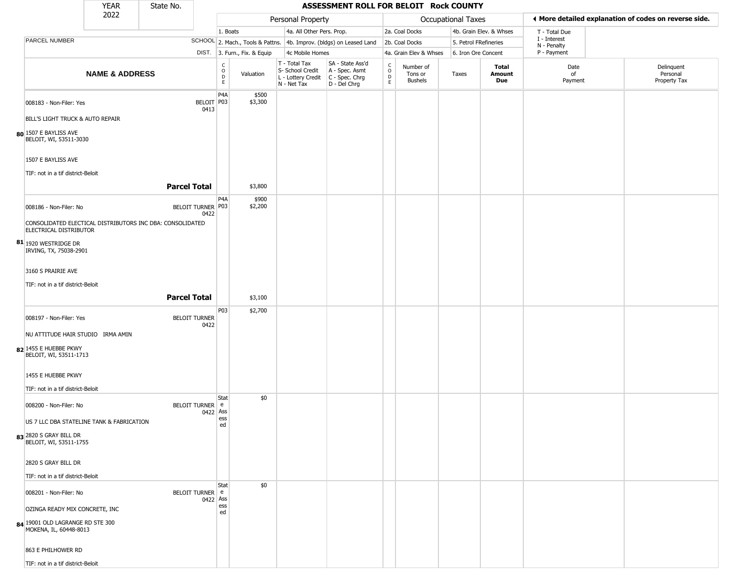| ◀ More detailed explanation of codes on reverse side.     |
|-----------------------------------------------------------|
|                                                           |
|                                                           |
|                                                           |
| Delinquent<br>Date<br>Personal<br>Payment<br>Property Tax |
|                                                           |
|                                                           |
|                                                           |
|                                                           |
|                                                           |
|                                                           |
|                                                           |
|                                                           |
|                                                           |
|                                                           |
|                                                           |
|                                                           |
|                                                           |
|                                                           |
|                                                           |
|                                                           |
|                                                           |
|                                                           |
|                                                           |
|                                                           |
|                                                           |
|                                                           |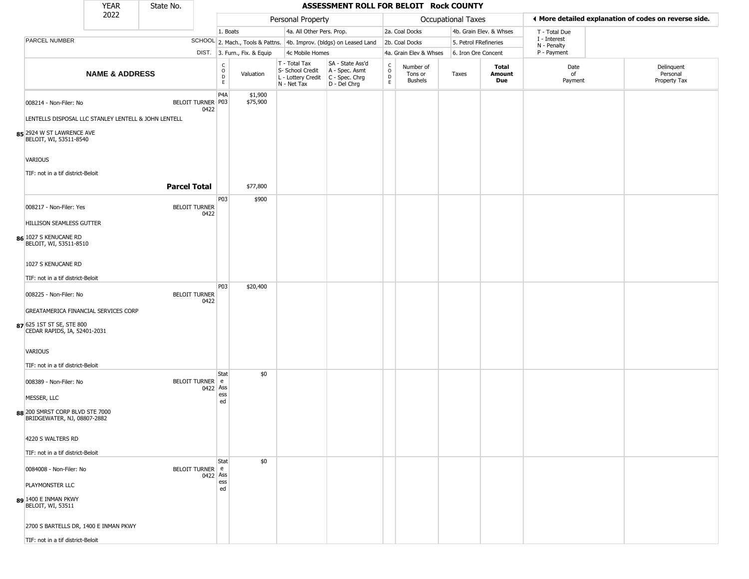|                                                                               | <b>YEAR</b>               | State No.            |          |                                             |                              |                                                                                         | ASSESSMENT ROLL FOR BELOIT Rock COUNTY                              |                                                          |                                        |                       |                         |                             |                                                       |
|-------------------------------------------------------------------------------|---------------------------|----------------------|----------|---------------------------------------------|------------------------------|-----------------------------------------------------------------------------------------|---------------------------------------------------------------------|----------------------------------------------------------|----------------------------------------|-----------------------|-------------------------|-----------------------------|-------------------------------------------------------|
|                                                                               | 2022                      |                      |          |                                             |                              | Personal Property                                                                       |                                                                     |                                                          |                                        | Occupational Taxes    |                         |                             | ♦ More detailed explanation of codes on reverse side. |
|                                                                               |                           |                      |          | 1. Boats                                    |                              | 4a. All Other Pers. Prop.                                                               |                                                                     |                                                          | 2a. Coal Docks                         |                       | 4b. Grain Elev. & Whses | T - Total Due               |                                                       |
| PARCEL NUMBER                                                                 |                           |                      |          |                                             |                              |                                                                                         | SCHOOL 2. Mach., Tools & Pattns. 4b. Improv. (bldgs) on Leased Land |                                                          | 2b. Coal Docks                         | 5. Petrol FRefineries |                         | I - Interest<br>N - Penalty |                                                       |
|                                                                               |                           |                      |          |                                             | DIST. 3. Furn., Fix. & Equip | 4c Mobile Homes                                                                         |                                                                     |                                                          | 4a. Grain Elev & Whses                 | 6. Iron Ore Concent   |                         | P - Payment                 |                                                       |
|                                                                               | <b>NAME &amp; ADDRESS</b> |                      |          | $\frac{c}{0}$<br>$\mathsf D$<br>$\mathsf E$ | Valuation                    | T - Total Tax<br>S- School Credit<br>L - Lottery Credit   C - Spec. Chrg<br>N - Net Tax | SA - State Ass'd<br>A - Spec. Asmt<br>D - Del Chrg                  | $\begin{matrix} 0 \\ 0 \\ D \end{matrix}$<br>$\mathsf E$ | Number of<br>Tons or<br><b>Bushels</b> | Taxes                 | Total<br>Amount<br>Due  | Date<br>of<br>Payment       | Delinquent<br>Personal<br>Property Tax                |
| 008214 - Non-Filer: No                                                        |                           | BELOIT TURNER P03    | 0422     | P <sub>4</sub> A                            | \$1,900<br>\$75,900          |                                                                                         |                                                                     |                                                          |                                        |                       |                         |                             |                                                       |
| LENTELLS DISPOSAL LLC STANLEY LENTELL & JOHN LENTELL                          |                           |                      |          |                                             |                              |                                                                                         |                                                                     |                                                          |                                        |                       |                         |                             |                                                       |
| 85 2924 W ST LAWRENCE AVE<br>BELOIT, WI, 53511-8540                           |                           |                      |          |                                             |                              |                                                                                         |                                                                     |                                                          |                                        |                       |                         |                             |                                                       |
| VARIOUS                                                                       |                           |                      |          |                                             |                              |                                                                                         |                                                                     |                                                          |                                        |                       |                         |                             |                                                       |
| TIF: not in a tif district-Beloit                                             |                           |                      |          |                                             |                              |                                                                                         |                                                                     |                                                          |                                        |                       |                         |                             |                                                       |
|                                                                               |                           | <b>Parcel Total</b>  |          |                                             | \$77,800                     |                                                                                         |                                                                     |                                                          |                                        |                       |                         |                             |                                                       |
|                                                                               |                           |                      |          |                                             |                              |                                                                                         |                                                                     |                                                          |                                        |                       |                         |                             |                                                       |
| 008217 - Non-Filer: Yes                                                       |                           | <b>BELOIT TURNER</b> | 0422     | P03                                         | \$900                        |                                                                                         |                                                                     |                                                          |                                        |                       |                         |                             |                                                       |
| HILLISON SEAMLESS GUTTER                                                      |                           |                      |          |                                             |                              |                                                                                         |                                                                     |                                                          |                                        |                       |                         |                             |                                                       |
| 86 1027 S KENUCANE RD<br>BELOIT, WI, 53511-8510                               |                           |                      |          |                                             |                              |                                                                                         |                                                                     |                                                          |                                        |                       |                         |                             |                                                       |
| 1027 S KENUCANE RD                                                            |                           |                      |          |                                             |                              |                                                                                         |                                                                     |                                                          |                                        |                       |                         |                             |                                                       |
| TIF: not in a tif district-Beloit                                             |                           |                      |          | <b>P03</b>                                  | \$20,400                     |                                                                                         |                                                                     |                                                          |                                        |                       |                         |                             |                                                       |
| 008225 - Non-Filer: No                                                        |                           | <b>BELOIT TURNER</b> | 0422     |                                             |                              |                                                                                         |                                                                     |                                                          |                                        |                       |                         |                             |                                                       |
| GREATAMERICA FINANCIAL SERVICES CORP                                          |                           |                      |          |                                             |                              |                                                                                         |                                                                     |                                                          |                                        |                       |                         |                             |                                                       |
| 87 625 1ST ST SE, STE 800<br>CEDAR RAPIDS, IA, 52401-2031                     |                           |                      |          |                                             |                              |                                                                                         |                                                                     |                                                          |                                        |                       |                         |                             |                                                       |
| <b>VARIOUS</b>                                                                |                           |                      |          |                                             |                              |                                                                                         |                                                                     |                                                          |                                        |                       |                         |                             |                                                       |
| TIF: not in a tif district-Beloit                                             |                           |                      |          | Stat                                        | \$0                          |                                                                                         |                                                                     |                                                          |                                        |                       |                         |                             |                                                       |
| 008389 - Non-Filer: No                                                        |                           | <b>BELOIT TURNER</b> | 0422     | e<br>Ass<br>ess                             |                              |                                                                                         |                                                                     |                                                          |                                        |                       |                         |                             |                                                       |
| MESSER, LLC<br>88 200 SMRST CORP BLVD STE 7000<br>BRIDGEWATER, NJ, 08807-2882 |                           |                      |          | ed                                          |                              |                                                                                         |                                                                     |                                                          |                                        |                       |                         |                             |                                                       |
| 4220 S WALTERS RD                                                             |                           |                      |          |                                             |                              |                                                                                         |                                                                     |                                                          |                                        |                       |                         |                             |                                                       |
| TIF: not in a tif district-Beloit                                             |                           |                      |          |                                             |                              |                                                                                         |                                                                     |                                                          |                                        |                       |                         |                             |                                                       |
| 0084008 - Non-Filer: No                                                       |                           | BELOIT TURNER e      | 0422 Ass | Stat                                        | \$0                          |                                                                                         |                                                                     |                                                          |                                        |                       |                         |                             |                                                       |
| <b>PLAYMONSTER LLC</b>                                                        |                           |                      |          | ess                                         |                              |                                                                                         |                                                                     |                                                          |                                        |                       |                         |                             |                                                       |
| 89 1400 E INMAN PKWY<br>BELOIT, WI, 53511                                     |                           |                      |          | ed                                          |                              |                                                                                         |                                                                     |                                                          |                                        |                       |                         |                             |                                                       |
| 2700 S BARTELLS DR, 1400 E INMAN PKWY                                         |                           |                      |          |                                             |                              |                                                                                         |                                                                     |                                                          |                                        |                       |                         |                             |                                                       |
| TIF: not in a tif district-Beloit                                             |                           |                      |          |                                             |                              |                                                                                         |                                                                     |                                                          |                                        |                       |                         |                             |                                                       |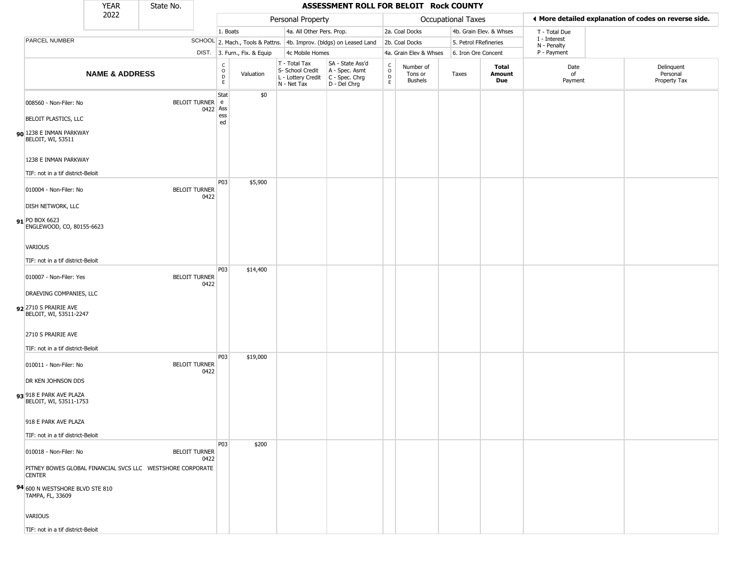|                                                                              | <b>YEAR</b>               | State No. |                              |                                   |                              |                                                                        | ASSESSMENT ROLL FOR BELOIT Rock COUNTY                               |                                   |                                        |                       |                               |                             |                                                       |
|------------------------------------------------------------------------------|---------------------------|-----------|------------------------------|-----------------------------------|------------------------------|------------------------------------------------------------------------|----------------------------------------------------------------------|-----------------------------------|----------------------------------------|-----------------------|-------------------------------|-----------------------------|-------------------------------------------------------|
|                                                                              | 2022                      |           |                              |                                   |                              | Personal Property                                                      |                                                                      |                                   |                                        | Occupational Taxes    |                               |                             | ◀ More detailed explanation of codes on reverse side. |
|                                                                              |                           |           |                              | 1. Boats                          |                              | 4a. All Other Pers. Prop.                                              |                                                                      |                                   | 2a. Coal Docks                         |                       | 4b. Grain Elev. & Whses       | T - Total Due               |                                                       |
| PARCEL NUMBER                                                                |                           |           |                              |                                   |                              |                                                                        | SCHOOL 2. Mach., Tools & Pattns. 4b. Improv. (bldgs) on Leased Land  |                                   | 2b. Coal Docks                         | 5. Petrol FRefineries |                               | I - Interest<br>N - Penalty |                                                       |
|                                                                              |                           |           |                              |                                   | DIST. 3. Furn., Fix. & Equip | 4c Mobile Homes                                                        |                                                                      |                                   | 4a. Grain Elev & Whses                 | 6. Iron Ore Concent   |                               | P - Payment                 |                                                       |
|                                                                              | <b>NAME &amp; ADDRESS</b> |           |                              | $\mathsf{C}$<br>$\circ$<br>D<br>E | Valuation                    | T - Total Tax<br>S- School Credit<br>L - Lottery Credit<br>N - Net Tax | SA - State Ass'd<br>A - Spec. Asmt<br>C - Spec. Chrg<br>D - Del Chrg | $\frac{c}{0}$<br>$\mathsf D$<br>E | Number of<br>Tons or<br><b>Bushels</b> | Taxes                 | Total<br><b>Amount</b><br>Due | Date<br>of<br>Payment       | Delinquent<br>Personal<br>Property Tax                |
| 008560 - Non-Filer: No                                                       |                           |           | BELOIT TURNER e<br>0422 Ass  | Stat                              | \$0                          |                                                                        |                                                                      |                                   |                                        |                       |                               |                             |                                                       |
| BELOIT PLASTICS, LLC<br>90 1238 E INMAN PARKWAY<br>BELOIT, WI, 53511         |                           |           |                              | ess<br>ed                         |                              |                                                                        |                                                                      |                                   |                                        |                       |                               |                             |                                                       |
| 1238 E INMAN PARKWAY                                                         |                           |           |                              |                                   |                              |                                                                        |                                                                      |                                   |                                        |                       |                               |                             |                                                       |
| TIF: not in a tif district-Beloit                                            |                           |           |                              |                                   |                              |                                                                        |                                                                      |                                   |                                        |                       |                               |                             |                                                       |
| 010004 - Non-Filer: No                                                       |                           |           | <b>BELOIT TURNER</b><br>0422 | P03                               | \$5,900                      |                                                                        |                                                                      |                                   |                                        |                       |                               |                             |                                                       |
| DISH NETWORK, LLC                                                            |                           |           |                              |                                   |                              |                                                                        |                                                                      |                                   |                                        |                       |                               |                             |                                                       |
| 91 PO BOX 6623<br>ENGLEWOOD, CO, 80155-6623                                  |                           |           |                              |                                   |                              |                                                                        |                                                                      |                                   |                                        |                       |                               |                             |                                                       |
| <b>VARIOUS</b>                                                               |                           |           |                              |                                   |                              |                                                                        |                                                                      |                                   |                                        |                       |                               |                             |                                                       |
| TIF: not in a tif district-Beloit                                            |                           |           |                              |                                   |                              |                                                                        |                                                                      |                                   |                                        |                       |                               |                             |                                                       |
| 010007 - Non-Filer: Yes                                                      |                           |           | <b>BELOIT TURNER</b><br>0422 | P03                               | \$14,400                     |                                                                        |                                                                      |                                   |                                        |                       |                               |                             |                                                       |
| DRAEVING COMPANIES, LLC                                                      |                           |           |                              |                                   |                              |                                                                        |                                                                      |                                   |                                        |                       |                               |                             |                                                       |
| 92 2710 S PRAIRIE AVE<br>BELOIT, WI, 53511-2247                              |                           |           |                              |                                   |                              |                                                                        |                                                                      |                                   |                                        |                       |                               |                             |                                                       |
| 2710 S PRAIRIE AVE                                                           |                           |           |                              |                                   |                              |                                                                        |                                                                      |                                   |                                        |                       |                               |                             |                                                       |
| TIF: not in a tif district-Beloit                                            |                           |           |                              |                                   |                              |                                                                        |                                                                      |                                   |                                        |                       |                               |                             |                                                       |
| 010011 - Non-Filer: No                                                       |                           |           | <b>BELOIT TURNER</b><br>0422 | P03                               | \$19,000                     |                                                                        |                                                                      |                                   |                                        |                       |                               |                             |                                                       |
| DR KEN JOHNSON DDS                                                           |                           |           |                              |                                   |                              |                                                                        |                                                                      |                                   |                                        |                       |                               |                             |                                                       |
| 93 918 E PARK AVE PLAZA<br>BELOIT, WI, 53511-1753                            |                           |           |                              |                                   |                              |                                                                        |                                                                      |                                   |                                        |                       |                               |                             |                                                       |
| 918 E PARK AVE PLAZA                                                         |                           |           |                              |                                   |                              |                                                                        |                                                                      |                                   |                                        |                       |                               |                             |                                                       |
| TIF: not in a tif district-Beloit                                            |                           |           |                              |                                   |                              |                                                                        |                                                                      |                                   |                                        |                       |                               |                             |                                                       |
| 010018 - Non-Filer: No                                                       |                           |           | <b>BELOIT TURNER</b><br>0422 | <b>P03</b>                        | \$200                        |                                                                        |                                                                      |                                   |                                        |                       |                               |                             |                                                       |
| PITNEY BOWES GLOBAL FINANCIAL SVCS LLC  WESTSHORE CORPORATE<br><b>CENTER</b> |                           |           |                              |                                   |                              |                                                                        |                                                                      |                                   |                                        |                       |                               |                             |                                                       |
| 94 600 N WESTSHORE BLVD STE 810<br>TAMPA, FL, 33609                          |                           |           |                              |                                   |                              |                                                                        |                                                                      |                                   |                                        |                       |                               |                             |                                                       |
| VARIOUS                                                                      |                           |           |                              |                                   |                              |                                                                        |                                                                      |                                   |                                        |                       |                               |                             |                                                       |
| TIF: not in a tif district-Beloit                                            |                           |           |                              |                                   |                              |                                                                        |                                                                      |                                   |                                        |                       |                               |                             |                                                       |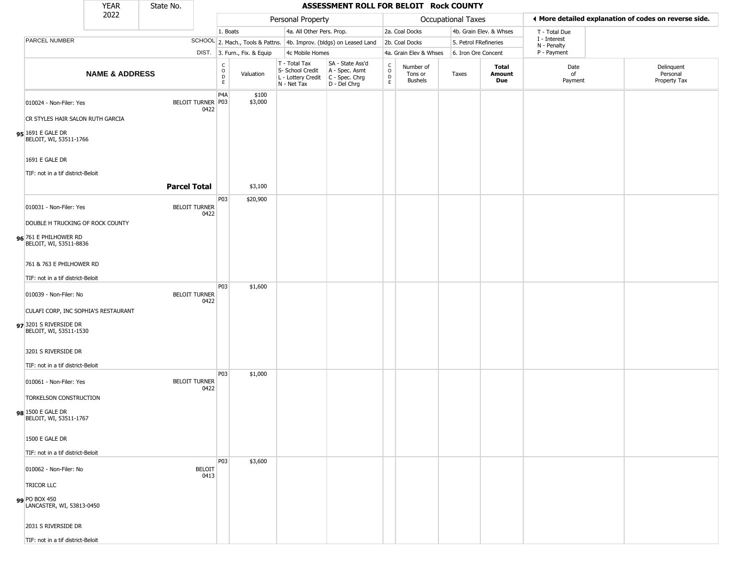|                                                  | <b>YEAR</b>               | State No.           |                              |                                                                    |                              |                                                                                       | ASSESSMENT ROLL FOR BELOIT Rock COUNTY                              |                                    |                                        |                       |                         |                             |                                                       |
|--------------------------------------------------|---------------------------|---------------------|------------------------------|--------------------------------------------------------------------|------------------------------|---------------------------------------------------------------------------------------|---------------------------------------------------------------------|------------------------------------|----------------------------------------|-----------------------|-------------------------|-----------------------------|-------------------------------------------------------|
|                                                  | 2022                      |                     |                              |                                                                    |                              | Personal Property                                                                     |                                                                     |                                    |                                        | Occupational Taxes    |                         |                             | I More detailed explanation of codes on reverse side. |
|                                                  |                           |                     |                              | 1. Boats                                                           |                              | 4a. All Other Pers. Prop.                                                             |                                                                     |                                    | 2a. Coal Docks                         |                       | 4b. Grain Elev. & Whses | T - Total Due               |                                                       |
| PARCEL NUMBER                                    |                           |                     |                              |                                                                    |                              |                                                                                       | SCHOOL 2. Mach., Tools & Pattns. 4b. Improv. (bldgs) on Leased Land |                                    | 2b. Coal Docks                         | 5. Petrol FRefineries |                         | I - Interest<br>N - Penalty |                                                       |
|                                                  |                           |                     |                              |                                                                    | DIST. 3. Furn., Fix. & Equip | 4c Mobile Homes                                                                       |                                                                     |                                    | 4a. Grain Elev & Whses                 | 6. Iron Ore Concent   |                         | P - Payment                 |                                                       |
|                                                  | <b>NAME &amp; ADDRESS</b> |                     |                              | $\begin{smallmatrix} C \\ O \\ D \end{smallmatrix}$<br>$\mathsf E$ | Valuation                    | T - Total Tax<br>S- School Credit<br>L - Lottery Credit C - Spec. Chrg<br>N - Net Tax | SA - State Ass'd<br>A - Spec. Asmt<br>D - Del Chrg                  | $\int_{0}^{c}$<br>$\mathsf D$<br>E | Number of<br>Tons or<br><b>Bushels</b> | Taxes                 | Total<br>Amount<br>Due  | Date<br>of<br>Payment       | Delinquent<br>Personal<br>Property Tax                |
| 010024 - Non-Filer: Yes                          |                           |                     | BELOIT TURNER P03<br>0422    | P <sub>4</sub> A                                                   | \$100<br>\$3,000             |                                                                                       |                                                                     |                                    |                                        |                       |                         |                             |                                                       |
| CR STYLES HAIR SALON RUTH GARCIA                 |                           |                     |                              |                                                                    |                              |                                                                                       |                                                                     |                                    |                                        |                       |                         |                             |                                                       |
| 95 1691 E GALE DR<br>BELOIT, WI, 53511-1766      |                           |                     |                              |                                                                    |                              |                                                                                       |                                                                     |                                    |                                        |                       |                         |                             |                                                       |
| 1691 E GALE DR                                   |                           |                     |                              |                                                                    |                              |                                                                                       |                                                                     |                                    |                                        |                       |                         |                             |                                                       |
| TIF: not in a tif district-Beloit                |                           |                     |                              |                                                                    |                              |                                                                                       |                                                                     |                                    |                                        |                       |                         |                             |                                                       |
|                                                  |                           | <b>Parcel Total</b> |                              |                                                                    | \$3,100                      |                                                                                       |                                                                     |                                    |                                        |                       |                         |                             |                                                       |
| 010031 - Non-Filer: Yes                          |                           |                     | <b>BELOIT TURNER</b><br>0422 | P03                                                                | \$20,900                     |                                                                                       |                                                                     |                                    |                                        |                       |                         |                             |                                                       |
| DOUBLE H TRUCKING OF ROCK COUNTY                 |                           |                     |                              |                                                                    |                              |                                                                                       |                                                                     |                                    |                                        |                       |                         |                             |                                                       |
| 96 761 E PHILHOWER RD<br>BELOIT, WI, 53511-8836  |                           |                     |                              |                                                                    |                              |                                                                                       |                                                                     |                                    |                                        |                       |                         |                             |                                                       |
| 761 & 763 E PHILHOWER RD                         |                           |                     |                              |                                                                    |                              |                                                                                       |                                                                     |                                    |                                        |                       |                         |                             |                                                       |
| TIF: not in a tif district-Beloit                |                           |                     |                              |                                                                    |                              |                                                                                       |                                                                     |                                    |                                        |                       |                         |                             |                                                       |
| 010039 - Non-Filer: No                           |                           |                     | <b>BELOIT TURNER</b><br>0422 | P03                                                                | \$1,600                      |                                                                                       |                                                                     |                                    |                                        |                       |                         |                             |                                                       |
| CULAFI CORP, INC SOPHIA'S RESTAURANT             |                           |                     |                              |                                                                    |                              |                                                                                       |                                                                     |                                    |                                        |                       |                         |                             |                                                       |
| 97 3201 S RIVERSIDE DR<br>BELOIT, WI, 53511-1530 |                           |                     |                              |                                                                    |                              |                                                                                       |                                                                     |                                    |                                        |                       |                         |                             |                                                       |
| 3201 S RIVERSIDE DR                              |                           |                     |                              |                                                                    |                              |                                                                                       |                                                                     |                                    |                                        |                       |                         |                             |                                                       |
| TIF: not in a tif district-Beloit                |                           |                     |                              | P03                                                                | \$1,000                      |                                                                                       |                                                                     |                                    |                                        |                       |                         |                             |                                                       |
| 010061 - Non-Filer: Yes                          |                           |                     | <b>BELOIT TURNER</b><br>0422 |                                                                    |                              |                                                                                       |                                                                     |                                    |                                        |                       |                         |                             |                                                       |
| TORKELSON CONSTRUCTION                           |                           |                     |                              |                                                                    |                              |                                                                                       |                                                                     |                                    |                                        |                       |                         |                             |                                                       |
| 98 1500 E GALE DR<br>BELOIT, WI, 53511-1767      |                           |                     |                              |                                                                    |                              |                                                                                       |                                                                     |                                    |                                        |                       |                         |                             |                                                       |
| 1500 E GALE DR                                   |                           |                     |                              |                                                                    |                              |                                                                                       |                                                                     |                                    |                                        |                       |                         |                             |                                                       |
| TIF: not in a tif district-Beloit                |                           |                     |                              |                                                                    |                              |                                                                                       |                                                                     |                                    |                                        |                       |                         |                             |                                                       |
| 010062 - Non-Filer: No                           |                           |                     | <b>BELOIT</b><br>0413        | <b>P03</b>                                                         | \$3,600                      |                                                                                       |                                                                     |                                    |                                        |                       |                         |                             |                                                       |
| <b>TRICOR LLC</b>                                |                           |                     |                              |                                                                    |                              |                                                                                       |                                                                     |                                    |                                        |                       |                         |                             |                                                       |
| 99 PO BOX 450<br>LANCASTER, WI, 53813-0450       |                           |                     |                              |                                                                    |                              |                                                                                       |                                                                     |                                    |                                        |                       |                         |                             |                                                       |
| 2031 S RIVERSIDE DR                              |                           |                     |                              |                                                                    |                              |                                                                                       |                                                                     |                                    |                                        |                       |                         |                             |                                                       |
| TIF: not in a tif district-Beloit                |                           |                     |                              |                                                                    |                              |                                                                                       |                                                                     |                                    |                                        |                       |                         |                             |                                                       |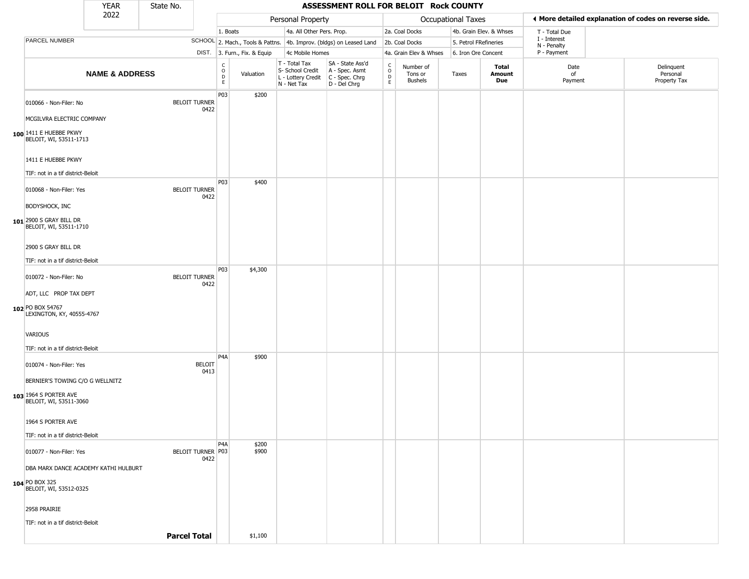|                                                                 | <b>YEAR</b>               | State No.           |                                  |                                                                                 |                                                                        | ASSESSMENT ROLL FOR BELOIT Rock COUNTY                               |                  |                                 |                       |                         |                             |                                                       |
|-----------------------------------------------------------------|---------------------------|---------------------|----------------------------------|---------------------------------------------------------------------------------|------------------------------------------------------------------------|----------------------------------------------------------------------|------------------|---------------------------------|-----------------------|-------------------------|-----------------------------|-------------------------------------------------------|
|                                                                 | 2022                      |                     |                                  |                                                                                 | Personal Property                                                      |                                                                      |                  |                                 | Occupational Taxes    |                         |                             | ◀ More detailed explanation of codes on reverse side. |
|                                                                 |                           |                     |                                  | 1. Boats                                                                        | 4a. All Other Pers. Prop.                                              |                                                                      |                  | 2a. Coal Docks                  |                       | 4b. Grain Elev. & Whses | T - Total Due               |                                                       |
| PARCEL NUMBER                                                   |                           |                     |                                  |                                                                                 |                                                                        | SCHOOL 2. Mach., Tools & Pattns. 4b. Improv. (bldgs) on Leased Land  |                  | 2b. Coal Docks                  | 5. Petrol FRefineries |                         | I - Interest<br>N - Penalty |                                                       |
|                                                                 |                           |                     |                                  | DIST. 3. Furn., Fix. & Equip                                                    | 4c Mobile Homes                                                        |                                                                      |                  | 4a. Grain Elev & Whses          | 6. Iron Ore Concent   |                         | P - Payment                 |                                                       |
|                                                                 | <b>NAME &amp; ADDRESS</b> |                     |                                  | $\begin{smallmatrix} C \\ 0 \\ D \end{smallmatrix}$<br>Valuation<br>$\mathsf E$ | T - Total Tax<br>S- School Credit<br>L - Lottery Credit<br>N - Net Tax | SA - State Ass'd<br>A - Spec. Asmt<br>C - Spec. Chrg<br>D - Del Chrg | C<br>D<br>E<br>E | Number of<br>Tons or<br>Bushels | Taxes                 | Total<br>Amount<br>Due  | Date<br>of<br>Payment       | Delinquent<br>Personal<br>Property Tax                |
| 010066 - Non-Filer: No                                          |                           |                     | <b>BELOIT TURNER</b><br>0422     | P03<br>\$200                                                                    |                                                                        |                                                                      |                  |                                 |                       |                         |                             |                                                       |
| MCGILVRA ELECTRIC COMPANY                                       |                           |                     |                                  |                                                                                 |                                                                        |                                                                      |                  |                                 |                       |                         |                             |                                                       |
| 100 1411 E HUEBBE PKWY<br>BELOIT, WI, 53511-1713                |                           |                     |                                  |                                                                                 |                                                                        |                                                                      |                  |                                 |                       |                         |                             |                                                       |
| 1411 E HUEBBE PKWY                                              |                           |                     |                                  |                                                                                 |                                                                        |                                                                      |                  |                                 |                       |                         |                             |                                                       |
| TIF: not in a tif district-Beloit                               |                           |                     |                                  |                                                                                 |                                                                        |                                                                      |                  |                                 |                       |                         |                             |                                                       |
| 010068 - Non-Filer: Yes<br>BODYSHOCK, INC                       |                           |                     | <b>BELOIT TURNER</b><br>0422     | P03<br>\$400                                                                    |                                                                        |                                                                      |                  |                                 |                       |                         |                             |                                                       |
| 101 2900 S GRAY BILL DR<br>BELOIT, WI, 53511-1710               |                           |                     |                                  |                                                                                 |                                                                        |                                                                      |                  |                                 |                       |                         |                             |                                                       |
| 2900 S GRAY BILL DR                                             |                           |                     |                                  |                                                                                 |                                                                        |                                                                      |                  |                                 |                       |                         |                             |                                                       |
| TIF: not in a tif district-Beloit                               |                           |                     |                                  | P03<br>\$4,300                                                                  |                                                                        |                                                                      |                  |                                 |                       |                         |                             |                                                       |
| 010072 - Non-Filer: No<br>ADT, LLC PROP TAX DEPT                |                           |                     | <b>BELOIT TURNER</b><br>0422     |                                                                                 |                                                                        |                                                                      |                  |                                 |                       |                         |                             |                                                       |
| 102 PO BOX 54767<br>LEXINGTON, KY, 40555-4767                   |                           |                     |                                  |                                                                                 |                                                                        |                                                                      |                  |                                 |                       |                         |                             |                                                       |
| <b>VARIOUS</b>                                                  |                           |                     |                                  |                                                                                 |                                                                        |                                                                      |                  |                                 |                       |                         |                             |                                                       |
| TIF: not in a tif district-Beloit                               |                           |                     |                                  | P <sub>4</sub> A<br>\$900                                                       |                                                                        |                                                                      |                  |                                 |                       |                         |                             |                                                       |
| 010074 - Non-Filer: Yes<br>BERNIER'S TOWING C/O G WELLNITZ      |                           |                     | <b>BELOIT</b><br>0413            |                                                                                 |                                                                        |                                                                      |                  |                                 |                       |                         |                             |                                                       |
| 103 1964 S PORTER AVE<br>BELOIT, WI, 53511-3060                 |                           |                     |                                  |                                                                                 |                                                                        |                                                                      |                  |                                 |                       |                         |                             |                                                       |
| 1964 S PORTER AVE                                               |                           |                     |                                  |                                                                                 |                                                                        |                                                                      |                  |                                 |                       |                         |                             |                                                       |
| TIF: not in a tif district-Beloit                               |                           |                     |                                  | P <sub>4</sub> A<br>\$200                                                       |                                                                        |                                                                      |                  |                                 |                       |                         |                             |                                                       |
| 010077 - Non-Filer: Yes<br>DBA MARX DANCE ACADEMY KATHI HULBURT |                           |                     | <b>BELOIT TURNER P03</b><br>0422 | \$900                                                                           |                                                                        |                                                                      |                  |                                 |                       |                         |                             |                                                       |
| 104 PO BOX 325<br>BELOIT, WI, 53512-0325                        |                           |                     |                                  |                                                                                 |                                                                        |                                                                      |                  |                                 |                       |                         |                             |                                                       |
| 2958 PRAIRIE                                                    |                           |                     |                                  |                                                                                 |                                                                        |                                                                      |                  |                                 |                       |                         |                             |                                                       |
| TIF: not in a tif district-Beloit                               |                           | <b>Parcel Total</b> |                                  | \$1,100                                                                         |                                                                        |                                                                      |                  |                                 |                       |                         |                             |                                                       |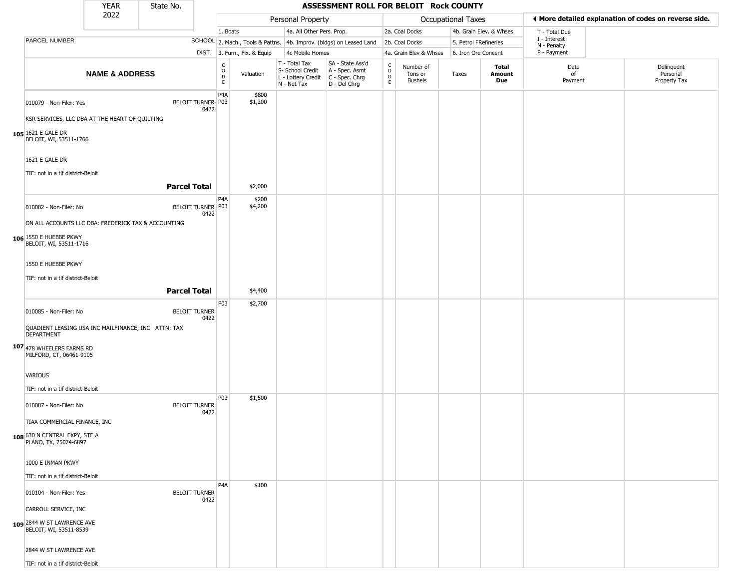|                                                                                                                                                                                                            | <b>YEAR</b>               | State No.           |                              |                                        |                              |                                                                        | ASSESSMENT ROLL FOR BELOIT Rock COUNTY                               |                                   |                                 |                       |                               |                             |                                                       |
|------------------------------------------------------------------------------------------------------------------------------------------------------------------------------------------------------------|---------------------------|---------------------|------------------------------|----------------------------------------|------------------------------|------------------------------------------------------------------------|----------------------------------------------------------------------|-----------------------------------|---------------------------------|-----------------------|-------------------------------|-----------------------------|-------------------------------------------------------|
|                                                                                                                                                                                                            | 2022                      |                     |                              |                                        |                              | Personal Property                                                      |                                                                      |                                   |                                 | Occupational Taxes    |                               |                             | ♦ More detailed explanation of codes on reverse side. |
|                                                                                                                                                                                                            |                           |                     |                              | 1. Boats                               |                              | 4a. All Other Pers. Prop.                                              |                                                                      |                                   | 2a. Coal Docks                  |                       | 4b. Grain Elev. & Whses       | T - Total Due               |                                                       |
| PARCEL NUMBER                                                                                                                                                                                              |                           |                     |                              |                                        |                              |                                                                        | SCHOOL 2. Mach., Tools & Pattns. 4b. Improv. (bldgs) on Leased Land  |                                   | 2b. Coal Docks                  | 5. Petrol FRefineries |                               | I - Interest<br>N - Penalty |                                                       |
|                                                                                                                                                                                                            |                           |                     |                              |                                        | DIST. 3. Furn., Fix. & Equip | 4c Mobile Homes                                                        |                                                                      |                                   | 4a. Grain Elev & Whses          | 6. Iron Ore Concent   |                               | P - Payment                 |                                                       |
|                                                                                                                                                                                                            | <b>NAME &amp; ADDRESS</b> |                     |                              | $_{\rm o}^{\rm c}$<br>$\mathsf D$<br>E | Valuation                    | T - Total Tax<br>S- School Credit<br>L - Lottery Credit<br>N - Net Tax | SA - State Ass'd<br>A - Spec. Asmt<br>C - Spec. Chrg<br>D - Del Chrg | $\frac{C}{O}$<br>D<br>$\mathsf E$ | Number of<br>Tons or<br>Bushels | Taxes                 | <b>Total</b><br>Amount<br>Due | Date<br>of<br>Payment       | Delinquent<br>Personal<br>Property Tax                |
| 010079 - Non-Filer: Yes<br>KSR SERVICES, LLC DBA AT THE HEART OF QUILTING<br>105 1621 E GALE DR<br>BELOIT, WI, 53511-1766                                                                                  |                           |                     | BELOIT TURNER P03<br>0422    | P <sub>4</sub> A                       | \$800<br>\$1,200             |                                                                        |                                                                      |                                   |                                 |                       |                               |                             |                                                       |
| 1621 E GALE DR<br>TIF: not in a tif district-Beloit                                                                                                                                                        |                           |                     |                              |                                        |                              |                                                                        |                                                                      |                                   |                                 |                       |                               |                             |                                                       |
|                                                                                                                                                                                                            |                           | <b>Parcel Total</b> |                              |                                        | \$2,000                      |                                                                        |                                                                      |                                   |                                 |                       |                               |                             |                                                       |
| 010082 - Non-Filer: No<br>ON ALL ACCOUNTS LLC DBA: FREDERICK TAX & ACCOUNTING<br>106 1550 E HUEBBE PKWY<br>BELOIT, WI, 53511-1716<br>1550 E HUEBBE PKWY<br>TIF: not in a tif district-Beloit               |                           | <b>Parcel Total</b> | BELOIT TURNER P03<br>0422    | P <sub>4</sub> A                       | \$200<br>\$4,200<br>\$4,400  |                                                                        |                                                                      |                                   |                                 |                       |                               |                             |                                                       |
|                                                                                                                                                                                                            |                           |                     |                              | P03                                    | \$2,700                      |                                                                        |                                                                      |                                   |                                 |                       |                               |                             |                                                       |
| 010085 - Non-Filer: No<br>QUADIENT LEASING USA INC MAILFINANCE, INC ATTN: TAX<br>DEPARTMENT<br>107 478 WHEELERS FARMS RD<br>MILFORD, CT, 06461-9105<br><b>VARIOUS</b><br>TIF: not in a tif district-Beloit |                           |                     | <b>BELOIT TURNER</b><br>0422 |                                        |                              |                                                                        |                                                                      |                                   |                                 |                       |                               |                             |                                                       |
| 010087 - Non-Filer: No<br>TIAA COMMERCIAL FINANCE, INC<br>108 630 N CENTRAL EXPY, STE A<br>PLANO, TX, 75074-6897<br>1000 E INMAN PKWY                                                                      |                           |                     | <b>BELOIT TURNER</b><br>0422 | P03                                    | \$1,500                      |                                                                        |                                                                      |                                   |                                 |                       |                               |                             |                                                       |
| TIF: not in a tif district-Beloit                                                                                                                                                                          |                           |                     |                              | P <sub>4</sub> A                       | \$100                        |                                                                        |                                                                      |                                   |                                 |                       |                               |                             |                                                       |
| 010104 - Non-Filer: Yes<br>CARROLL SERVICE, INC<br>109 2844 W ST LAWRENCE AVE<br>BELOIT, WI, 53511-8539<br>2844 W ST LAWRENCE AVE                                                                          |                           |                     | <b>BELOIT TURNER</b><br>0422 |                                        |                              |                                                                        |                                                                      |                                   |                                 |                       |                               |                             |                                                       |
| TIF: not in a tif district-Beloit                                                                                                                                                                          |                           |                     |                              |                                        |                              |                                                                        |                                                                      |                                   |                                 |                       |                               |                             |                                                       |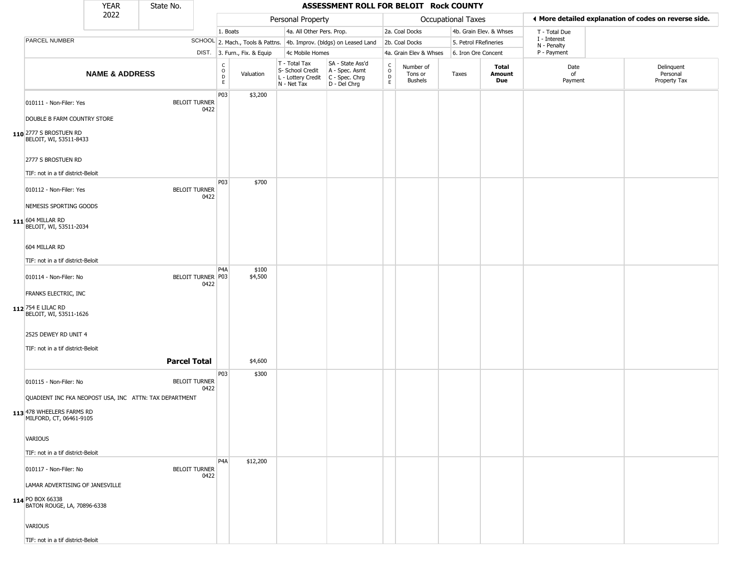|                                                                                                                | <b>YEAR</b>               | State No.           |                              |                                                          |                              |                                                                        | ASSESSMENT ROLL FOR BELOIT Rock COUNTY                               |                  |                                        |                       |                         |                             |                                                       |
|----------------------------------------------------------------------------------------------------------------|---------------------------|---------------------|------------------------------|----------------------------------------------------------|------------------------------|------------------------------------------------------------------------|----------------------------------------------------------------------|------------------|----------------------------------------|-----------------------|-------------------------|-----------------------------|-------------------------------------------------------|
|                                                                                                                | 2022                      |                     |                              |                                                          |                              | Personal Property                                                      |                                                                      |                  |                                        | Occupational Taxes    |                         |                             | ♦ More detailed explanation of codes on reverse side. |
|                                                                                                                |                           |                     |                              | 1. Boats                                                 |                              | 4a. All Other Pers. Prop.                                              |                                                                      |                  | 2a. Coal Docks                         |                       | 4b. Grain Elev. & Whses | T - Total Due               |                                                       |
| PARCEL NUMBER                                                                                                  |                           |                     |                              |                                                          |                              |                                                                        | SCHOOL 2. Mach., Tools & Pattns. 4b. Improv. (bldgs) on Leased Land  |                  | 2b. Coal Docks                         | 5. Petrol FRefineries |                         | I - Interest<br>N - Penalty |                                                       |
|                                                                                                                |                           |                     |                              |                                                          | DIST. 3. Furn., Fix. & Equip | 4c Mobile Homes                                                        |                                                                      |                  | 4a. Grain Elev & Whses                 | 6. Iron Ore Concent   |                         | P - Payment                 |                                                       |
|                                                                                                                | <b>NAME &amp; ADDRESS</b> |                     |                              | $\begin{matrix} C \\ O \\ D \end{matrix}$<br>$\mathsf E$ | Valuation                    | T - Total Tax<br>S- School Credit<br>L - Lottery Credit<br>N - Net Tax | SA - State Ass'd<br>A - Spec. Asmt<br>C - Spec. Chrg<br>D - Del Chrg | C<br>D<br>D<br>E | Number of<br>Tons or<br><b>Bushels</b> | Taxes                 | Total<br>Amount<br>Due  | Date<br>of<br>Payment       | Delinquent<br>Personal<br>Property Tax                |
| 010111 - Non-Filer: Yes                                                                                        |                           |                     | <b>BELOIT TURNER</b><br>0422 | P03                                                      | \$3,200                      |                                                                        |                                                                      |                  |                                        |                       |                         |                             |                                                       |
| DOUBLE B FARM COUNTRY STORE                                                                                    |                           |                     |                              |                                                          |                              |                                                                        |                                                                      |                  |                                        |                       |                         |                             |                                                       |
| 110 2777 S BROSTUEN RD<br>BELOIT, WI, 53511-8433                                                               |                           |                     |                              |                                                          |                              |                                                                        |                                                                      |                  |                                        |                       |                         |                             |                                                       |
| 2777 S BROSTUEN RD                                                                                             |                           |                     |                              |                                                          |                              |                                                                        |                                                                      |                  |                                        |                       |                         |                             |                                                       |
| TIF: not in a tif district-Beloit                                                                              |                           |                     |                              | P03                                                      | \$700                        |                                                                        |                                                                      |                  |                                        |                       |                         |                             |                                                       |
| 010112 - Non-Filer: Yes<br>NEMESIS SPORTING GOODS                                                              |                           |                     | <b>BELOIT TURNER</b><br>0422 |                                                          |                              |                                                                        |                                                                      |                  |                                        |                       |                         |                             |                                                       |
| 111 604 MILLAR RD<br>BELOIT, WI, 53511-2034                                                                    |                           |                     |                              |                                                          |                              |                                                                        |                                                                      |                  |                                        |                       |                         |                             |                                                       |
| 604 MILLAR RD                                                                                                  |                           |                     |                              |                                                          |                              |                                                                        |                                                                      |                  |                                        |                       |                         |                             |                                                       |
| TIF: not in a tif district-Beloit                                                                              |                           |                     |                              |                                                          |                              |                                                                        |                                                                      |                  |                                        |                       |                         |                             |                                                       |
| 010114 - Non-Filer: No                                                                                         |                           |                     | BELOIT TURNER P03<br>0422    | P <sub>4</sub> A                                         | \$100<br>\$4,500             |                                                                        |                                                                      |                  |                                        |                       |                         |                             |                                                       |
| FRANKS ELECTRIC, INC<br>112 754 E LILAC RD<br>BELOIT, WI, 53511-1626                                           |                           |                     |                              |                                                          |                              |                                                                        |                                                                      |                  |                                        |                       |                         |                             |                                                       |
| 2525 DEWEY RD UNIT 4                                                                                           |                           |                     |                              |                                                          |                              |                                                                        |                                                                      |                  |                                        |                       |                         |                             |                                                       |
| TIF: not in a tif district-Beloit                                                                              |                           |                     |                              |                                                          |                              |                                                                        |                                                                      |                  |                                        |                       |                         |                             |                                                       |
|                                                                                                                |                           | <b>Parcel Total</b> |                              |                                                          | \$4,600                      |                                                                        |                                                                      |                  |                                        |                       |                         |                             |                                                       |
| 010115 - Non-Filer: No                                                                                         |                           |                     | <b>BELOIT TURNER</b><br>0422 | P03                                                      | \$300                        |                                                                        |                                                                      |                  |                                        |                       |                         |                             |                                                       |
| QUADIENT INC FKA NEOPOST USA, INC ATTN: TAX DEPARTMENT<br>113 478 WHEELERS FARMS RD<br>MILFORD, CT, 06461-9105 |                           |                     |                              |                                                          |                              |                                                                        |                                                                      |                  |                                        |                       |                         |                             |                                                       |
| VARIOUS                                                                                                        |                           |                     |                              |                                                          |                              |                                                                        |                                                                      |                  |                                        |                       |                         |                             |                                                       |
| TIF: not in a tif district-Beloit                                                                              |                           |                     |                              | P <sub>4</sub> A                                         | \$12,200                     |                                                                        |                                                                      |                  |                                        |                       |                         |                             |                                                       |
| 010117 - Non-Filer: No                                                                                         |                           |                     | <b>BELOIT TURNER</b><br>0422 |                                                          |                              |                                                                        |                                                                      |                  |                                        |                       |                         |                             |                                                       |
| LAMAR ADVERTISING OF JANESVILLE<br>114 PO BOX 66338<br>BATON ROUGE, LA, 70896-6338                             |                           |                     |                              |                                                          |                              |                                                                        |                                                                      |                  |                                        |                       |                         |                             |                                                       |
| VARIOUS                                                                                                        |                           |                     |                              |                                                          |                              |                                                                        |                                                                      |                  |                                        |                       |                         |                             |                                                       |
| TIF: not in a tif district-Beloit                                                                              |                           |                     |                              |                                                          |                              |                                                                        |                                                                      |                  |                                        |                       |                         |                             |                                                       |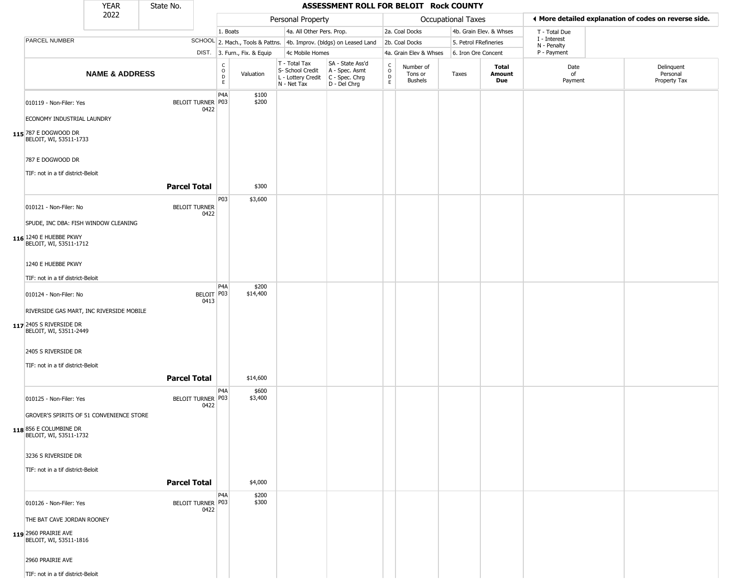|                                                         | YEAR                      | State No.           |                              |                                      |                              |                                                                                       | ASSESSMENT ROLL FOR BELOIT Rock COUNTY                              |                                 |                                        |                       |                         |                             |                                                       |
|---------------------------------------------------------|---------------------------|---------------------|------------------------------|--------------------------------------|------------------------------|---------------------------------------------------------------------------------------|---------------------------------------------------------------------|---------------------------------|----------------------------------------|-----------------------|-------------------------|-----------------------------|-------------------------------------------------------|
|                                                         | 2022                      |                     |                              |                                      |                              | Personal Property                                                                     |                                                                     |                                 |                                        | Occupational Taxes    |                         |                             | ◀ More detailed explanation of codes on reverse side. |
|                                                         |                           |                     |                              | 1. Boats                             |                              | 4a. All Other Pers. Prop.                                                             |                                                                     |                                 | 2a. Coal Docks                         |                       | 4b. Grain Elev. & Whses | T - Total Due               |                                                       |
| PARCEL NUMBER                                           |                           |                     |                              |                                      |                              |                                                                                       | SCHOOL 2. Mach., Tools & Pattns. 4b. Improv. (bldgs) on Leased Land |                                 | 2b. Coal Docks                         | 5. Petrol FRefineries |                         | I - Interest<br>N - Penalty |                                                       |
|                                                         |                           |                     |                              |                                      | DIST. 3. Furn., Fix. & Equip | 4c Mobile Homes                                                                       |                                                                     |                                 | 4a. Grain Elev & Whses                 | 6. Iron Ore Concent   |                         | P - Payment                 |                                                       |
|                                                         | <b>NAME &amp; ADDRESS</b> |                     |                              | $\rm ^c_{\rm o}$<br>D<br>$\mathsf E$ | Valuation                    | T - Total Tax<br>S- School Credit<br>L - Lottery Credit C - Spec. Chrg<br>N - Net Tax | SA - State Ass'd<br>A - Spec. Asmt<br>D - Del Chrg                  | $\rm _o^C$<br>$\mathsf{D}$<br>E | Number of<br>Tons or<br><b>Bushels</b> | Taxes                 | Total<br>Amount<br>Due  | Date<br>of<br>Payment       | Delinquent<br>Personal<br>Property Tax                |
| 010119 - Non-Filer: Yes                                 |                           |                     | BELOIT TURNER P03<br>0422    | P <sub>4</sub> A                     | \$100<br>\$200               |                                                                                       |                                                                     |                                 |                                        |                       |                         |                             |                                                       |
| ECONOMY INDUSTRIAL LAUNDRY                              |                           |                     |                              |                                      |                              |                                                                                       |                                                                     |                                 |                                        |                       |                         |                             |                                                       |
| 115 787 E DOGWOOD DR<br>BELOIT, WI, 53511-1733          |                           |                     |                              |                                      |                              |                                                                                       |                                                                     |                                 |                                        |                       |                         |                             |                                                       |
| 787 E DOGWOOD DR<br>TIF: not in a tif district-Beloit   |                           |                     |                              |                                      |                              |                                                                                       |                                                                     |                                 |                                        |                       |                         |                             |                                                       |
|                                                         |                           | <b>Parcel Total</b> |                              |                                      | \$300                        |                                                                                       |                                                                     |                                 |                                        |                       |                         |                             |                                                       |
| 010121 - Non-Filer: No                                  |                           |                     | <b>BELOIT TURNER</b><br>0422 | P03                                  | \$3,600                      |                                                                                       |                                                                     |                                 |                                        |                       |                         |                             |                                                       |
| SPUDE, INC DBA: FISH WINDOW CLEANING                    |                           |                     |                              |                                      |                              |                                                                                       |                                                                     |                                 |                                        |                       |                         |                             |                                                       |
| <b>116</b> 1240 E HUEBBE PKWY<br>BELOIT, WI, 53511-1712 |                           |                     |                              |                                      |                              |                                                                                       |                                                                     |                                 |                                        |                       |                         |                             |                                                       |
| 1240 E HUEBBE PKWY                                      |                           |                     |                              |                                      |                              |                                                                                       |                                                                     |                                 |                                        |                       |                         |                             |                                                       |
| TIF: not in a tif district-Beloit                       |                           |                     |                              |                                      |                              |                                                                                       |                                                                     |                                 |                                        |                       |                         |                             |                                                       |
| 010124 - Non-Filer: No                                  |                           |                     | BELOIT P03<br>0413           | P4A                                  | \$200<br>\$14,400            |                                                                                       |                                                                     |                                 |                                        |                       |                         |                             |                                                       |
| RIVERSIDE GAS MART, INC RIVERSIDE MOBILE                |                           |                     |                              |                                      |                              |                                                                                       |                                                                     |                                 |                                        |                       |                         |                             |                                                       |
| 117 2405 S RIVERSIDE DR<br>BELOIT, WI, 53511-2449       |                           |                     |                              |                                      |                              |                                                                                       |                                                                     |                                 |                                        |                       |                         |                             |                                                       |
| 2405 S RIVERSIDE DR                                     |                           |                     |                              |                                      |                              |                                                                                       |                                                                     |                                 |                                        |                       |                         |                             |                                                       |
| TIF: not in a tif district-Beloit                       |                           |                     |                              |                                      |                              |                                                                                       |                                                                     |                                 |                                        |                       |                         |                             |                                                       |
|                                                         |                           | <b>Parcel Total</b> |                              |                                      | \$14,600                     |                                                                                       |                                                                     |                                 |                                        |                       |                         |                             |                                                       |
| 010125 - Non-Filer: Yes                                 |                           |                     | BELOIT TURNER P03<br>0422    | P4A                                  | \$600<br>\$3,400             |                                                                                       |                                                                     |                                 |                                        |                       |                         |                             |                                                       |
| GROVER'S SPIRITS OF 51 CONVENIENCE STORE                |                           |                     |                              |                                      |                              |                                                                                       |                                                                     |                                 |                                        |                       |                         |                             |                                                       |
| 118 856 E COLUMBINE DR<br>BELOIT, WI, 53511-1732        |                           |                     |                              |                                      |                              |                                                                                       |                                                                     |                                 |                                        |                       |                         |                             |                                                       |
| 3236 S RIVERSIDE DR                                     |                           |                     |                              |                                      |                              |                                                                                       |                                                                     |                                 |                                        |                       |                         |                             |                                                       |
| TIF: not in a tif district-Beloit                       |                           |                     |                              |                                      |                              |                                                                                       |                                                                     |                                 |                                        |                       |                         |                             |                                                       |
|                                                         |                           | <b>Parcel Total</b> |                              |                                      | \$4,000                      |                                                                                       |                                                                     |                                 |                                        |                       |                         |                             |                                                       |
| 010126 - Non-Filer: Yes                                 |                           |                     | BELOIT TURNER P03<br>0422    | P4A                                  | \$200<br>\$300               |                                                                                       |                                                                     |                                 |                                        |                       |                         |                             |                                                       |
| THE BAT CAVE JORDAN ROONEY                              |                           |                     |                              |                                      |                              |                                                                                       |                                                                     |                                 |                                        |                       |                         |                             |                                                       |
| 119 2960 PRAIRIE AVE<br>BELOIT, WI, 53511-1816          |                           |                     |                              |                                      |                              |                                                                                       |                                                                     |                                 |                                        |                       |                         |                             |                                                       |
| 2960 PRAIRIE AVE                                        |                           |                     |                              |                                      |                              |                                                                                       |                                                                     |                                 |                                        |                       |                         |                             |                                                       |
| TIF: not in a tif district-Beloit                       |                           |                     |                              |                                      |                              |                                                                                       |                                                                     |                                 |                                        |                       |                         |                             |                                                       |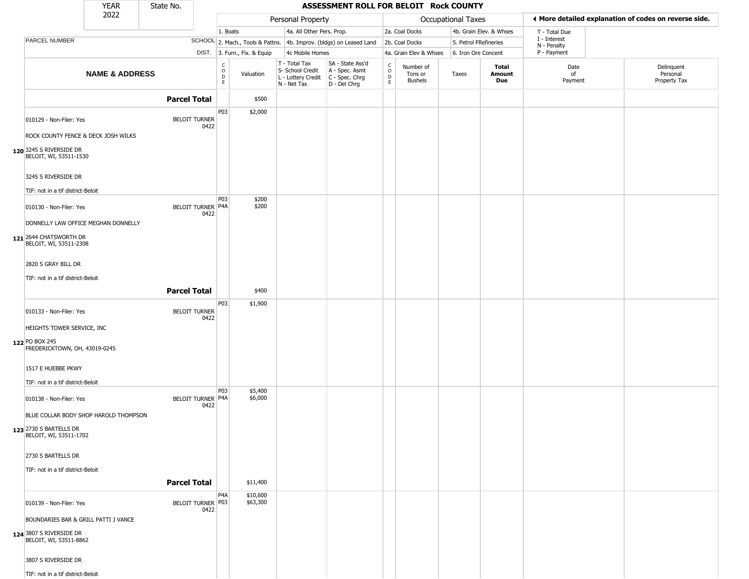|                                                                | YEAR                      | State No.           |                              |                            |                              |                                                                                         | ASSESSMENT ROLL FOR BELOIT Rock COUNTY                              |                                                 |                                        |                       |                         |                             |                                                       |
|----------------------------------------------------------------|---------------------------|---------------------|------------------------------|----------------------------|------------------------------|-----------------------------------------------------------------------------------------|---------------------------------------------------------------------|-------------------------------------------------|----------------------------------------|-----------------------|-------------------------|-----------------------------|-------------------------------------------------------|
|                                                                | 2022                      |                     |                              |                            |                              | Personal Property                                                                       |                                                                     |                                                 |                                        | Occupational Taxes    |                         |                             | ◀ More detailed explanation of codes on reverse side. |
|                                                                |                           |                     |                              | 1. Boats                   |                              | 4a. All Other Pers. Prop.                                                               |                                                                     |                                                 | 2a. Coal Docks                         |                       | 4b. Grain Elev. & Whses | T - Total Due               |                                                       |
| PARCEL NUMBER                                                  |                           |                     |                              |                            |                              |                                                                                         | SCHOOL 2. Mach., Tools & Pattns. 4b. Improv. (bldgs) on Leased Land |                                                 | 2b. Coal Docks                         | 5. Petrol FRefineries |                         | I - Interest<br>N - Penalty |                                                       |
|                                                                |                           |                     |                              |                            | DIST. 3. Furn., Fix. & Equip | 4c Mobile Homes                                                                         |                                                                     |                                                 | 4a. Grain Elev & Whses                 | 6. Iron Ore Concent   |                         | P - Payment                 |                                                       |
|                                                                | <b>NAME &amp; ADDRESS</b> |                     |                              | C<br>$\mathsf O$<br>D<br>E | Valuation                    | T - Total Tax<br>S- School Credit<br>L - Lottery Credit   C - Spec. Chrg<br>N - Net Tax | SA - State Ass'd<br>A - Spec. Asmt<br>D - Del Chrg                  | $\begin{array}{c} C \\ O \\ D \\ E \end{array}$ | Number of<br>Tons or<br><b>Bushels</b> | Taxes                 | Total<br>Amount<br>Due  | Date<br>of<br>Payment       | Delinquent<br>Personal<br>Property Tax                |
|                                                                |                           | <b>Parcel Total</b> |                              |                            | \$500                        |                                                                                         |                                                                     |                                                 |                                        |                       |                         |                             |                                                       |
| 010129 - Non-Filer: Yes<br>ROCK COUNTY FENCE & DECK JOSH WILKS |                           |                     | <b>BELOIT TURNER</b><br>0422 | P03                        | \$2,000                      |                                                                                         |                                                                     |                                                 |                                        |                       |                         |                             |                                                       |
| 120 3245 S RIVERSIDE DR<br>BELOIT, WI, 53511-1530              |                           |                     |                              |                            |                              |                                                                                         |                                                                     |                                                 |                                        |                       |                         |                             |                                                       |
| 3245 S RIVERSIDE DR                                            |                           |                     |                              |                            |                              |                                                                                         |                                                                     |                                                 |                                        |                       |                         |                             |                                                       |
| TIF: not in a tif district-Beloit                              |                           |                     |                              | P03                        | \$200                        |                                                                                         |                                                                     |                                                 |                                        |                       |                         |                             |                                                       |
| 010130 - Non-Filer: Yes                                        |                           |                     | BELOIT TURNER P4A<br>0422    |                            | \$200                        |                                                                                         |                                                                     |                                                 |                                        |                       |                         |                             |                                                       |
| DONNELLY LAW OFFICE MEGHAN DONNELLY                            |                           |                     |                              |                            |                              |                                                                                         |                                                                     |                                                 |                                        |                       |                         |                             |                                                       |
| 121 2644 CHATSWORTH DR<br>BELOIT, WI, 53511-2308               |                           |                     |                              |                            |                              |                                                                                         |                                                                     |                                                 |                                        |                       |                         |                             |                                                       |
| 2820 S GRAY BILL DR                                            |                           |                     |                              |                            |                              |                                                                                         |                                                                     |                                                 |                                        |                       |                         |                             |                                                       |
| TIF: not in a tif district-Beloit                              |                           |                     |                              |                            |                              |                                                                                         |                                                                     |                                                 |                                        |                       |                         |                             |                                                       |
|                                                                |                           | <b>Parcel Total</b> |                              |                            | \$400                        |                                                                                         |                                                                     |                                                 |                                        |                       |                         |                             |                                                       |
| 010133 - Non-Filer: Yes                                        |                           |                     | <b>BELOIT TURNER</b><br>0422 | P03                        | \$1,900                      |                                                                                         |                                                                     |                                                 |                                        |                       |                         |                             |                                                       |
| HEIGHTS TOWER SERVICE, INC                                     |                           |                     |                              |                            |                              |                                                                                         |                                                                     |                                                 |                                        |                       |                         |                             |                                                       |
| 122 PO BOX 245<br>FREDERICKTOWN, OH, 43019-0245                |                           |                     |                              |                            |                              |                                                                                         |                                                                     |                                                 |                                        |                       |                         |                             |                                                       |
| 1517 E HUEBBE PKWY                                             |                           |                     |                              |                            |                              |                                                                                         |                                                                     |                                                 |                                        |                       |                         |                             |                                                       |
| TIF: not in a tif district-Beloit                              |                           |                     |                              |                            |                              |                                                                                         |                                                                     |                                                 |                                        |                       |                         |                             |                                                       |
| 010138 - Non-Filer: Yes                                        |                           |                     | BELOIT TURNER P4A<br>0422    | P03                        | \$5,400<br>\$6,000           |                                                                                         |                                                                     |                                                 |                                        |                       |                         |                             |                                                       |
| BLUE COLLAR BODY SHOP HAROLD THOMPSON                          |                           |                     |                              |                            |                              |                                                                                         |                                                                     |                                                 |                                        |                       |                         |                             |                                                       |
| 123 2730 S BARTELLS DR<br>BELOIT, WI, 53511-1702               |                           |                     |                              |                            |                              |                                                                                         |                                                                     |                                                 |                                        |                       |                         |                             |                                                       |
| 2730 S BARTELLS DR                                             |                           |                     |                              |                            |                              |                                                                                         |                                                                     |                                                 |                                        |                       |                         |                             |                                                       |
| TIF: not in a tif district-Beloit                              |                           |                     |                              |                            |                              |                                                                                         |                                                                     |                                                 |                                        |                       |                         |                             |                                                       |
|                                                                |                           | <b>Parcel Total</b> |                              |                            | \$11,400                     |                                                                                         |                                                                     |                                                 |                                        |                       |                         |                             |                                                       |
| 010139 - Non-Filer: Yes                                        |                           |                     | BELOIT TURNER P03<br>0422    | P4A                        | \$10,600<br>\$63,300         |                                                                                         |                                                                     |                                                 |                                        |                       |                         |                             |                                                       |
| BOUNDARIES BAR & GRILL PATTI J VANCE                           |                           |                     |                              |                            |                              |                                                                                         |                                                                     |                                                 |                                        |                       |                         |                             |                                                       |
| 124 3807 S RIVERSIDE DR<br>BELOIT, WI, 53511-8862              |                           |                     |                              |                            |                              |                                                                                         |                                                                     |                                                 |                                        |                       |                         |                             |                                                       |
| 3807 S RIVERSIDE DR                                            |                           |                     |                              |                            |                              |                                                                                         |                                                                     |                                                 |                                        |                       |                         |                             |                                                       |
| TIF: not in a tif district-Beloit                              |                           |                     |                              |                            |                              |                                                                                         |                                                                     |                                                 |                                        |                       |                         |                             |                                                       |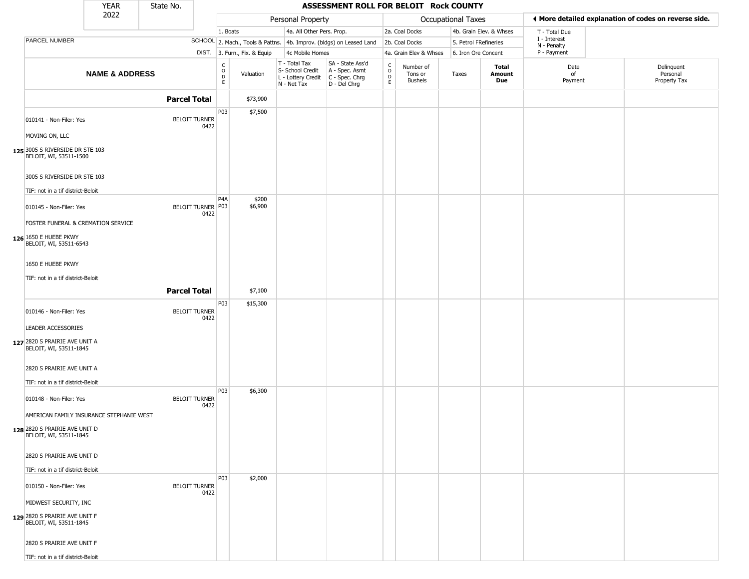|                                                                                                     | <b>YEAR</b>               | State No.           |                              |                                             |                              |                                                                        | ASSESSMENT ROLL FOR BELOIT Rock COUNTY                               |                  |                                 |                           |                         |                             |                                                       |
|-----------------------------------------------------------------------------------------------------|---------------------------|---------------------|------------------------------|---------------------------------------------|------------------------------|------------------------------------------------------------------------|----------------------------------------------------------------------|------------------|---------------------------------|---------------------------|-------------------------|-----------------------------|-------------------------------------------------------|
|                                                                                                     | 2022                      |                     |                              |                                             |                              | Personal Property                                                      |                                                                      |                  |                                 | <b>Occupational Taxes</b> |                         |                             | ◀ More detailed explanation of codes on reverse side. |
|                                                                                                     |                           |                     |                              | 1. Boats                                    |                              | 4a. All Other Pers. Prop.                                              |                                                                      |                  | 2a. Coal Docks                  |                           | 4b. Grain Elev. & Whses | T - Total Due               |                                                       |
| PARCEL NUMBER                                                                                       |                           |                     |                              |                                             |                              |                                                                        | SCHOOL 2. Mach., Tools & Pattns. 4b. Improv. (bldgs) on Leased Land  |                  | 2b. Coal Docks                  | 5. Petrol FRefineries     |                         | I - Interest<br>N - Penalty |                                                       |
|                                                                                                     |                           |                     |                              |                                             | DIST. 3. Furn., Fix. & Equip | 4c Mobile Homes                                                        |                                                                      |                  | 4a. Grain Elev & Whses          | 6. Iron Ore Concent       |                         | P - Payment                 |                                                       |
|                                                                                                     | <b>NAME &amp; ADDRESS</b> |                     |                              | $\frac{C}{O}$<br>$\mathsf D$<br>$\mathsf E$ | Valuation                    | T - Total Tax<br>S- School Credit<br>L - Lottery Credit<br>N - Net Tax | SA - State Ass'd<br>A - Spec. Asmt<br>C - Spec. Chrg<br>D - Del Chrg | C<br>D<br>D<br>E | Number of<br>Tons or<br>Bushels | Taxes                     | Total<br>Amount<br>Due  | Date<br>of<br>Payment       | Delinquent<br>Personal<br>Property Tax                |
|                                                                                                     |                           | <b>Parcel Total</b> |                              |                                             | \$73,900                     |                                                                        |                                                                      |                  |                                 |                           |                         |                             |                                                       |
| 010141 - Non-Filer: Yes                                                                             |                           |                     | <b>BELOIT TURNER</b><br>0422 | P03                                         | \$7,500                      |                                                                        |                                                                      |                  |                                 |                           |                         |                             |                                                       |
| MOVING ON, LLC<br>125 3005 S RIVERSIDE DR STE 103<br>BELOIT, WI, 53511-1500                         |                           |                     |                              |                                             |                              |                                                                        |                                                                      |                  |                                 |                           |                         |                             |                                                       |
| 3005 S RIVERSIDE DR STE 103<br>TIF: not in a tif district-Beloit                                    |                           |                     |                              |                                             |                              |                                                                        |                                                                      |                  |                                 |                           |                         |                             |                                                       |
| 010145 - Non-Filer: Yes<br>FOSTER FUNERAL & CREMATION SERVICE                                       |                           |                     | BELOIT TURNER P03<br>0422    | P4A                                         | \$200<br>\$6,900             |                                                                        |                                                                      |                  |                                 |                           |                         |                             |                                                       |
| 126 1650 E HUEBE PKWY<br>BELOIT, WI, 53511-6543                                                     |                           |                     |                              |                                             |                              |                                                                        |                                                                      |                  |                                 |                           |                         |                             |                                                       |
| 1650 E HUEBE PKWY<br>TIF: not in a tif district-Beloit                                              |                           |                     |                              |                                             |                              |                                                                        |                                                                      |                  |                                 |                           |                         |                             |                                                       |
|                                                                                                     |                           | <b>Parcel Total</b> |                              |                                             | \$7,100                      |                                                                        |                                                                      |                  |                                 |                           |                         |                             |                                                       |
| 010146 - Non-Filer: Yes                                                                             |                           |                     | <b>BELOIT TURNER</b><br>0422 | P03                                         | \$15,300                     |                                                                        |                                                                      |                  |                                 |                           |                         |                             |                                                       |
| <b>LEADER ACCESSORIES</b><br>127 2820 S PRAIRIE AVE UNIT A<br>BELOIT, WI, 53511-1845                |                           |                     |                              |                                             |                              |                                                                        |                                                                      |                  |                                 |                           |                         |                             |                                                       |
| 2820 S PRAIRIE AVE UNIT A<br>TIF: not in a tif district-Beloit                                      |                           |                     |                              |                                             |                              |                                                                        |                                                                      |                  |                                 |                           |                         |                             |                                                       |
| 010148 - Non-Filer: Yes                                                                             |                           |                     | <b>BELOIT TURNER</b><br>0422 | P03                                         | \$6,300                      |                                                                        |                                                                      |                  |                                 |                           |                         |                             |                                                       |
| AMERICAN FAMILY INSURANCE STEPHANIE WEST<br>128 2820 S PRAIRIE AVE UNIT D<br>BELOIT, WI, 53511-1845 |                           |                     |                              |                                             |                              |                                                                        |                                                                      |                  |                                 |                           |                         |                             |                                                       |
| 2820 S PRAIRIE AVE UNIT D<br>TIF: not in a tif district-Beloit                                      |                           |                     |                              |                                             |                              |                                                                        |                                                                      |                  |                                 |                           |                         |                             |                                                       |
| 010150 - Non-Filer: Yes<br>MIDWEST SECURITY, INC                                                    |                           |                     | <b>BELOIT TURNER</b><br>0422 | P03                                         | \$2,000                      |                                                                        |                                                                      |                  |                                 |                           |                         |                             |                                                       |
| 129 2820 S PRAIRIE AVE UNIT F<br>BELOIT, WI, 53511-1845                                             |                           |                     |                              |                                             |                              |                                                                        |                                                                      |                  |                                 |                           |                         |                             |                                                       |
| 2820 S PRAIRIE AVE UNIT F<br>TIF: not in a tif district-Beloit                                      |                           |                     |                              |                                             |                              |                                                                        |                                                                      |                  |                                 |                           |                         |                             |                                                       |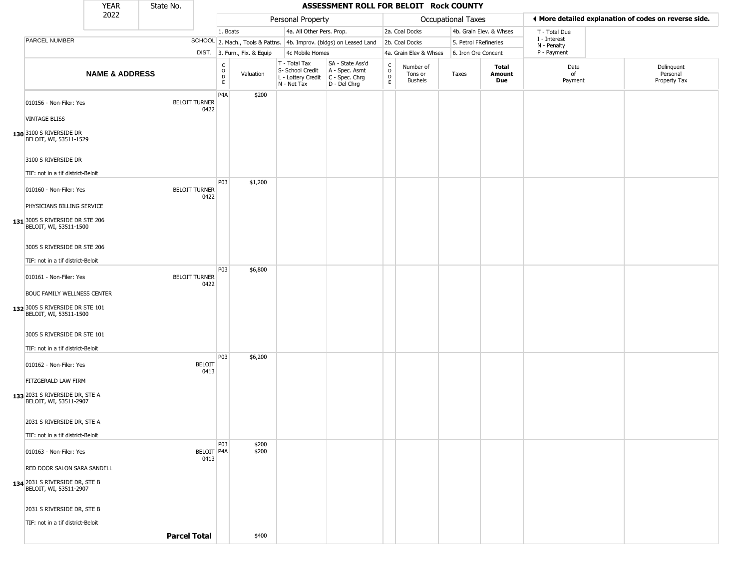|                                                                 | <b>YEAR</b>               | State No.           |                              |                                      |                              |                                                                        | ASSESSMENT ROLL FOR BELOIT Rock COUNTY                               |                                              |                                        |                       |                         |                             |                                                       |
|-----------------------------------------------------------------|---------------------------|---------------------|------------------------------|--------------------------------------|------------------------------|------------------------------------------------------------------------|----------------------------------------------------------------------|----------------------------------------------|----------------------------------------|-----------------------|-------------------------|-----------------------------|-------------------------------------------------------|
|                                                                 | 2022                      |                     |                              |                                      |                              | Personal Property                                                      |                                                                      |                                              |                                        | Occupational Taxes    |                         |                             | ◀ More detailed explanation of codes on reverse side. |
|                                                                 |                           |                     |                              | 1. Boats                             |                              | 4a. All Other Pers. Prop.                                              |                                                                      |                                              | 2a. Coal Docks                         |                       | 4b. Grain Elev. & Whses | T - Total Due               |                                                       |
| PARCEL NUMBER                                                   |                           |                     |                              |                                      |                              |                                                                        | SCHOOL 2. Mach., Tools & Pattns. 4b. Improv. (bldgs) on Leased Land  |                                              | 2b. Coal Docks                         | 5. Petrol FRefineries |                         | I - Interest<br>N - Penalty |                                                       |
|                                                                 |                           |                     |                              |                                      | DIST. 3. Furn., Fix. & Equip | 4c Mobile Homes                                                        |                                                                      |                                              | 4a. Grain Elev & Whses                 | 6. Iron Ore Concent   |                         | P - Payment                 |                                                       |
|                                                                 | <b>NAME &amp; ADDRESS</b> |                     |                              | C<br>$\mathsf O$<br>D<br>$\mathsf E$ | Valuation                    | T - Total Tax<br>S- School Credit<br>L - Lottery Credit<br>N - Net Tax | SA - State Ass'd<br>A - Spec. Asmt<br>C - Spec. Chrg<br>D - Del Chrg | $\int_{0}^{c}$<br>$\mathsf D$<br>$\mathsf E$ | Number of<br>Tons or<br><b>Bushels</b> | Taxes                 | Total<br>Amount<br>Due  | Date<br>of<br>Payment       | Delinquent<br>Personal<br>Property Tax                |
| 010156 - Non-Filer: Yes                                         |                           |                     | <b>BELOIT TURNER</b><br>0422 | P4A                                  | \$200                        |                                                                        |                                                                      |                                              |                                        |                       |                         |                             |                                                       |
| <b>VINTAGE BLISS</b>                                            |                           |                     |                              |                                      |                              |                                                                        |                                                                      |                                              |                                        |                       |                         |                             |                                                       |
| 130 3100 S RIVERSIDE DR<br>BELOIT, WI, 53511-1529               |                           |                     |                              |                                      |                              |                                                                        |                                                                      |                                              |                                        |                       |                         |                             |                                                       |
| 3100 S RIVERSIDE DR                                             |                           |                     |                              |                                      |                              |                                                                        |                                                                      |                                              |                                        |                       |                         |                             |                                                       |
| TIF: not in a tif district-Beloit                               |                           |                     |                              |                                      |                              |                                                                        |                                                                      |                                              |                                        |                       |                         |                             |                                                       |
| 010160 - Non-Filer: Yes                                         |                           |                     | <b>BELOIT TURNER</b><br>0422 | P03                                  | \$1,200                      |                                                                        |                                                                      |                                              |                                        |                       |                         |                             |                                                       |
| PHYSICIANS BILLING SERVICE                                      |                           |                     |                              |                                      |                              |                                                                        |                                                                      |                                              |                                        |                       |                         |                             |                                                       |
| 131 3005 S RIVERSIDE DR STE 206<br>BELOIT, WI, 53511-1500       |                           |                     |                              |                                      |                              |                                                                        |                                                                      |                                              |                                        |                       |                         |                             |                                                       |
| 3005 S RIVERSIDE DR STE 206                                     |                           |                     |                              |                                      |                              |                                                                        |                                                                      |                                              |                                        |                       |                         |                             |                                                       |
| TIF: not in a tif district-Beloit                               |                           |                     |                              |                                      |                              |                                                                        |                                                                      |                                              |                                        |                       |                         |                             |                                                       |
| 010161 - Non-Filer: Yes                                         |                           |                     | <b>BELOIT TURNER</b><br>0422 | P <sub>03</sub>                      | \$6,800                      |                                                                        |                                                                      |                                              |                                        |                       |                         |                             |                                                       |
| <b>BOUC FAMILY WELLNESS CENTER</b>                              |                           |                     |                              |                                      |                              |                                                                        |                                                                      |                                              |                                        |                       |                         |                             |                                                       |
| 132 3005 S RIVERSIDE DR STE 101<br>BELOIT, WI, 53511-1500       |                           |                     |                              |                                      |                              |                                                                        |                                                                      |                                              |                                        |                       |                         |                             |                                                       |
| 3005 S RIVERSIDE DR STE 101                                     |                           |                     |                              |                                      |                              |                                                                        |                                                                      |                                              |                                        |                       |                         |                             |                                                       |
| TIF: not in a tif district-Beloit                               |                           |                     |                              |                                      |                              |                                                                        |                                                                      |                                              |                                        |                       |                         |                             |                                                       |
| 010162 - Non-Filer: Yes                                         |                           |                     | <b>BELOIT</b><br>0413        | P03                                  | \$6,200                      |                                                                        |                                                                      |                                              |                                        |                       |                         |                             |                                                       |
| FITZGERALD LAW FIRM                                             |                           |                     |                              |                                      |                              |                                                                        |                                                                      |                                              |                                        |                       |                         |                             |                                                       |
| 133 2031 S RIVERSIDE DR, STE A<br>BELOIT, WI, 53511-2907        |                           |                     |                              |                                      |                              |                                                                        |                                                                      |                                              |                                        |                       |                         |                             |                                                       |
| 2031 S RIVERSIDE DR, STE A                                      |                           |                     |                              |                                      |                              |                                                                        |                                                                      |                                              |                                        |                       |                         |                             |                                                       |
| TIF: not in a tif district-Beloit                               |                           |                     |                              |                                      |                              |                                                                        |                                                                      |                                              |                                        |                       |                         |                             |                                                       |
| 010163 - Non-Filer: Yes                                         |                           |                     | BELOIT   P4A<br>0413         | <b>P03</b>                           | \$200<br>\$200               |                                                                        |                                                                      |                                              |                                        |                       |                         |                             |                                                       |
| RED DOOR SALON SARA SANDELL                                     |                           |                     |                              |                                      |                              |                                                                        |                                                                      |                                              |                                        |                       |                         |                             |                                                       |
| <b>134</b> 2031 S RIVERSIDE DR, STE B<br>BELOIT, WI, 53511-2907 |                           |                     |                              |                                      |                              |                                                                        |                                                                      |                                              |                                        |                       |                         |                             |                                                       |
| 2031 S RIVERSIDE DR, STE B                                      |                           |                     |                              |                                      |                              |                                                                        |                                                                      |                                              |                                        |                       |                         |                             |                                                       |
| TIF: not in a tif district-Beloit                               |                           |                     |                              |                                      |                              |                                                                        |                                                                      |                                              |                                        |                       |                         |                             |                                                       |
|                                                                 |                           | <b>Parcel Total</b> |                              |                                      | \$400                        |                                                                        |                                                                      |                                              |                                        |                       |                         |                             |                                                       |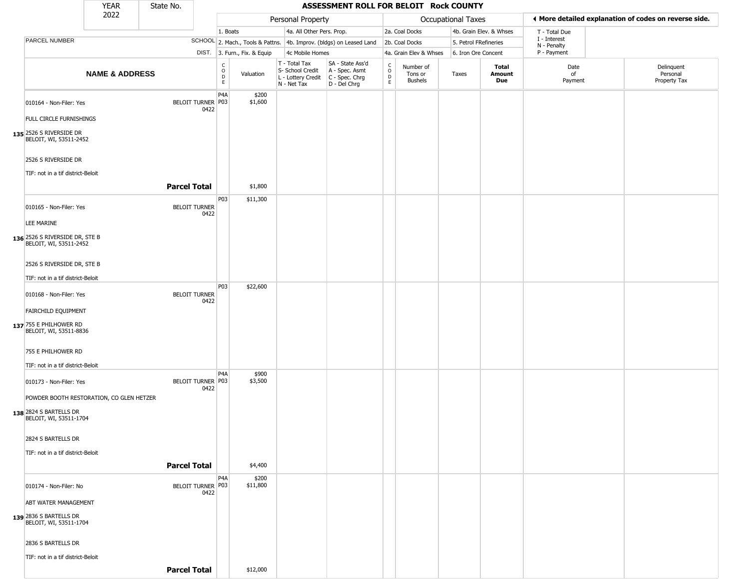|                                                                                              | <b>YEAR</b>               | State No.           |                              |                              |                              |                                                                                         | ASSESSMENT ROLL FOR BELOIT Rock COUNTY                              |                         |                                        |                       |                         |                             |                                                       |
|----------------------------------------------------------------------------------------------|---------------------------|---------------------|------------------------------|------------------------------|------------------------------|-----------------------------------------------------------------------------------------|---------------------------------------------------------------------|-------------------------|----------------------------------------|-----------------------|-------------------------|-----------------------------|-------------------------------------------------------|
|                                                                                              | 2022                      |                     |                              |                              |                              | Personal Property                                                                       |                                                                     |                         |                                        | Occupational Taxes    |                         |                             | ◀ More detailed explanation of codes on reverse side. |
|                                                                                              |                           |                     |                              | 1. Boats                     |                              | 4a. All Other Pers. Prop.                                                               |                                                                     |                         | 2a. Coal Docks                         |                       | 4b. Grain Elev. & Whses | T - Total Due               |                                                       |
| <b>PARCEL NUMBER</b>                                                                         |                           |                     |                              |                              |                              |                                                                                         | SCHOOL 2. Mach., Tools & Pattns. 4b. Improv. (bldgs) on Leased Land |                         | 2b. Coal Docks                         | 5. Petrol FRefineries |                         | I - Interest<br>N - Penalty |                                                       |
|                                                                                              |                           |                     |                              |                              | DIST. 3. Furn., Fix. & Equip | 4c Mobile Homes                                                                         |                                                                     |                         | 4a. Grain Elev & Whses                 | 6. Iron Ore Concent   |                         | P - Payment                 |                                                       |
|                                                                                              | <b>NAME &amp; ADDRESS</b> |                     |                              | $_{\rm o}^{\rm c}$<br>D<br>E | Valuation                    | T - Total Tax<br>S- School Credit<br>L - Lottery Credit   C - Spec. Chrg<br>N - Net Tax | SA - State Ass'd<br>A - Spec. Asmt<br>D - Del Chrg                  | $\frac{c}{0}$<br>D<br>E | Number of<br>Tons or<br><b>Bushels</b> | Taxes                 | Total<br>Amount<br>Due  | Date<br>of<br>Payment       | Delinquent<br>Personal<br>Property Tax                |
| 010164 - Non-Filer: Yes                                                                      |                           |                     | BELOIT TURNER P03<br>0422    | P4A                          | \$200<br>\$1,600             |                                                                                         |                                                                     |                         |                                        |                       |                         |                             |                                                       |
| FULL CIRCLE FURNISHINGS<br>135 2526 S RIVERSIDE DR<br>BELOIT, WI, 53511-2452                 |                           |                     |                              |                              |                              |                                                                                         |                                                                     |                         |                                        |                       |                         |                             |                                                       |
| 2526 S RIVERSIDE DR                                                                          |                           |                     |                              |                              |                              |                                                                                         |                                                                     |                         |                                        |                       |                         |                             |                                                       |
| TIF: not in a tif district-Beloit                                                            |                           | <b>Parcel Total</b> |                              |                              | \$1,800                      |                                                                                         |                                                                     |                         |                                        |                       |                         |                             |                                                       |
| 010165 - Non-Filer: Yes                                                                      |                           |                     | <b>BELOIT TURNER</b><br>0422 | P03                          | \$11,300                     |                                                                                         |                                                                     |                         |                                        |                       |                         |                             |                                                       |
| LEE MARINE                                                                                   |                           |                     |                              |                              |                              |                                                                                         |                                                                     |                         |                                        |                       |                         |                             |                                                       |
| 136 2526 S RIVERSIDE DR, STE B<br>BELOIT, WI, 53511-2452                                     |                           |                     |                              |                              |                              |                                                                                         |                                                                     |                         |                                        |                       |                         |                             |                                                       |
| 2526 S RIVERSIDE DR, STE B                                                                   |                           |                     |                              |                              |                              |                                                                                         |                                                                     |                         |                                        |                       |                         |                             |                                                       |
| TIF: not in a tif district-Beloit                                                            |                           |                     |                              |                              |                              |                                                                                         |                                                                     |                         |                                        |                       |                         |                             |                                                       |
| 010168 - Non-Filer: Yes                                                                      |                           |                     | <b>BELOIT TURNER</b><br>0422 | P03                          | \$22,600                     |                                                                                         |                                                                     |                         |                                        |                       |                         |                             |                                                       |
| FAIRCHILD EQUIPMENT                                                                          |                           |                     |                              |                              |                              |                                                                                         |                                                                     |                         |                                        |                       |                         |                             |                                                       |
| 137 755 E PHILHOWER RD<br>BELOIT, WI, 53511-8836                                             |                           |                     |                              |                              |                              |                                                                                         |                                                                     |                         |                                        |                       |                         |                             |                                                       |
| 755 E PHILHOWER RD                                                                           |                           |                     |                              |                              |                              |                                                                                         |                                                                     |                         |                                        |                       |                         |                             |                                                       |
| TIF: not in a tif district-Beloit                                                            |                           |                     |                              | P4A                          | \$900                        |                                                                                         |                                                                     |                         |                                        |                       |                         |                             |                                                       |
| 010173 - Non-Filer: Yes                                                                      |                           |                     | BELOIT TURNER P03<br>0422    |                              | \$3,500                      |                                                                                         |                                                                     |                         |                                        |                       |                         |                             |                                                       |
| POWDER BOOTH RESTORATION, CO GLEN HETZER<br>138 2824 S BARTELLS DR<br>BELOIT, WI, 53511-1704 |                           |                     |                              |                              |                              |                                                                                         |                                                                     |                         |                                        |                       |                         |                             |                                                       |
| 2824 S BARTELLS DR                                                                           |                           |                     |                              |                              |                              |                                                                                         |                                                                     |                         |                                        |                       |                         |                             |                                                       |
| TIF: not in a tif district-Beloit                                                            |                           |                     |                              |                              |                              |                                                                                         |                                                                     |                         |                                        |                       |                         |                             |                                                       |
|                                                                                              |                           | <b>Parcel Total</b> |                              |                              | \$4,400                      |                                                                                         |                                                                     |                         |                                        |                       |                         |                             |                                                       |
| 010174 - Non-Filer: No                                                                       |                           |                     | BELOIT TURNER P03<br>0422    | P4A                          | \$200<br>\$11,800            |                                                                                         |                                                                     |                         |                                        |                       |                         |                             |                                                       |
| <b>ABT WATER MANAGEMENT</b>                                                                  |                           |                     |                              |                              |                              |                                                                                         |                                                                     |                         |                                        |                       |                         |                             |                                                       |
| 139 2836 S BARTELLS DR<br>BELOIT, WI, 53511-1704                                             |                           |                     |                              |                              |                              |                                                                                         |                                                                     |                         |                                        |                       |                         |                             |                                                       |
| 2836 S BARTELLS DR                                                                           |                           |                     |                              |                              |                              |                                                                                         |                                                                     |                         |                                        |                       |                         |                             |                                                       |
| TIF: not in a tif district-Beloit                                                            |                           |                     |                              |                              |                              |                                                                                         |                                                                     |                         |                                        |                       |                         |                             |                                                       |
|                                                                                              |                           | <b>Parcel Total</b> |                              |                              | \$12,000                     |                                                                                         |                                                                     |                         |                                        |                       |                         |                             |                                                       |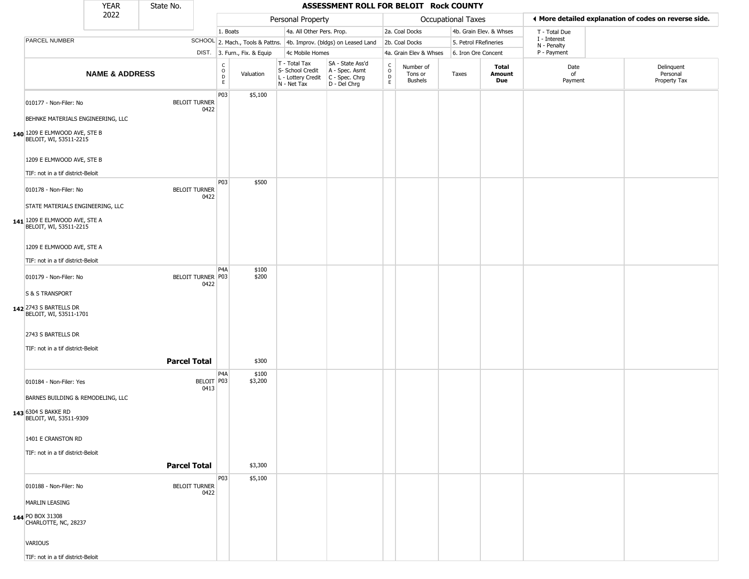|                                                                                                               | <b>YEAR</b>               | State No.           |                              |                        |                              |                                                                        | ASSESSMENT ROLL FOR BELOIT Rock COUNTY                               |                        |                                 |                       |                         |                             |                                                       |
|---------------------------------------------------------------------------------------------------------------|---------------------------|---------------------|------------------------------|------------------------|------------------------------|------------------------------------------------------------------------|----------------------------------------------------------------------|------------------------|---------------------------------|-----------------------|-------------------------|-----------------------------|-------------------------------------------------------|
|                                                                                                               | 2022                      |                     |                              |                        |                              | Personal Property                                                      |                                                                      |                        |                                 | Occupational Taxes    |                         |                             | ♦ More detailed explanation of codes on reverse side. |
|                                                                                                               |                           |                     |                              | 1. Boats               |                              | 4a. All Other Pers. Prop.                                              |                                                                      |                        | 2a. Coal Docks                  |                       | 4b. Grain Elev. & Whses | T - Total Due               |                                                       |
| PARCEL NUMBER                                                                                                 |                           |                     |                              |                        |                              |                                                                        | SCHOOL 2. Mach., Tools & Pattns. 4b. Improv. (bldgs) on Leased Land  |                        | 2b. Coal Docks                  | 5. Petrol FRefineries |                         | I - Interest<br>N - Penalty |                                                       |
|                                                                                                               |                           |                     |                              |                        | DIST. 3. Furn., Fix. & Equip | 4c Mobile Homes                                                        |                                                                      |                        | 4a. Grain Elev & Whses          | 6. Iron Ore Concent   |                         | P - Payment                 |                                                       |
|                                                                                                               | <b>NAME &amp; ADDRESS</b> |                     |                              | C<br>$\circ$<br>D<br>E | Valuation                    | T - Total Tax<br>S- School Credit<br>L - Lottery Credit<br>N - Net Tax | SA - State Ass'd<br>A - Spec. Asmt<br>C - Spec. Chrg<br>D - Del Chrg | C<br>$\circ$<br>D<br>E | Number of<br>Tons or<br>Bushels | Taxes                 | Total<br>Amount<br>Due  | Date<br>of<br>Payment       | Delinquent<br>Personal<br>Property Tax                |
| 010177 - Non-Filer: No<br>BEHNKE MATERIALS ENGINEERING, LLC<br>140 1209 E ELMWOOD AVE, STE B                  |                           |                     | <b>BELOIT TURNER</b><br>0422 | P03                    | \$5,100                      |                                                                        |                                                                      |                        |                                 |                       |                         |                             |                                                       |
| BELOIT, WI, 53511-2215<br>1209 E ELMWOOD AVE, STE B<br>TIF: not in a tif district-Beloit                      |                           |                     |                              |                        |                              |                                                                        |                                                                      |                        |                                 |                       |                         |                             |                                                       |
| 010178 - Non-Filer: No<br>STATE MATERIALS ENGINEERING, LLC                                                    |                           |                     | <b>BELOIT TURNER</b><br>0422 | P03                    | \$500                        |                                                                        |                                                                      |                        |                                 |                       |                         |                             |                                                       |
| <b>141</b> 1209 E ELMWOOD AVE, STE A<br>BELOIT, WI, 53511-2215                                                |                           |                     |                              |                        |                              |                                                                        |                                                                      |                        |                                 |                       |                         |                             |                                                       |
| 1209 E ELMWOOD AVE, STE A<br>TIF: not in a tif district-Beloit                                                |                           |                     |                              |                        |                              |                                                                        |                                                                      |                        |                                 |                       |                         |                             |                                                       |
| 010179 - Non-Filer: No<br>S & S TRANSPORT                                                                     |                           |                     | BELOIT TURNER P03<br>0422    | P4A                    | \$100<br>\$200               |                                                                        |                                                                      |                        |                                 |                       |                         |                             |                                                       |
| 142 2743 S BARTELLS DR<br>BELOIT, WI, 53511-1701<br>2743 S BARTELLS DR<br>TIF: not in a tif district-Beloit   |                           |                     |                              |                        |                              |                                                                        |                                                                      |                        |                                 |                       |                         |                             |                                                       |
|                                                                                                               |                           | <b>Parcel Total</b> |                              |                        | \$300                        |                                                                        |                                                                      |                        |                                 |                       |                         |                             |                                                       |
| 010184 - Non-Filer: Yes<br>BARNES BUILDING & REMODELING, LLC<br>143 6304 S BAKKE RD<br>BELOIT, WI, 53511-9309 |                           |                     | BELOIT P03<br>0413           | P4A                    | \$100<br>\$3,200             |                                                                        |                                                                      |                        |                                 |                       |                         |                             |                                                       |
| 1401 E CRANSTON RD<br>TIF: not in a tif district-Beloit                                                       |                           |                     |                              |                        |                              |                                                                        |                                                                      |                        |                                 |                       |                         |                             |                                                       |
|                                                                                                               |                           | <b>Parcel Total</b> |                              |                        | \$3,300                      |                                                                        |                                                                      |                        |                                 |                       |                         |                             |                                                       |
| 010188 - Non-Filer: No<br><b>MARLIN LEASING</b><br>144 PO BOX 31308<br>CHARLOTTE, NC, 28237                   |                           |                     | <b>BELOIT TURNER</b><br>0422 | P03                    | \$5,100                      |                                                                        |                                                                      |                        |                                 |                       |                         |                             |                                                       |
| VARIOUS<br>TIF: not in a tif district-Beloit                                                                  |                           |                     |                              |                        |                              |                                                                        |                                                                      |                        |                                 |                       |                         |                             |                                                       |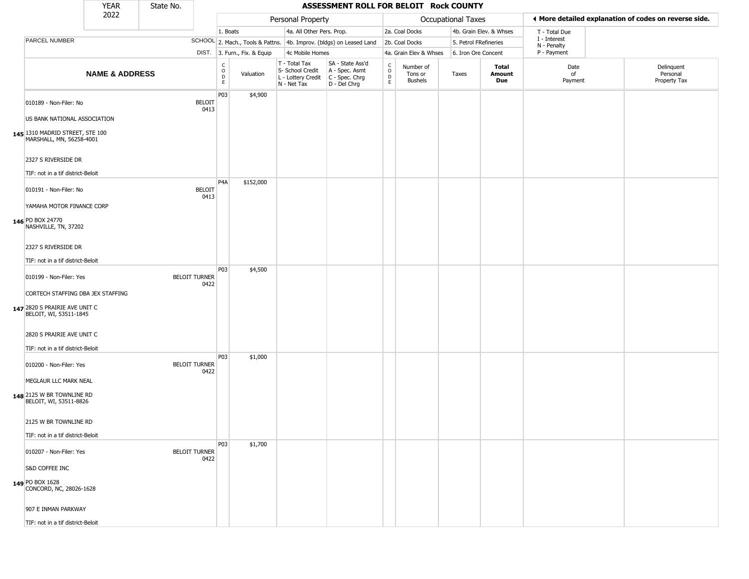|                                                                                              | <b>YEAR</b>               | State No. |                              |                                                  |                              |                                                                        | ASSESSMENT ROLL FOR BELOIT Rock COUNTY                               |                                                 |                                        |                       |                         |                             |                                                       |
|----------------------------------------------------------------------------------------------|---------------------------|-----------|------------------------------|--------------------------------------------------|------------------------------|------------------------------------------------------------------------|----------------------------------------------------------------------|-------------------------------------------------|----------------------------------------|-----------------------|-------------------------|-----------------------------|-------------------------------------------------------|
|                                                                                              | 2022                      |           |                              |                                                  |                              | Personal Property                                                      |                                                                      |                                                 |                                        | Occupational Taxes    |                         |                             | ◀ More detailed explanation of codes on reverse side. |
|                                                                                              |                           |           |                              | 1. Boats                                         |                              | 4a. All Other Pers. Prop.                                              |                                                                      |                                                 | 2a. Coal Docks                         |                       | 4b. Grain Elev. & Whses | T - Total Due               |                                                       |
| PARCEL NUMBER                                                                                |                           |           |                              |                                                  |                              |                                                                        | SCHOOL 2. Mach., Tools & Pattns. 4b. Improv. (bldgs) on Leased Land  |                                                 | 2b. Coal Docks                         | 5. Petrol FRefineries |                         | I - Interest<br>N - Penalty |                                                       |
|                                                                                              |                           |           |                              |                                                  | DIST. 3. Furn., Fix. & Equip | 4c Mobile Homes                                                        |                                                                      |                                                 | 4a. Grain Elev & Whses                 | 6. Iron Ore Concent   |                         | P - Payment                 |                                                       |
|                                                                                              | <b>NAME &amp; ADDRESS</b> |           |                              | $_{\rm o}^{\rm c}$<br>$\mathsf D$<br>$\mathsf E$ | Valuation                    | T - Total Tax<br>S- School Credit<br>L - Lottery Credit<br>N - Net Tax | SA - State Ass'd<br>A - Spec. Asmt<br>C - Spec. Chrg<br>D - Del Chrg | $\begin{array}{c} C \\ O \\ D \\ E \end{array}$ | Number of<br>Tons or<br><b>Bushels</b> | Taxes                 | Total<br>Amount<br>Due  | Date<br>of<br>Payment       | Delinquent<br>Personal<br>Property Tax                |
| 010189 - Non-Filer: No<br>US BANK NATIONAL ASSOCIATION                                       |                           |           | <b>BELOIT</b><br>0413        | P03                                              | \$4,900                      |                                                                        |                                                                      |                                                 |                                        |                       |                         |                             |                                                       |
| 145 1310 MADRID STREET, STE 100<br>MARSHALL, MN, 56258-4001                                  |                           |           |                              |                                                  |                              |                                                                        |                                                                      |                                                 |                                        |                       |                         |                             |                                                       |
| 2327 S RIVERSIDE DR<br>TIF: not in a tif district-Beloit                                     |                           |           |                              |                                                  |                              |                                                                        |                                                                      |                                                 |                                        |                       |                         |                             |                                                       |
| 010191 - Non-Filer: No                                                                       |                           |           | <b>BELOIT</b><br>0413        | P <sub>4</sub> A                                 | \$152,000                    |                                                                        |                                                                      |                                                 |                                        |                       |                         |                             |                                                       |
| YAMAHA MOTOR FINANCE CORP<br>146 PO BOX 24770<br>NASHVILLE, TN, 37202                        |                           |           |                              |                                                  |                              |                                                                        |                                                                      |                                                 |                                        |                       |                         |                             |                                                       |
| 2327 S RIVERSIDE DR<br>TIF: not in a tif district-Beloit                                     |                           |           |                              |                                                  |                              |                                                                        |                                                                      |                                                 |                                        |                       |                         |                             |                                                       |
| 010199 - Non-Filer: Yes                                                                      |                           |           | <b>BELOIT TURNER</b><br>0422 | P03                                              | \$4,500                      |                                                                        |                                                                      |                                                 |                                        |                       |                         |                             |                                                       |
| CORTECH STAFFING DBA JEX STAFFING<br>147 2820 S PRAIRIE AVE UNIT C<br>BELOIT, WI, 53511-1845 |                           |           |                              |                                                  |                              |                                                                        |                                                                      |                                                 |                                        |                       |                         |                             |                                                       |
| 2820 S PRAIRIE AVE UNIT C<br>TIF: not in a tif district-Beloit                               |                           |           |                              |                                                  |                              |                                                                        |                                                                      |                                                 |                                        |                       |                         |                             |                                                       |
| 010200 - Non-Filer: Yes                                                                      |                           |           | <b>BELOIT TURNER</b><br>0422 | P03                                              | \$1,000                      |                                                                        |                                                                      |                                                 |                                        |                       |                         |                             |                                                       |
| MEGLAUR LLC MARK NEAL<br>148 2125 W BR TOWNLINE RD<br>BELOIT, WI, 53511-8826                 |                           |           |                              |                                                  |                              |                                                                        |                                                                      |                                                 |                                        |                       |                         |                             |                                                       |
| 2125 W BR TOWNLINE RD<br>TIF: not in a tif district-Beloit                                   |                           |           |                              |                                                  |                              |                                                                        |                                                                      |                                                 |                                        |                       |                         |                             |                                                       |
| 010207 - Non-Filer: Yes                                                                      |                           |           | <b>BELOIT TURNER</b>         | P03                                              | \$1,700                      |                                                                        |                                                                      |                                                 |                                        |                       |                         |                             |                                                       |
| S&D COFFEE INC                                                                               |                           |           | 0422                         |                                                  |                              |                                                                        |                                                                      |                                                 |                                        |                       |                         |                             |                                                       |
| 149 PO BOX 1628<br>CONCORD, NC, 28026-1628                                                   |                           |           |                              |                                                  |                              |                                                                        |                                                                      |                                                 |                                        |                       |                         |                             |                                                       |
| 907 E INMAN PARKWAY                                                                          |                           |           |                              |                                                  |                              |                                                                        |                                                                      |                                                 |                                        |                       |                         |                             |                                                       |
| TIF: not in a tif district-Beloit                                                            |                           |           |                              |                                                  |                              |                                                                        |                                                                      |                                                 |                                        |                       |                         |                             |                                                       |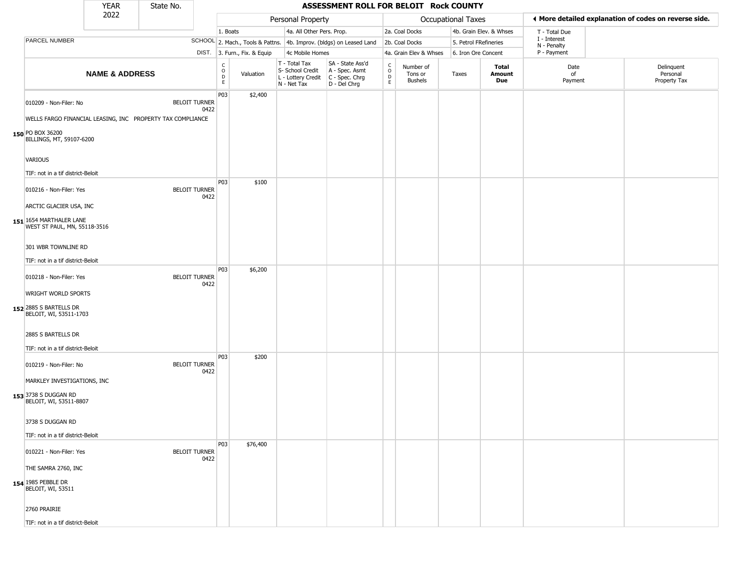|                                                                                                          | <b>YEAR</b>               | State No. |                              |                         |                              |                                                                        | ASSESSMENT ROLL FOR BELOIT Rock COUNTY                               |                                    |                                        |                       |                         |                             |                                                       |
|----------------------------------------------------------------------------------------------------------|---------------------------|-----------|------------------------------|-------------------------|------------------------------|------------------------------------------------------------------------|----------------------------------------------------------------------|------------------------------------|----------------------------------------|-----------------------|-------------------------|-----------------------------|-------------------------------------------------------|
|                                                                                                          | 2022                      |           |                              |                         |                              | Personal Property                                                      |                                                                      |                                    |                                        | Occupational Taxes    |                         |                             | ♦ More detailed explanation of codes on reverse side. |
|                                                                                                          |                           |           |                              | 1. Boats                |                              | 4a. All Other Pers. Prop.                                              |                                                                      |                                    | 2a. Coal Docks                         |                       | 4b. Grain Elev. & Whses | T - Total Due               |                                                       |
| PARCEL NUMBER                                                                                            |                           |           |                              |                         |                              |                                                                        | SCHOOL 2. Mach., Tools & Pattns. 4b. Improv. (bldgs) on Leased Land  |                                    | 2b. Coal Docks                         | 5. Petrol FRefineries |                         | I - Interest<br>N - Penalty |                                                       |
|                                                                                                          |                           |           |                              |                         | DIST. 3. Furn., Fix. & Equip | 4c Mobile Homes                                                        |                                                                      |                                    | 4a. Grain Elev & Whses                 | 6. Iron Ore Concent   |                         | P - Payment                 |                                                       |
|                                                                                                          | <b>NAME &amp; ADDRESS</b> |           |                              | C<br>$\circ$<br>D<br>E. | Valuation                    | T - Total Tax<br>S- School Credit<br>L - Lottery Credit<br>N - Net Tax | SA - State Ass'd<br>A - Spec. Asmt<br>C - Spec. Chrg<br>D - Del Chrg | $\int_{0}^{c}$<br>$\mathsf D$<br>E | Number of<br>Tons or<br><b>Bushels</b> | Taxes                 | Total<br>Amount<br>Due  | Date<br>of<br>Payment       | Delinquent<br>Personal<br>Property Tax                |
| 010209 - Non-Filer: No<br>WELLS FARGO FINANCIAL LEASING, INC PROPERTY TAX COMPLIANCE<br>150 PO BOX 36200 |                           |           | <b>BELOIT TURNER</b><br>0422 | P03                     | \$2,400                      |                                                                        |                                                                      |                                    |                                        |                       |                         |                             |                                                       |
| BILLINGS, MT, 59107-6200<br><b>VARIOUS</b>                                                               |                           |           |                              |                         |                              |                                                                        |                                                                      |                                    |                                        |                       |                         |                             |                                                       |
| TIF: not in a tif district-Beloit                                                                        |                           |           |                              |                         |                              |                                                                        |                                                                      |                                    |                                        |                       |                         |                             |                                                       |
| 010216 - Non-Filer: Yes<br>ARCTIC GLACIER USA, INC                                                       |                           |           | <b>BELOIT TURNER</b><br>0422 | P03                     | \$100                        |                                                                        |                                                                      |                                    |                                        |                       |                         |                             |                                                       |
| 151 1654 MARTHALER LANE<br>WEST ST PAUL, MN, 55118-3516                                                  |                           |           |                              |                         |                              |                                                                        |                                                                      |                                    |                                        |                       |                         |                             |                                                       |
| 301 WBR TOWNLINE RD                                                                                      |                           |           |                              |                         |                              |                                                                        |                                                                      |                                    |                                        |                       |                         |                             |                                                       |
| TIF: not in a tif district-Beloit                                                                        |                           |           |                              |                         |                              |                                                                        |                                                                      |                                    |                                        |                       |                         |                             |                                                       |
| 010218 - Non-Filer: Yes                                                                                  |                           |           | <b>BELOIT TURNER</b><br>0422 | P03                     | \$6,200                      |                                                                        |                                                                      |                                    |                                        |                       |                         |                             |                                                       |
| WRIGHT WORLD SPORTS<br>152 2885 S BARTELLS DR<br>BELOIT, WI, 53511-1703                                  |                           |           |                              |                         |                              |                                                                        |                                                                      |                                    |                                        |                       |                         |                             |                                                       |
| 2885 S BARTELLS DR<br>TIF: not in a tif district-Beloit                                                  |                           |           |                              |                         |                              |                                                                        |                                                                      |                                    |                                        |                       |                         |                             |                                                       |
| 010219 - Non-Filer: No                                                                                   |                           |           | <b>BELOIT TURNER</b><br>0422 | P03                     | \$200                        |                                                                        |                                                                      |                                    |                                        |                       |                         |                             |                                                       |
| MARKLEY INVESTIGATIONS, INC<br>153 3738 S DUGGAN RD<br>BELOIT, WI, 53511-8807                            |                           |           |                              |                         |                              |                                                                        |                                                                      |                                    |                                        |                       |                         |                             |                                                       |
| 3738 S DUGGAN RD<br>TIF: not in a tif district-Beloit                                                    |                           |           |                              |                         |                              |                                                                        |                                                                      |                                    |                                        |                       |                         |                             |                                                       |
|                                                                                                          |                           |           |                              | P03                     | \$76,400                     |                                                                        |                                                                      |                                    |                                        |                       |                         |                             |                                                       |
| 010221 - Non-Filer: Yes<br>THE SAMRA 2760, INC                                                           |                           |           | <b>BELOIT TURNER</b><br>0422 |                         |                              |                                                                        |                                                                      |                                    |                                        |                       |                         |                             |                                                       |
| <b>154</b> 1985 PEBBLE DR<br>BELOIT, WI, 53511                                                           |                           |           |                              |                         |                              |                                                                        |                                                                      |                                    |                                        |                       |                         |                             |                                                       |
| 2760 PRAIRIE                                                                                             |                           |           |                              |                         |                              |                                                                        |                                                                      |                                    |                                        |                       |                         |                             |                                                       |
| TIF: not in a tif district-Beloit                                                                        |                           |           |                              |                         |                              |                                                                        |                                                                      |                                    |                                        |                       |                         |                             |                                                       |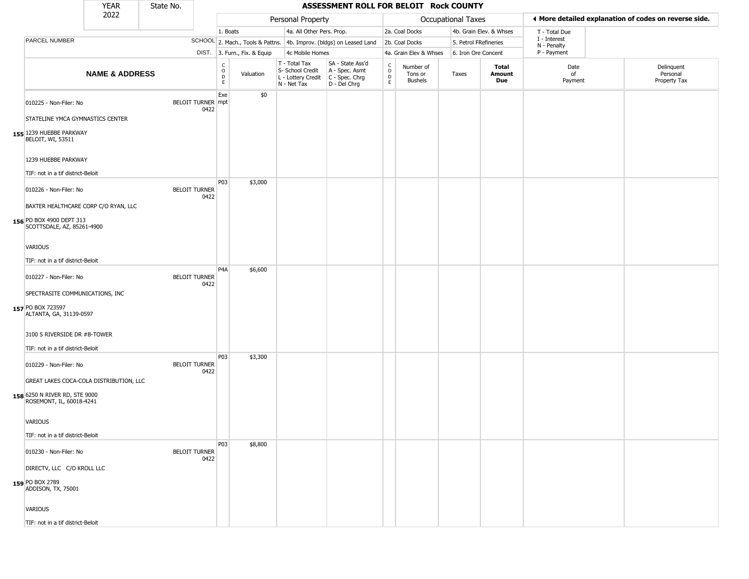|                                                                                                      | <b>YEAR</b>               | State No. |                                  |                            |                              |                                                                        | ASSESSMENT ROLL FOR BELOIT Rock COUNTY                                 |                                       |                                        |                       |                         |                             |                                                       |
|------------------------------------------------------------------------------------------------------|---------------------------|-----------|----------------------------------|----------------------------|------------------------------|------------------------------------------------------------------------|------------------------------------------------------------------------|---------------------------------------|----------------------------------------|-----------------------|-------------------------|-----------------------------|-------------------------------------------------------|
|                                                                                                      | 2022                      |           |                                  |                            |                              | Personal Property                                                      |                                                                        |                                       |                                        | Occupational Taxes    |                         |                             | ♦ More detailed explanation of codes on reverse side. |
|                                                                                                      |                           |           |                                  | 1. Boats                   |                              | 4a. All Other Pers. Prop.                                              |                                                                        |                                       | 2a. Coal Docks                         |                       | 4b. Grain Elev. & Whses | T - Total Due               |                                                       |
| PARCEL NUMBER                                                                                        |                           |           |                                  |                            |                              |                                                                        | SCHOOL 2. Mach., Tools & Pattns. 4b. Improv. (bldgs) on Leased Land    |                                       | 2b. Coal Docks                         | 5. Petrol FRefineries |                         | I - Interest<br>N - Penalty |                                                       |
|                                                                                                      |                           |           |                                  |                            | DIST. 3. Furn., Fix. & Equip | 4c Mobile Homes                                                        |                                                                        |                                       | 4a. Grain Elev & Whses                 | 6. Iron Ore Concent   |                         | P - Payment                 |                                                       |
|                                                                                                      | <b>NAME &amp; ADDRESS</b> |           |                                  | C<br>$\mathsf O$<br>D<br>E | Valuation                    | T - Total Tax<br>S- School Credit<br>L - Lottery Credit<br>N - Net Tax | SA - State Ass'd<br>A - Spec. Asmt<br>$C - Spec. Chrg$<br>D - Del Chrg | C<br>$\mathsf{o}$<br>D<br>$\mathsf E$ | Number of<br>Tons or<br><b>Bushels</b> | Taxes                 | Total<br>Amount<br>Due  | Date<br>of<br>Payment       | Delinquent<br>Personal<br>Property Tax                |
| 010225 - Non-Filer: No<br>STATELINE YMCA GYMNASTICS CENTER                                           |                           |           | <b>BELOIT TURNER mpt</b><br>0422 | Exe                        | \$0                          |                                                                        |                                                                        |                                       |                                        |                       |                         |                             |                                                       |
| 155 1239 HUEBBE PARKWAY<br>BELOIT, WI, 53511                                                         |                           |           |                                  |                            |                              |                                                                        |                                                                        |                                       |                                        |                       |                         |                             |                                                       |
| 1239 HUEBBE PARKWAY<br>TIF: not in a tif district-Beloit                                             |                           |           |                                  |                            |                              |                                                                        |                                                                        |                                       |                                        |                       |                         |                             |                                                       |
| 010226 - Non-Filer: No                                                                               |                           |           | <b>BELOIT TURNER</b><br>0422     | P03                        | \$3,000                      |                                                                        |                                                                        |                                       |                                        |                       |                         |                             |                                                       |
| BAXTER HEALTHCARE CORP C/O RYAN, LLC<br>156 PO BOX 4900 DEPT 313<br>SCOTTSDALE, AZ, 85261-4900       |                           |           |                                  |                            |                              |                                                                        |                                                                        |                                       |                                        |                       |                         |                             |                                                       |
| <b>VARIOUS</b><br>TIF: not in a tif district-Beloit                                                  |                           |           |                                  |                            |                              |                                                                        |                                                                        |                                       |                                        |                       |                         |                             |                                                       |
| 010227 - Non-Filer: No                                                                               |                           |           | <b>BELOIT TURNER</b><br>0422     | P <sub>4</sub> A           | \$6,600                      |                                                                        |                                                                        |                                       |                                        |                       |                         |                             |                                                       |
| SPECTRASITE COMMUNICATIONS, INC<br>157 PO BOX 723597<br>ALTANTA, GA, 31139-0597                      |                           |           |                                  |                            |                              |                                                                        |                                                                        |                                       |                                        |                       |                         |                             |                                                       |
| 3100 S RIVERSIDE DR #B-TOWER                                                                         |                           |           |                                  |                            |                              |                                                                        |                                                                        |                                       |                                        |                       |                         |                             |                                                       |
| TIF: not in a tif district-Beloit<br>010229 - Non-Filer: No                                          |                           |           | <b>BELOIT TURNER</b><br>0422     | P03                        | \$3,300                      |                                                                        |                                                                        |                                       |                                        |                       |                         |                             |                                                       |
| GREAT LAKES COCA-COLA DISTRIBUTION, LLC<br>158 6250 N RIVER RD, STE 9000<br>ROSEMONT, IL, 60018-4241 |                           |           |                                  |                            |                              |                                                                        |                                                                        |                                       |                                        |                       |                         |                             |                                                       |
| VARIOUS                                                                                              |                           |           |                                  |                            |                              |                                                                        |                                                                        |                                       |                                        |                       |                         |                             |                                                       |
| TIF: not in a tif district-Beloit                                                                    |                           |           |                                  | P03                        | \$8,800                      |                                                                        |                                                                        |                                       |                                        |                       |                         |                             |                                                       |
| 010230 - Non-Filer: No                                                                               |                           |           | <b>BELOIT TURNER</b><br>0422     |                            |                              |                                                                        |                                                                        |                                       |                                        |                       |                         |                             |                                                       |
| DIRECTV, LLC C/O KROLL LLC<br>159 PO BOX 2789<br>ADDISON, TX, 75001                                  |                           |           |                                  |                            |                              |                                                                        |                                                                        |                                       |                                        |                       |                         |                             |                                                       |
| <b>VARIOUS</b>                                                                                       |                           |           |                                  |                            |                              |                                                                        |                                                                        |                                       |                                        |                       |                         |                             |                                                       |
| TIF: not in a tif district-Beloit                                                                    |                           |           |                                  |                            |                              |                                                                        |                                                                        |                                       |                                        |                       |                         |                             |                                                       |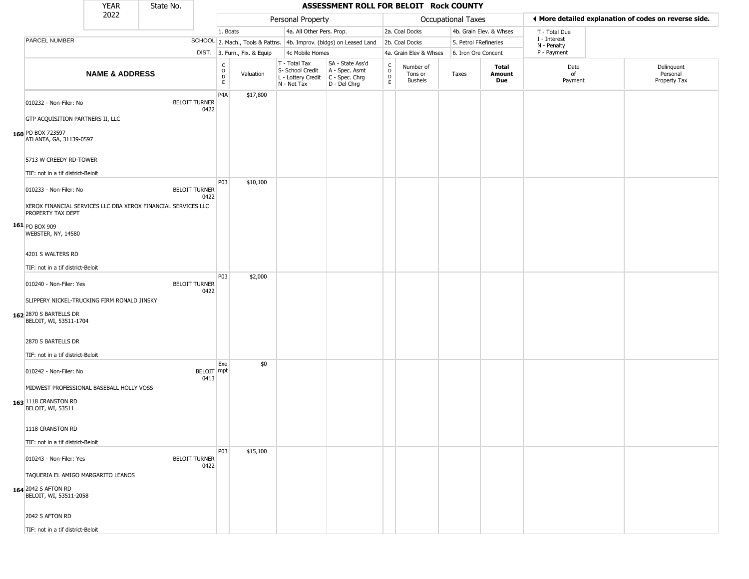|                                                                                                                              | YEAR                      | State No. |                              |                          |                              |                                                                        | ASSESSMENT ROLL FOR BELOIT Rock COUNTY                               |                                   |                                        |                           |                         |                             |                                                       |
|------------------------------------------------------------------------------------------------------------------------------|---------------------------|-----------|------------------------------|--------------------------|------------------------------|------------------------------------------------------------------------|----------------------------------------------------------------------|-----------------------------------|----------------------------------------|---------------------------|-------------------------|-----------------------------|-------------------------------------------------------|
|                                                                                                                              | 2022                      |           |                              |                          |                              | Personal Property                                                      |                                                                      |                                   |                                        | <b>Occupational Taxes</b> |                         |                             | ◀ More detailed explanation of codes on reverse side. |
|                                                                                                                              |                           |           |                              | 1. Boats                 |                              | 4a. All Other Pers. Prop.                                              |                                                                      |                                   | 2a. Coal Docks                         |                           | 4b. Grain Elev. & Whses | T - Total Due               |                                                       |
| PARCEL NUMBER                                                                                                                |                           |           |                              |                          |                              |                                                                        | SCHOOL 2. Mach., Tools & Pattns. 4b. Improv. (bldgs) on Leased Land  |                                   | 2b. Coal Docks                         |                           | 5. Petrol FRefineries   | I - Interest<br>N - Penalty |                                                       |
|                                                                                                                              |                           |           |                              |                          | DIST. 3. Furn., Fix. & Equip | 4c Mobile Homes                                                        |                                                                      |                                   | 4a. Grain Elev & Whses                 |                           | 6. Iron Ore Concent     | P - Payment                 |                                                       |
|                                                                                                                              | <b>NAME &amp; ADDRESS</b> |           |                              | $\int_{0}^{c}$<br>D<br>E | Valuation                    | T - Total Tax<br>S- School Credit<br>L - Lottery Credit<br>N - Net Tax | SA - State Ass'd<br>A - Spec. Asmt<br>C - Spec. Chrg<br>D - Del Chrg | $\mathsf{C}$<br>$\circ$<br>D<br>E | Number of<br>Tons or<br><b>Bushels</b> | Taxes                     | Total<br>Amount<br>Due  | Date<br>of<br>Payment       | Delinquent<br>Personal<br>Property Tax                |
| 010232 - Non-Filer: No                                                                                                       |                           |           | <b>BELOIT TURNER</b><br>0422 | P4A                      | \$17,800                     |                                                                        |                                                                      |                                   |                                        |                           |                         |                             |                                                       |
| GTP ACQUISITION PARTNERS II, LLC<br>160 PO BOX 723597<br>ATLANTA, GA, 31139-0597                                             |                           |           |                              |                          |                              |                                                                        |                                                                      |                                   |                                        |                           |                         |                             |                                                       |
| 5713 W CREEDY RD-TOWER                                                                                                       |                           |           |                              |                          |                              |                                                                        |                                                                      |                                   |                                        |                           |                         |                             |                                                       |
| TIF: not in a tif district-Beloit                                                                                            |                           |           |                              |                          |                              |                                                                        |                                                                      |                                   |                                        |                           |                         |                             |                                                       |
| 010233 - Non-Filer: No                                                                                                       |                           |           | <b>BELOIT TURNER</b><br>0422 | P03                      | \$10,100                     |                                                                        |                                                                      |                                   |                                        |                           |                         |                             |                                                       |
| XEROX FINANCIAL SERVICES LLC DBA XEROX FINANCIAL SERVICES LLC<br>PROPERTY TAX DEPT<br>$161$ PO BOX 909<br>WEBSTER, NY, 14580 |                           |           |                              |                          |                              |                                                                        |                                                                      |                                   |                                        |                           |                         |                             |                                                       |
| 4201 S WALTERS RD                                                                                                            |                           |           |                              |                          |                              |                                                                        |                                                                      |                                   |                                        |                           |                         |                             |                                                       |
| TIF: not in a tif district-Beloit                                                                                            |                           |           |                              |                          |                              |                                                                        |                                                                      |                                   |                                        |                           |                         |                             |                                                       |
| 010240 - Non-Filer: Yes                                                                                                      |                           |           | <b>BELOIT TURNER</b><br>0422 | P03                      | \$2,000                      |                                                                        |                                                                      |                                   |                                        |                           |                         |                             |                                                       |
| SLIPPERY NICKEL-TRUCKING FIRM RONALD JINSKY<br>162 2870 S BARTELLS DR<br>BELOIT, WI, 53511-1704                              |                           |           |                              |                          |                              |                                                                        |                                                                      |                                   |                                        |                           |                         |                             |                                                       |
| 2870 S BARTELLS DR<br>TIF: not in a tif district-Beloit                                                                      |                           |           |                              |                          |                              |                                                                        |                                                                      |                                   |                                        |                           |                         |                             |                                                       |
| 010242 - Non-Filer: No                                                                                                       |                           |           | BELOIT mpt<br>0413           | Exe                      | \$0                          |                                                                        |                                                                      |                                   |                                        |                           |                         |                             |                                                       |
| MIDWEST PROFESSIONAL BASEBALL HOLLY VOSS<br>163 1118 CRANSTON RD<br>BELOIT, WI, 53511                                        |                           |           |                              |                          |                              |                                                                        |                                                                      |                                   |                                        |                           |                         |                             |                                                       |
| 1118 CRANSTON RD<br>TIF: not in a tif district-Beloit                                                                        |                           |           |                              |                          |                              |                                                                        |                                                                      |                                   |                                        |                           |                         |                             |                                                       |
|                                                                                                                              |                           |           |                              | P03                      | \$15,100                     |                                                                        |                                                                      |                                   |                                        |                           |                         |                             |                                                       |
| 010243 - Non-Filer: Yes                                                                                                      |                           |           | <b>BELOIT TURNER</b><br>0422 |                          |                              |                                                                        |                                                                      |                                   |                                        |                           |                         |                             |                                                       |
| TAQUERIA EL AMIGO MARGARITO LEANOS<br>164 2042 S AFTON RD<br>BELOIT, WI, 53511-2058                                          |                           |           |                              |                          |                              |                                                                        |                                                                      |                                   |                                        |                           |                         |                             |                                                       |
| 2042 S AFTON RD                                                                                                              |                           |           |                              |                          |                              |                                                                        |                                                                      |                                   |                                        |                           |                         |                             |                                                       |
| TIF: not in a tif district-Beloit                                                                                            |                           |           |                              |                          |                              |                                                                        |                                                                      |                                   |                                        |                           |                         |                             |                                                       |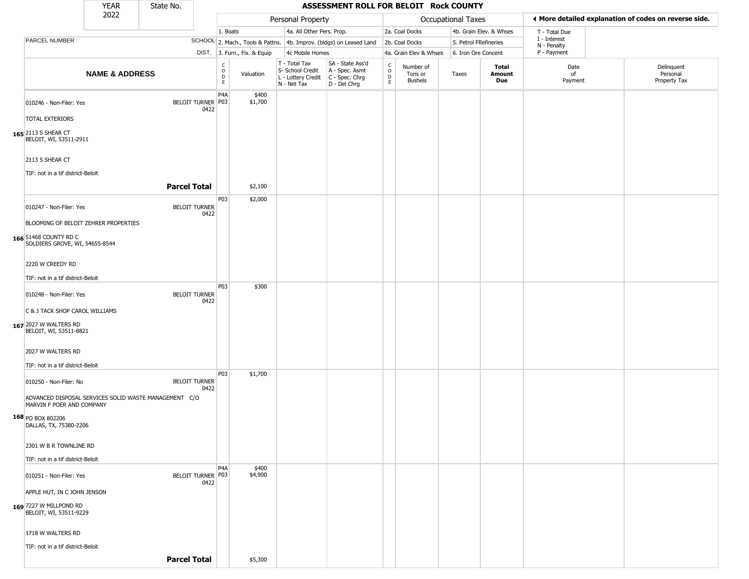|                                                                                                 | <b>YEAR</b>               | State No.           |                                  |                        |                              |                                                                        | ASSESSMENT ROLL FOR BELOIT Rock COUNTY                               |                        |                                        |                       |                         |                             |                                                       |
|-------------------------------------------------------------------------------------------------|---------------------------|---------------------|----------------------------------|------------------------|------------------------------|------------------------------------------------------------------------|----------------------------------------------------------------------|------------------------|----------------------------------------|-----------------------|-------------------------|-----------------------------|-------------------------------------------------------|
|                                                                                                 | 2022                      |                     |                                  |                        |                              | Personal Property                                                      |                                                                      |                        |                                        | Occupational Taxes    |                         |                             | ◀ More detailed explanation of codes on reverse side. |
|                                                                                                 |                           |                     |                                  | 1. Boats               |                              | 4a. All Other Pers. Prop.                                              |                                                                      |                        | 2a. Coal Docks                         |                       | 4b. Grain Elev. & Whses | T - Total Due               |                                                       |
| <b>PARCEL NUMBER</b>                                                                            |                           |                     |                                  |                        |                              |                                                                        | SCHOOL 2. Mach., Tools & Pattns. 4b. Improv. (bldgs) on Leased Land  |                        | 2b. Coal Docks                         | 5. Petrol FRefineries |                         | I - Interest<br>N - Penalty |                                                       |
|                                                                                                 |                           |                     |                                  |                        | DIST. 3. Furn., Fix. & Equip | 4c Mobile Homes                                                        |                                                                      |                        | 4a. Grain Elev & Whses                 | 6. Iron Ore Concent   |                         | P - Payment                 |                                                       |
|                                                                                                 | <b>NAME &amp; ADDRESS</b> |                     |                                  | C<br>$\circ$<br>D<br>E | Valuation                    | T - Total Tax<br>S- School Credit<br>L - Lottery Credit<br>N - Net Tax | SA - State Ass'd<br>A - Spec. Asmt<br>C - Spec. Chrg<br>D - Del Chrg | C<br>$\circ$<br>D<br>E | Number of<br>Tons or<br><b>Bushels</b> | Taxes                 | Total<br>Amount<br>Due  | Date<br>of<br>Payment       | Delinquent<br>Personal<br>Property Tax                |
| 010246 - Non-Filer: Yes<br><b>TOTAL EXTERIORS</b>                                               |                           |                     | BELOIT TURNER   P03<br>0422      | P <sub>4</sub> A       | \$400<br>\$1,700             |                                                                        |                                                                      |                        |                                        |                       |                         |                             |                                                       |
| 165 2113 S SHEAR CT<br>BELOIT, WI, 53511-2911                                                   |                           |                     |                                  |                        |                              |                                                                        |                                                                      |                        |                                        |                       |                         |                             |                                                       |
| 2113 S SHEAR CT                                                                                 |                           |                     |                                  |                        |                              |                                                                        |                                                                      |                        |                                        |                       |                         |                             |                                                       |
| TIF: not in a tif district-Beloit                                                               |                           | <b>Parcel Total</b> |                                  |                        | \$2,100                      |                                                                        |                                                                      |                        |                                        |                       |                         |                             |                                                       |
| 010247 - Non-Filer: Yes                                                                         |                           |                     | <b>BELOIT TURNER</b><br>0422     | P03                    | \$2,000                      |                                                                        |                                                                      |                        |                                        |                       |                         |                             |                                                       |
| BLOOMING OF BELOIT ZEHRER PROPERTIES<br>166 51468 COUNTY RD C<br>SOLDIERS GROVE, WI, 54655-8544 |                           |                     |                                  |                        |                              |                                                                        |                                                                      |                        |                                        |                       |                         |                             |                                                       |
| 2220 W CREEDY RD<br>TIF: not in a tif district-Beloit                                           |                           |                     |                                  |                        |                              |                                                                        |                                                                      |                        |                                        |                       |                         |                             |                                                       |
| 010248 - Non-Filer: Yes                                                                         |                           |                     | <b>BELOIT TURNER</b><br>0422     | P03                    | \$300                        |                                                                        |                                                                      |                        |                                        |                       |                         |                             |                                                       |
| C & J TACK SHOP CAROL WILLIAMS<br>167 2027 W WALTERS RD<br>BELOIT, WI, 53511-8821               |                           |                     |                                  |                        |                              |                                                                        |                                                                      |                        |                                        |                       |                         |                             |                                                       |
| 2027 W WALTERS RD<br>TIF: not in a tif district-Beloit                                          |                           |                     |                                  |                        |                              |                                                                        |                                                                      |                        |                                        |                       |                         |                             |                                                       |
| 010250 - Non-Filer: No<br>ADVANCED DISPOSAL SERVICES SOLID WASTE MANAGEMENT C/O                 |                           |                     | <b>BELOIT TURNER</b><br>0422     | P03                    | \$1,700                      |                                                                        |                                                                      |                        |                                        |                       |                         |                             |                                                       |
| MARVIN F POER AND COMPANY<br>168 PO BOX 802206<br>DALLAS, TX, 75380-2206                        |                           |                     |                                  |                        |                              |                                                                        |                                                                      |                        |                                        |                       |                         |                             |                                                       |
| 2301 W B R TOWNLINE RD                                                                          |                           |                     |                                  |                        |                              |                                                                        |                                                                      |                        |                                        |                       |                         |                             |                                                       |
| TIF: not in a tif district-Beloit                                                               |                           |                     |                                  | P <sub>4</sub> A       | \$400                        |                                                                        |                                                                      |                        |                                        |                       |                         |                             |                                                       |
| 010251 - Non-Filer: Yes<br>APPLE HUT, IN C JOHN JENSON                                          |                           |                     | <b>BELOIT TURNER P03</b><br>0422 |                        | \$4,900                      |                                                                        |                                                                      |                        |                                        |                       |                         |                             |                                                       |
| 169 7227 W MILLPOND RD<br>BELOIT, WI, 53511-9229                                                |                           |                     |                                  |                        |                              |                                                                        |                                                                      |                        |                                        |                       |                         |                             |                                                       |
| 1718 W WALTERS RD<br>TIF: not in a tif district-Beloit                                          |                           |                     |                                  |                        |                              |                                                                        |                                                                      |                        |                                        |                       |                         |                             |                                                       |
|                                                                                                 |                           | <b>Parcel Total</b> |                                  |                        | \$5,300                      |                                                                        |                                                                      |                        |                                        |                       |                         |                             |                                                       |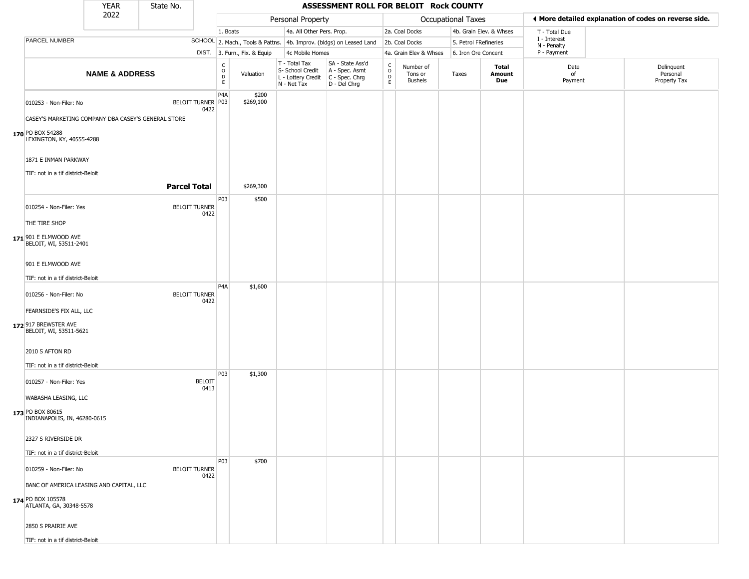|                                                     | <b>YEAR</b>               | State No.           |                              |                                  |                              |                                                                        | ASSESSMENT ROLL FOR BELOIT Rock COUNTY                               |                                  |                                 |                       |                               |                             |                                                       |
|-----------------------------------------------------|---------------------------|---------------------|------------------------------|----------------------------------|------------------------------|------------------------------------------------------------------------|----------------------------------------------------------------------|----------------------------------|---------------------------------|-----------------------|-------------------------------|-----------------------------|-------------------------------------------------------|
|                                                     | 2022                      |                     |                              |                                  |                              | Personal Property                                                      |                                                                      |                                  |                                 | Occupational Taxes    |                               |                             | ♦ More detailed explanation of codes on reverse side. |
|                                                     |                           |                     |                              | 1. Boats                         |                              | 4a. All Other Pers. Prop.                                              |                                                                      |                                  | 2a. Coal Docks                  |                       | 4b. Grain Elev. & Whses       | T - Total Due               |                                                       |
| PARCEL NUMBER                                       |                           |                     |                              |                                  |                              |                                                                        | SCHOOL 2. Mach., Tools & Pattns. 4b. Improv. (bldgs) on Leased Land  |                                  | 2b. Coal Docks                  | 5. Petrol FRefineries |                               | I - Interest<br>N - Penalty |                                                       |
|                                                     |                           |                     |                              |                                  | DIST. 3. Furn., Fix. & Equip | 4c Mobile Homes                                                        |                                                                      |                                  | 4a. Grain Elev & Whses          | 6. Iron Ore Concent   |                               | P - Payment                 |                                                       |
|                                                     | <b>NAME &amp; ADDRESS</b> |                     |                              | C<br>$\circ$<br>$\mathsf D$<br>E | Valuation                    | T - Total Tax<br>S- School Credit<br>L - Lottery Credit<br>N - Net Tax | SA - State Ass'd<br>A - Spec. Asmt<br>C - Spec. Chrg<br>D - Del Chrg | C<br>$\circ$<br>D<br>$\mathsf E$ | Number of<br>Tons or<br>Bushels | Taxes                 | <b>Total</b><br>Amount<br>Due | Date<br>of<br>Payment       | Delinquent<br>Personal<br>Property Tax                |
| 010253 - Non-Filer: No                              |                           |                     | BELOIT TURNER P03<br>0422    | P <sub>4</sub> A                 | \$200<br>\$269,100           |                                                                        |                                                                      |                                  |                                 |                       |                               |                             |                                                       |
| CASEY'S MARKETING COMPANY DBA CASEY'S GENERAL STORE |                           |                     |                              |                                  |                              |                                                                        |                                                                      |                                  |                                 |                       |                               |                             |                                                       |
| 170 PO BOX 54288<br>LEXINGTON, KY, 40555-4288       |                           |                     |                              |                                  |                              |                                                                        |                                                                      |                                  |                                 |                       |                               |                             |                                                       |
| 1871 E INMAN PARKWAY                                |                           |                     |                              |                                  |                              |                                                                        |                                                                      |                                  |                                 |                       |                               |                             |                                                       |
| TIF: not in a tif district-Beloit                   |                           |                     |                              |                                  |                              |                                                                        |                                                                      |                                  |                                 |                       |                               |                             |                                                       |
|                                                     |                           | <b>Parcel Total</b> |                              |                                  | \$269,300                    |                                                                        |                                                                      |                                  |                                 |                       |                               |                             |                                                       |
| 010254 - Non-Filer: Yes                             |                           |                     | <b>BELOIT TURNER</b><br>0422 | P03                              | \$500                        |                                                                        |                                                                      |                                  |                                 |                       |                               |                             |                                                       |
| THE TIRE SHOP                                       |                           |                     |                              |                                  |                              |                                                                        |                                                                      |                                  |                                 |                       |                               |                             |                                                       |
| 171 901 E ELMWOOD AVE<br>BELOIT, WI, 53511-2401     |                           |                     |                              |                                  |                              |                                                                        |                                                                      |                                  |                                 |                       |                               |                             |                                                       |
| 901 E ELMWOOD AVE                                   |                           |                     |                              |                                  |                              |                                                                        |                                                                      |                                  |                                 |                       |                               |                             |                                                       |
| TIF: not in a tif district-Beloit                   |                           |                     |                              | P <sub>4</sub> A                 | \$1,600                      |                                                                        |                                                                      |                                  |                                 |                       |                               |                             |                                                       |
| 010256 - Non-Filer: No                              |                           |                     | <b>BELOIT TURNER</b><br>0422 |                                  |                              |                                                                        |                                                                      |                                  |                                 |                       |                               |                             |                                                       |
| FEARNSIDE'S FIX ALL, LLC                            |                           |                     |                              |                                  |                              |                                                                        |                                                                      |                                  |                                 |                       |                               |                             |                                                       |
| 172 917 BREWSTER AVE<br>BELOIT, WI, 53511-5621      |                           |                     |                              |                                  |                              |                                                                        |                                                                      |                                  |                                 |                       |                               |                             |                                                       |
| 2010 S AFTON RD                                     |                           |                     |                              |                                  |                              |                                                                        |                                                                      |                                  |                                 |                       |                               |                             |                                                       |
| TIF: not in a tif district-Beloit                   |                           |                     |                              |                                  |                              |                                                                        |                                                                      |                                  |                                 |                       |                               |                             |                                                       |
| 010257 - Non-Filer: Yes                             |                           |                     | <b>BELOIT</b><br>0413        | P03                              | \$1,300                      |                                                                        |                                                                      |                                  |                                 |                       |                               |                             |                                                       |
| WABASHA LEASING, LLC                                |                           |                     |                              |                                  |                              |                                                                        |                                                                      |                                  |                                 |                       |                               |                             |                                                       |
| 173 PO BOX 80615<br>INDIANAPOLIS, IN, 46280-0615    |                           |                     |                              |                                  |                              |                                                                        |                                                                      |                                  |                                 |                       |                               |                             |                                                       |
| 2327 S RIVERSIDE DR                                 |                           |                     |                              |                                  |                              |                                                                        |                                                                      |                                  |                                 |                       |                               |                             |                                                       |
| TIF: not in a tif district-Beloit                   |                           |                     |                              |                                  |                              |                                                                        |                                                                      |                                  |                                 |                       |                               |                             |                                                       |
| 010259 - Non-Filer: No                              |                           |                     | <b>BELOIT TURNER</b><br>0422 | P03                              | \$700                        |                                                                        |                                                                      |                                  |                                 |                       |                               |                             |                                                       |
| BANC OF AMERICA LEASING AND CAPITAL, LLC            |                           |                     |                              |                                  |                              |                                                                        |                                                                      |                                  |                                 |                       |                               |                             |                                                       |
| 174 PO BOX 105578<br>ATLANTA, GA, 30348-5578        |                           |                     |                              |                                  |                              |                                                                        |                                                                      |                                  |                                 |                       |                               |                             |                                                       |
| 2850 S PRAIRIE AVE                                  |                           |                     |                              |                                  |                              |                                                                        |                                                                      |                                  |                                 |                       |                               |                             |                                                       |
| TIF: not in a tif district-Beloit                   |                           |                     |                              |                                  |                              |                                                                        |                                                                      |                                  |                                 |                       |                               |                             |                                                       |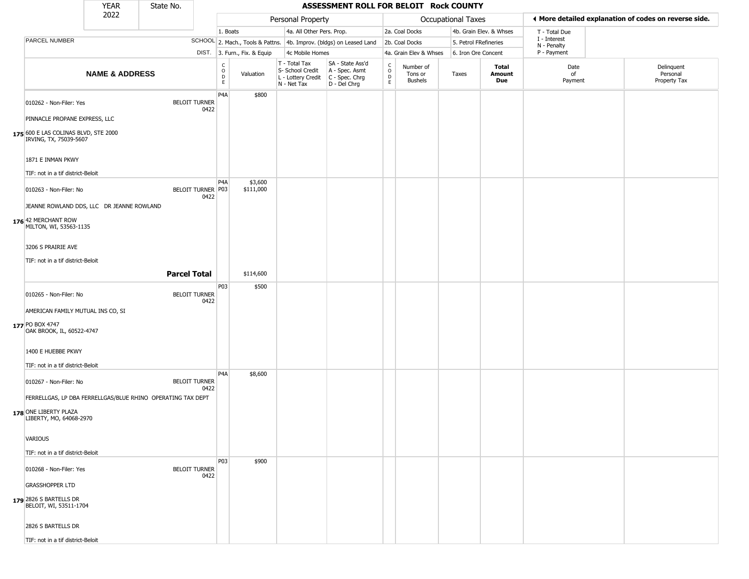|                                                                | <b>YEAR</b>               | State No.           |                              |                                  |                              |                                                                        | ASSESSMENT ROLL FOR BELOIT Rock COUNTY                                   |                                  |                                        |                           |                         |                                                       |                                        |
|----------------------------------------------------------------|---------------------------|---------------------|------------------------------|----------------------------------|------------------------------|------------------------------------------------------------------------|--------------------------------------------------------------------------|----------------------------------|----------------------------------------|---------------------------|-------------------------|-------------------------------------------------------|----------------------------------------|
|                                                                | 2022                      |                     |                              |                                  |                              | Personal Property                                                      |                                                                          |                                  |                                        | <b>Occupational Taxes</b> |                         | ◀ More detailed explanation of codes on reverse side. |                                        |
|                                                                |                           |                     |                              | 1. Boats                         |                              | 4a. All Other Pers. Prop.                                              |                                                                          |                                  | 2a. Coal Docks                         |                           | 4b. Grain Elev. & Whses | T - Total Due                                         |                                        |
| PARCEL NUMBER                                                  |                           |                     |                              |                                  |                              |                                                                        | SCHOOL 2. Mach., Tools & Pattns. 4b. Improv. (bldgs) on Leased Land      |                                  | 2b. Coal Docks                         | 5. Petrol FRefineries     |                         | I - Interest<br>N - Penalty                           |                                        |
|                                                                |                           |                     |                              |                                  | DIST. 3. Furn., Fix. & Equip | 4c Mobile Homes                                                        |                                                                          |                                  | 4a. Grain Elev & Whses                 | 6. Iron Ore Concent       |                         | P - Payment                                           |                                        |
|                                                                | <b>NAME &amp; ADDRESS</b> |                     |                              | C<br>$\circ$<br>D<br>$\mathsf E$ | Valuation                    | T - Total Tax<br>S- School Credit<br>L - Lottery Credit<br>N - Net Tax | SA - State Ass'd<br>A - Spec. Asmt<br>$ C - Spec. Chrg $<br>D - Del Chrg | C<br>$\circ$<br>D<br>$\mathsf E$ | Number of<br>Tons or<br><b>Bushels</b> | Taxes                     | Total<br>Amount<br>Due  | Date<br>of<br>Payment                                 | Delinquent<br>Personal<br>Property Tax |
| 010262 - Non-Filer: Yes                                        |                           |                     | <b>BELOIT TURNER</b><br>0422 | P <sub>4</sub> A                 | \$800                        |                                                                        |                                                                          |                                  |                                        |                           |                         |                                                       |                                        |
| PINNACLE PROPANE EXPRESS, LLC                                  |                           |                     |                              |                                  |                              |                                                                        |                                                                          |                                  |                                        |                           |                         |                                                       |                                        |
| 175 600 E LAS COLINAS BLVD, STE 2000<br>IRVING, TX, 75039-5607 |                           |                     |                              |                                  |                              |                                                                        |                                                                          |                                  |                                        |                           |                         |                                                       |                                        |
| 1871 E INMAN PKWY                                              |                           |                     |                              |                                  |                              |                                                                        |                                                                          |                                  |                                        |                           |                         |                                                       |                                        |
| TIF: not in a tif district-Beloit                              |                           |                     |                              |                                  |                              |                                                                        |                                                                          |                                  |                                        |                           |                         |                                                       |                                        |
| 010263 - Non-Filer: No                                         |                           |                     | BELOIT TURNER P03<br>0422    | P <sub>4</sub> A                 | \$3,600<br>\$111,000         |                                                                        |                                                                          |                                  |                                        |                           |                         |                                                       |                                        |
| JEANNE ROWLAND DDS, LLC DR JEANNE ROWLAND                      |                           |                     |                              |                                  |                              |                                                                        |                                                                          |                                  |                                        |                           |                         |                                                       |                                        |
| 176 42 MERCHANT ROW<br>MILTON, WI, 53563-1135                  |                           |                     |                              |                                  |                              |                                                                        |                                                                          |                                  |                                        |                           |                         |                                                       |                                        |
| 3206 S PRAIRIE AVE                                             |                           |                     |                              |                                  |                              |                                                                        |                                                                          |                                  |                                        |                           |                         |                                                       |                                        |
| TIF: not in a tif district-Beloit                              |                           |                     |                              |                                  |                              |                                                                        |                                                                          |                                  |                                        |                           |                         |                                                       |                                        |
|                                                                |                           | <b>Parcel Total</b> |                              |                                  | \$114,600                    |                                                                        |                                                                          |                                  |                                        |                           |                         |                                                       |                                        |
|                                                                |                           |                     |                              | P03                              | \$500                        |                                                                        |                                                                          |                                  |                                        |                           |                         |                                                       |                                        |
| 010265 - Non-Filer: No                                         |                           |                     | <b>BELOIT TURNER</b><br>0422 |                                  |                              |                                                                        |                                                                          |                                  |                                        |                           |                         |                                                       |                                        |
| AMERICAN FAMILY MUTUAL INS CO, SI                              |                           |                     |                              |                                  |                              |                                                                        |                                                                          |                                  |                                        |                           |                         |                                                       |                                        |
| 177 PO BOX 4747<br>OAK BROOK, IL, 60522-4747                   |                           |                     |                              |                                  |                              |                                                                        |                                                                          |                                  |                                        |                           |                         |                                                       |                                        |
| 1400 E HUEBBE PKWY                                             |                           |                     |                              |                                  |                              |                                                                        |                                                                          |                                  |                                        |                           |                         |                                                       |                                        |
| TIF: not in a tif district-Beloit                              |                           |                     |                              |                                  |                              |                                                                        |                                                                          |                                  |                                        |                           |                         |                                                       |                                        |
| 010267 - Non-Filer: No                                         |                           |                     | <b>BELOIT TURNER</b><br>0422 | P <sub>4</sub> A                 | \$8,600                      |                                                                        |                                                                          |                                  |                                        |                           |                         |                                                       |                                        |
| FERRELLGAS, LP DBA FERRELLGAS/BLUE RHINO OPERATING TAX DEPT    |                           |                     |                              |                                  |                              |                                                                        |                                                                          |                                  |                                        |                           |                         |                                                       |                                        |
| 178 ONE LIBERTY PLAZA<br>LIBERTY, MO, 64068-2970               |                           |                     |                              |                                  |                              |                                                                        |                                                                          |                                  |                                        |                           |                         |                                                       |                                        |
| <b>VARIOUS</b>                                                 |                           |                     |                              |                                  |                              |                                                                        |                                                                          |                                  |                                        |                           |                         |                                                       |                                        |
| TIF: not in a tif district-Beloit                              |                           |                     |                              |                                  |                              |                                                                        |                                                                          |                                  |                                        |                           |                         |                                                       |                                        |
| 010268 - Non-Filer: Yes                                        |                           |                     | <b>BELOIT TURNER</b><br>0422 | <b>P03</b>                       | \$900                        |                                                                        |                                                                          |                                  |                                        |                           |                         |                                                       |                                        |
| <b>GRASSHOPPER LTD</b>                                         |                           |                     |                              |                                  |                              |                                                                        |                                                                          |                                  |                                        |                           |                         |                                                       |                                        |
| 179 2826 S BARTELLS DR<br>BELOIT, WI, 53511-1704               |                           |                     |                              |                                  |                              |                                                                        |                                                                          |                                  |                                        |                           |                         |                                                       |                                        |
| 2826 S BARTELLS DR                                             |                           |                     |                              |                                  |                              |                                                                        |                                                                          |                                  |                                        |                           |                         |                                                       |                                        |
| TIF: not in a tif district-Beloit                              |                           |                     |                              |                                  |                              |                                                                        |                                                                          |                                  |                                        |                           |                         |                                                       |                                        |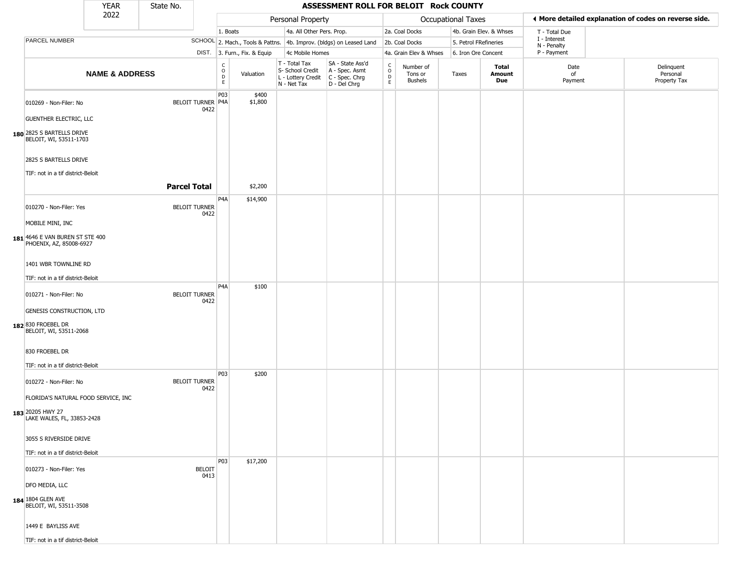|                                                            | <b>YEAR</b>               | State No.           |                                  |                                  |                              |                                                                        | ASSESSMENT ROLL FOR BELOIT Rock COUNTY                               |                                  |                                 |                       |                         |                             |                                                       |
|------------------------------------------------------------|---------------------------|---------------------|----------------------------------|----------------------------------|------------------------------|------------------------------------------------------------------------|----------------------------------------------------------------------|----------------------------------|---------------------------------|-----------------------|-------------------------|-----------------------------|-------------------------------------------------------|
|                                                            | 2022                      |                     |                                  |                                  |                              | Personal Property                                                      |                                                                      |                                  |                                 | Occupational Taxes    |                         |                             | ♦ More detailed explanation of codes on reverse side. |
|                                                            |                           |                     |                                  | 1. Boats                         |                              | 4a. All Other Pers. Prop.                                              |                                                                      |                                  | 2a. Coal Docks                  |                       | 4b. Grain Elev. & Whses | T - Total Due               |                                                       |
| PARCEL NUMBER                                              |                           |                     |                                  |                                  |                              |                                                                        | SCHOOL 2. Mach., Tools & Pattns. 4b. Improv. (bldgs) on Leased Land  |                                  | 2b. Coal Docks                  | 5. Petrol FRefineries |                         | I - Interest<br>N - Penalty |                                                       |
|                                                            |                           |                     |                                  |                                  | DIST. 3. Furn., Fix. & Equip | 4c Mobile Homes                                                        |                                                                      |                                  | 4a. Grain Elev & Whses          | 6. Iron Ore Concent   |                         | P - Payment                 |                                                       |
|                                                            | <b>NAME &amp; ADDRESS</b> |                     |                                  | C<br>$\circ$<br>$\mathsf D$<br>E | Valuation                    | T - Total Tax<br>S- School Credit<br>L - Lottery Credit<br>N - Net Tax | SA - State Ass'd<br>A - Spec. Asmt<br>C - Spec. Chrg<br>D - Del Chrg | C<br>$\circ$<br>D<br>$\mathsf E$ | Number of<br>Tons or<br>Bushels | Taxes                 | Total<br>Amount<br>Due  | Date<br>of<br>Payment       | Delinquent<br>Personal<br>Property Tax                |
| 010269 - Non-Filer: No                                     |                           |                     | <b>BELOIT TURNER P4A</b><br>0422 | P03                              | \$400<br>\$1,800             |                                                                        |                                                                      |                                  |                                 |                       |                         |                             |                                                       |
| <b>GUENTHER ELECTRIC, LLC</b>                              |                           |                     |                                  |                                  |                              |                                                                        |                                                                      |                                  |                                 |                       |                         |                             |                                                       |
| 180 2825 S BARTELLS DRIVE<br>BELOIT, WI, 53511-1703        |                           |                     |                                  |                                  |                              |                                                                        |                                                                      |                                  |                                 |                       |                         |                             |                                                       |
| 2825 S BARTELLS DRIVE                                      |                           |                     |                                  |                                  |                              |                                                                        |                                                                      |                                  |                                 |                       |                         |                             |                                                       |
| TIF: not in a tif district-Beloit                          |                           |                     |                                  |                                  |                              |                                                                        |                                                                      |                                  |                                 |                       |                         |                             |                                                       |
|                                                            |                           | <b>Parcel Total</b> |                                  |                                  | \$2,200                      |                                                                        |                                                                      |                                  |                                 |                       |                         |                             |                                                       |
| 010270 - Non-Filer: Yes                                    |                           |                     | <b>BELOIT TURNER</b><br>0422     | P <sub>4</sub> A                 | \$14,900                     |                                                                        |                                                                      |                                  |                                 |                       |                         |                             |                                                       |
| MOBILE MINI, INC                                           |                           |                     |                                  |                                  |                              |                                                                        |                                                                      |                                  |                                 |                       |                         |                             |                                                       |
| 181 4646 E VAN BUREN ST STE 400<br>PHOENIX, AZ, 85008-6927 |                           |                     |                                  |                                  |                              |                                                                        |                                                                      |                                  |                                 |                       |                         |                             |                                                       |
| 1401 WBR TOWNLINE RD                                       |                           |                     |                                  |                                  |                              |                                                                        |                                                                      |                                  |                                 |                       |                         |                             |                                                       |
| TIF: not in a tif district-Beloit                          |                           |                     |                                  | P <sub>4</sub> A                 | \$100                        |                                                                        |                                                                      |                                  |                                 |                       |                         |                             |                                                       |
| 010271 - Non-Filer: No                                     |                           |                     | <b>BELOIT TURNER</b><br>0422     |                                  |                              |                                                                        |                                                                      |                                  |                                 |                       |                         |                             |                                                       |
| GENESIS CONSTRUCTION, LTD                                  |                           |                     |                                  |                                  |                              |                                                                        |                                                                      |                                  |                                 |                       |                         |                             |                                                       |
| 182 830 FROEBEL DR<br>BELOIT, WI, 53511-2068               |                           |                     |                                  |                                  |                              |                                                                        |                                                                      |                                  |                                 |                       |                         |                             |                                                       |
| 830 FROEBEL DR                                             |                           |                     |                                  |                                  |                              |                                                                        |                                                                      |                                  |                                 |                       |                         |                             |                                                       |
| TIF: not in a tif district-Beloit                          |                           |                     |                                  |                                  |                              |                                                                        |                                                                      |                                  |                                 |                       |                         |                             |                                                       |
| 010272 - Non-Filer: No                                     |                           |                     | <b>BELOIT TURNER</b><br>0422     | P03                              | \$200                        |                                                                        |                                                                      |                                  |                                 |                       |                         |                             |                                                       |
| FLORIDA'S NATURAL FOOD SERVICE, INC                        |                           |                     |                                  |                                  |                              |                                                                        |                                                                      |                                  |                                 |                       |                         |                             |                                                       |
| 183 20205 HWY 27<br>LAKE WALES, FL, 33853-2428             |                           |                     |                                  |                                  |                              |                                                                        |                                                                      |                                  |                                 |                       |                         |                             |                                                       |
| 3055 S RIVERSIDE DRIVE                                     |                           |                     |                                  |                                  |                              |                                                                        |                                                                      |                                  |                                 |                       |                         |                             |                                                       |
| TIF: not in a tif district-Beloit                          |                           |                     |                                  |                                  |                              |                                                                        |                                                                      |                                  |                                 |                       |                         |                             |                                                       |
| 010273 - Non-Filer: Yes                                    |                           |                     | <b>BELOIT</b><br>0413            | P03                              | \$17,200                     |                                                                        |                                                                      |                                  |                                 |                       |                         |                             |                                                       |
| DFO MEDIA, LLC                                             |                           |                     |                                  |                                  |                              |                                                                        |                                                                      |                                  |                                 |                       |                         |                             |                                                       |
| 184 1804 GLEN AVE<br>BELOIT, WI, 53511-3508                |                           |                     |                                  |                                  |                              |                                                                        |                                                                      |                                  |                                 |                       |                         |                             |                                                       |
| 1449 E BAYLISS AVE                                         |                           |                     |                                  |                                  |                              |                                                                        |                                                                      |                                  |                                 |                       |                         |                             |                                                       |
| TIF: not in a tif district-Beloit                          |                           |                     |                                  |                                  |                              |                                                                        |                                                                      |                                  |                                 |                       |                         |                             |                                                       |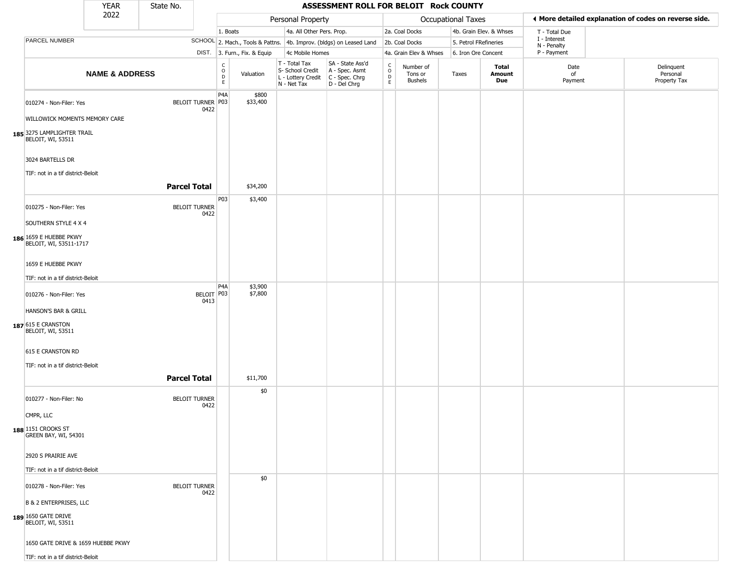|                                                                               | <b>YEAR</b>               | State No.           |                              |                               |                              |                                                                        | ASSESSMENT ROLL FOR BELOIT Rock COUNTY                                 |                                      |                                        |                           |                         |                             |                                                       |
|-------------------------------------------------------------------------------|---------------------------|---------------------|------------------------------|-------------------------------|------------------------------|------------------------------------------------------------------------|------------------------------------------------------------------------|--------------------------------------|----------------------------------------|---------------------------|-------------------------|-----------------------------|-------------------------------------------------------|
|                                                                               | 2022                      |                     |                              |                               |                              | Personal Property                                                      |                                                                        |                                      |                                        | <b>Occupational Taxes</b> |                         |                             | ♦ More detailed explanation of codes on reverse side. |
|                                                                               |                           |                     |                              | 1. Boats                      |                              | 4a. All Other Pers. Prop.                                              |                                                                        |                                      | 2a. Coal Docks                         |                           | 4b. Grain Elev. & Whses | T - Total Due               |                                                       |
| PARCEL NUMBER                                                                 |                           |                     |                              |                               |                              |                                                                        | SCHOOL 2. Mach., Tools & Pattns. 4b. Improv. (bldgs) on Leased Land    |                                      | 2b. Coal Docks                         | 5. Petrol FRefineries     |                         | I - Interest<br>N - Penalty |                                                       |
|                                                                               |                           |                     |                              |                               | DIST. 3. Furn., Fix. & Equip | 4c Mobile Homes                                                        |                                                                        |                                      | 4a. Grain Elev & Whses                 | 6. Iron Ore Concent       |                         | P - Payment                 |                                                       |
|                                                                               | <b>NAME &amp; ADDRESS</b> |                     |                              | $_{\rm o}^{\rm c}$<br>D<br>E. | Valuation                    | T - Total Tax<br>S- School Credit<br>L - Lottery Credit<br>N - Net Tax | SA - State Ass'd<br>A - Spec. Asmt<br>$C - Spec. Chrg$<br>D - Del Chrg | $_{\rm o}^{\rm c}$<br>$\overline{D}$ | Number of<br>Tons or<br><b>Bushels</b> | Taxes                     | Total<br>Amount<br>Due  | Date<br>of<br>Payment       | Delinquent<br>Personal<br>Property Tax                |
| 010274 - Non-Filer: Yes<br>WILLOWICK MOMENTS MEMORY CARE                      |                           |                     | BELOIT TURNER P03<br>0422    | P <sub>4</sub> A              | \$800<br>\$33,400            |                                                                        |                                                                        |                                      |                                        |                           |                         |                             |                                                       |
| 185 3275 LAMPLIGHTER TRAIL<br>BELOIT, WI, 53511                               |                           |                     |                              |                               |                              |                                                                        |                                                                        |                                      |                                        |                           |                         |                             |                                                       |
| 3024 BARTELLS DR<br>TIF: not in a tif district-Beloit                         |                           |                     |                              |                               |                              |                                                                        |                                                                        |                                      |                                        |                           |                         |                             |                                                       |
|                                                                               |                           | <b>Parcel Total</b> |                              |                               | \$34,200                     |                                                                        |                                                                        |                                      |                                        |                           |                         |                             |                                                       |
| 010275 - Non-Filer: Yes<br>SOUTHERN STYLE 4 X 4                               |                           |                     | <b>BELOIT TURNER</b><br>0422 | P03                           | \$3,400                      |                                                                        |                                                                        |                                      |                                        |                           |                         |                             |                                                       |
| 186 1659 E HUEBBE PKWY<br>BELOIT, WI, 53511-1717                              |                           |                     |                              |                               |                              |                                                                        |                                                                        |                                      |                                        |                           |                         |                             |                                                       |
| 1659 E HUEBBE PKWY                                                            |                           |                     |                              |                               |                              |                                                                        |                                                                        |                                      |                                        |                           |                         |                             |                                                       |
|                                                                               |                           |                     |                              |                               |                              |                                                                        |                                                                        |                                      |                                        |                           |                         |                             |                                                       |
| TIF: not in a tif district-Beloit<br>010276 - Non-Filer: Yes                  |                           |                     | BELOIT   P03<br>0413         | P4A                           | \$3,900<br>\$7,800           |                                                                        |                                                                        |                                      |                                        |                           |                         |                             |                                                       |
| HANSON'S BAR & GRILL                                                          |                           |                     |                              |                               |                              |                                                                        |                                                                        |                                      |                                        |                           |                         |                             |                                                       |
| 187 615 E CRANSTON<br>BELOIT, WI, 53511                                       |                           |                     |                              |                               |                              |                                                                        |                                                                        |                                      |                                        |                           |                         |                             |                                                       |
| 615 E CRANSTON RD                                                             |                           |                     |                              |                               |                              |                                                                        |                                                                        |                                      |                                        |                           |                         |                             |                                                       |
| TIF: not in a tif district-Beloit                                             |                           | <b>Parcel Total</b> |                              |                               | \$11,700                     |                                                                        |                                                                        |                                      |                                        |                           |                         |                             |                                                       |
| 010277 - Non-Filer: No                                                        |                           |                     | <b>BELOIT TURNER</b><br>0422 |                               | \$0                          |                                                                        |                                                                        |                                      |                                        |                           |                         |                             |                                                       |
| CMPR, LLC                                                                     |                           |                     |                              |                               |                              |                                                                        |                                                                        |                                      |                                        |                           |                         |                             |                                                       |
| <b>188</b> 1151 CROOKS ST<br>GREEN BAY, WI, 54301                             |                           |                     |                              |                               |                              |                                                                        |                                                                        |                                      |                                        |                           |                         |                             |                                                       |
| 2920 S PRAIRIE AVE                                                            |                           |                     |                              |                               |                              |                                                                        |                                                                        |                                      |                                        |                           |                         |                             |                                                       |
| TIF: not in a tif district-Beloit                                             |                           |                     |                              |                               |                              |                                                                        |                                                                        |                                      |                                        |                           |                         |                             |                                                       |
| 010278 - Non-Filer: Yes                                                       |                           |                     | <b>BELOIT TURNER</b><br>0422 |                               | \$0                          |                                                                        |                                                                        |                                      |                                        |                           |                         |                             |                                                       |
| <b>B &amp; 2 ENTERPRISES, LLC</b><br>189 1650 GATE DRIVE<br>BELOIT, WI, 53511 |                           |                     |                              |                               |                              |                                                                        |                                                                        |                                      |                                        |                           |                         |                             |                                                       |
| 1650 GATE DRIVE & 1659 HUEBBE PKWY<br>TIF: not in a tif district-Beloit       |                           |                     |                              |                               |                              |                                                                        |                                                                        |                                      |                                        |                           |                         |                             |                                                       |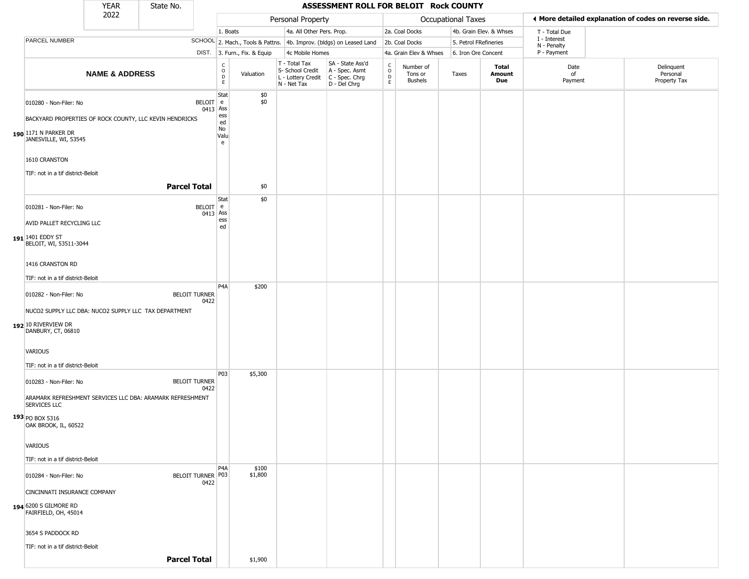|                                                                                                           | <b>YEAR</b>               | State No.            |                        |                                             |                              |                                                                                         | ASSESSMENT ROLL FOR BELOIT Rock COUNTY                              |                         |                                 |                           |                         |                             |                                                       |
|-----------------------------------------------------------------------------------------------------------|---------------------------|----------------------|------------------------|---------------------------------------------|------------------------------|-----------------------------------------------------------------------------------------|---------------------------------------------------------------------|-------------------------|---------------------------------|---------------------------|-------------------------|-----------------------------|-------------------------------------------------------|
|                                                                                                           | 2022                      |                      |                        |                                             |                              | Personal Property                                                                       |                                                                     |                         |                                 | <b>Occupational Taxes</b> |                         |                             | ◀ More detailed explanation of codes on reverse side. |
|                                                                                                           |                           |                      |                        | 1. Boats                                    |                              | 4a. All Other Pers. Prop.                                                               |                                                                     |                         | 2a. Coal Docks                  |                           | 4b. Grain Elev. & Whses | T - Total Due               |                                                       |
| PARCEL NUMBER                                                                                             |                           |                      |                        |                                             |                              |                                                                                         | SCHOOL 2. Mach., Tools & Pattns. 4b. Improv. (bldgs) on Leased Land |                         | 2b. Coal Docks                  | 5. Petrol FRefineries     |                         | I - Interest<br>N - Penalty |                                                       |
|                                                                                                           |                           |                      |                        |                                             | DIST. 3. Furn., Fix. & Equip | 4c Mobile Homes                                                                         |                                                                     |                         | 4a. Grain Elev & Whses          | 6. Iron Ore Concent       |                         | P - Payment                 |                                                       |
|                                                                                                           | <b>NAME &amp; ADDRESS</b> |                      |                        | $_{\rm o}^{\rm c}$<br>$\mathsf D$<br>$\,$ E | Valuation                    | T - Total Tax<br>S- School Credit<br>L - Lottery Credit   C - Spec. Chrg<br>N - Net Tax | SA - State Ass'd<br>A - Spec. Asmt<br>D - Del Chrg                  | C<br>$\circ$<br>D<br>E. | Number of<br>Tons or<br>Bushels | Taxes                     | Total<br>Amount<br>Due  | Date<br>of<br>Payment       | Delinquent<br>Personal<br>Property Tax                |
| 010280 - Non-Filer: No<br>BACKYARD PROPERTIES OF ROCK COUNTY, LLC KEVIN HENDRICKS<br>190 1171 N PARKER DR |                           |                      | BELOIT e<br>0413 Ass   | Stat<br>ess<br>ed<br>No                     | \$0<br>\$0                   |                                                                                         |                                                                     |                         |                                 |                           |                         |                             |                                                       |
| JANESVILLE, WI, 53545                                                                                     |                           |                      |                        | Valu<br>e                                   |                              |                                                                                         |                                                                     |                         |                                 |                           |                         |                             |                                                       |
| 1610 CRANSTON<br>TIF: not in a tif district-Beloit                                                        |                           |                      |                        |                                             |                              |                                                                                         |                                                                     |                         |                                 |                           |                         |                             |                                                       |
|                                                                                                           |                           | <b>Parcel Total</b>  |                        |                                             | \$0                          |                                                                                         |                                                                     |                         |                                 |                           |                         |                             |                                                       |
| 010281 - Non-Filer: No                                                                                    |                           |                      | $BELOIT$ e<br>0413 Ass | Stat                                        | \$0                          |                                                                                         |                                                                     |                         |                                 |                           |                         |                             |                                                       |
| AVID PALLET RECYCLING LLC<br>191 1401 EDDY ST<br>BELOIT, WI, 53511-3044                                   |                           |                      |                        | ess<br>ed                                   |                              |                                                                                         |                                                                     |                         |                                 |                           |                         |                             |                                                       |
| 1416 CRANSTON RD                                                                                          |                           |                      |                        |                                             |                              |                                                                                         |                                                                     |                         |                                 |                           |                         |                             |                                                       |
| TIF: not in a tif district-Beloit                                                                         |                           |                      |                        |                                             |                              |                                                                                         |                                                                     |                         |                                 |                           |                         |                             |                                                       |
| 010282 - Non-Filer: No                                                                                    |                           | <b>BELOIT TURNER</b> | 0422                   | P <sub>4</sub> A                            | \$200                        |                                                                                         |                                                                     |                         |                                 |                           |                         |                             |                                                       |
| NUCO2 SUPPLY LLC DBA: NUCO2 SUPPLY LLC TAX DEPARTMENT<br>192 10 RIVERVIEW DR<br>DANBURY, CT, 06810        |                           |                      |                        |                                             |                              |                                                                                         |                                                                     |                         |                                 |                           |                         |                             |                                                       |
| VARIOUS                                                                                                   |                           |                      |                        |                                             |                              |                                                                                         |                                                                     |                         |                                 |                           |                         |                             |                                                       |
| TIF: not in a tif district-Beloit                                                                         |                           |                      |                        |                                             |                              |                                                                                         |                                                                     |                         |                                 |                           |                         |                             |                                                       |
| 010283 - Non-Filer: No                                                                                    |                           | <b>BELOIT TURNER</b> | 0422                   | P03                                         | \$5,300                      |                                                                                         |                                                                     |                         |                                 |                           |                         |                             |                                                       |
| ARAMARK REFRESHMENT SERVICES LLC DBA: ARAMARK REFRESHMENT<br>SERVICES LLC<br>$193$ PO BOX 5316            |                           |                      |                        |                                             |                              |                                                                                         |                                                                     |                         |                                 |                           |                         |                             |                                                       |
| OAK BROOK, IL, 60522                                                                                      |                           |                      |                        |                                             |                              |                                                                                         |                                                                     |                         |                                 |                           |                         |                             |                                                       |
| VARIOUS                                                                                                   |                           |                      |                        |                                             |                              |                                                                                         |                                                                     |                         |                                 |                           |                         |                             |                                                       |
| TIF: not in a tif district-Beloit                                                                         |                           |                      |                        |                                             |                              |                                                                                         |                                                                     |                         |                                 |                           |                         |                             |                                                       |
| 010284 - Non-Filer: No                                                                                    |                           | BELOIT TURNER P03    | 0422                   | P <sub>4</sub> A                            | \$100<br>\$1,800             |                                                                                         |                                                                     |                         |                                 |                           |                         |                             |                                                       |
| CINCINNATI INSURANCE COMPANY                                                                              |                           |                      |                        |                                             |                              |                                                                                         |                                                                     |                         |                                 |                           |                         |                             |                                                       |
| 194 6200 S GILMORE RD<br>FAIRFIELD, OH, 45014                                                             |                           |                      |                        |                                             |                              |                                                                                         |                                                                     |                         |                                 |                           |                         |                             |                                                       |
| 3654 S PADDOCK RD                                                                                         |                           |                      |                        |                                             |                              |                                                                                         |                                                                     |                         |                                 |                           |                         |                             |                                                       |
| TIF: not in a tif district-Beloit                                                                         |                           |                      |                        |                                             |                              |                                                                                         |                                                                     |                         |                                 |                           |                         |                             |                                                       |
|                                                                                                           |                           | <b>Parcel Total</b>  |                        |                                             | \$1,900                      |                                                                                         |                                                                     |                         |                                 |                           |                         |                             |                                                       |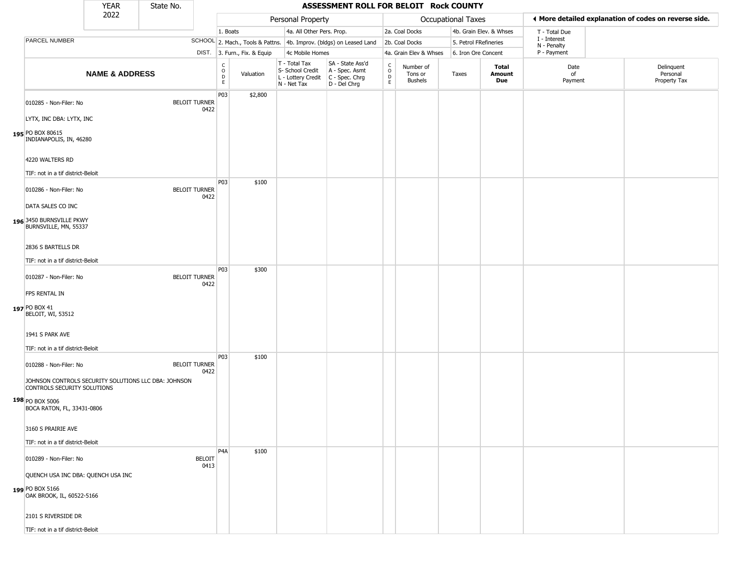|                                                                                     | <b>YEAR</b>               | State No. |                              |                                   |                              |                                                                        | ASSESSMENT ROLL FOR BELOIT Rock COUNTY                               |                                             |                                        |                       |                         |                             |                                                       |
|-------------------------------------------------------------------------------------|---------------------------|-----------|------------------------------|-----------------------------------|------------------------------|------------------------------------------------------------------------|----------------------------------------------------------------------|---------------------------------------------|----------------------------------------|-----------------------|-------------------------|-----------------------------|-------------------------------------------------------|
|                                                                                     | 2022                      |           |                              |                                   |                              | Personal Property                                                      |                                                                      |                                             |                                        | Occupational Taxes    |                         |                             | ◀ More detailed explanation of codes on reverse side. |
|                                                                                     |                           |           |                              | 1. Boats                          |                              | 4a. All Other Pers. Prop.                                              |                                                                      |                                             | 2a. Coal Docks                         |                       | 4b. Grain Elev. & Whses | T - Total Due               |                                                       |
| PARCEL NUMBER                                                                       |                           |           |                              |                                   |                              |                                                                        | SCHOOL 2. Mach., Tools & Pattns. 4b. Improv. (bldgs) on Leased Land  |                                             | 2b. Coal Docks                         | 5. Petrol FRefineries |                         | I - Interest<br>N - Penalty |                                                       |
|                                                                                     |                           |           |                              |                                   | DIST. 3. Furn., Fix. & Equip | 4c Mobile Homes                                                        |                                                                      |                                             | 4a. Grain Elev & Whses                 | 6. Iron Ore Concent   |                         | P - Payment                 |                                                       |
|                                                                                     | <b>NAME &amp; ADDRESS</b> |           |                              | C<br>$\circ$<br>$\mathsf{D}$<br>E | Valuation                    | T - Total Tax<br>S- School Credit<br>L - Lottery Credit<br>N - Net Tax | SA - State Ass'd<br>A - Spec. Asmt<br>C - Spec. Chrg<br>D - Del Chrg | $\frac{c}{0}$<br>$\mathsf D$<br>$\mathsf E$ | Number of<br>Tons or<br><b>Bushels</b> | Taxes                 | Total<br>Amount<br>Due  | Date<br>of<br>Payment       | Delinquent<br>Personal<br>Property Tax                |
| 010285 - Non-Filer: No                                                              |                           |           | <b>BELOIT TURNER</b><br>0422 | P03                               | \$2,800                      |                                                                        |                                                                      |                                             |                                        |                       |                         |                             |                                                       |
| LYTX, INC DBA: LYTX, INC<br>195 PO BOX 80615<br>INDIANAPOLIS, IN, 46280             |                           |           |                              |                                   |                              |                                                                        |                                                                      |                                             |                                        |                       |                         |                             |                                                       |
| 4220 WALTERS RD                                                                     |                           |           |                              |                                   |                              |                                                                        |                                                                      |                                             |                                        |                       |                         |                             |                                                       |
| TIF: not in a tif district-Beloit                                                   |                           |           |                              |                                   |                              |                                                                        |                                                                      |                                             |                                        |                       |                         |                             |                                                       |
| 010286 - Non-Filer: No                                                              |                           |           | <b>BELOIT TURNER</b><br>0422 | P03                               | \$100                        |                                                                        |                                                                      |                                             |                                        |                       |                         |                             |                                                       |
| DATA SALES CO INC                                                                   |                           |           |                              |                                   |                              |                                                                        |                                                                      |                                             |                                        |                       |                         |                             |                                                       |
| 196 3450 BURNSVILLE PKWY<br>BURNSVILLE, MN, 55337                                   |                           |           |                              |                                   |                              |                                                                        |                                                                      |                                             |                                        |                       |                         |                             |                                                       |
| 2836 S BARTELLS DR                                                                  |                           |           |                              |                                   |                              |                                                                        |                                                                      |                                             |                                        |                       |                         |                             |                                                       |
| TIF: not in a tif district-Beloit                                                   |                           |           |                              |                                   |                              |                                                                        |                                                                      |                                             |                                        |                       |                         |                             |                                                       |
| 010287 - Non-Filer: No                                                              |                           |           | <b>BELOIT TURNER</b><br>0422 | P <sub>0</sub> 3                  | \$300                        |                                                                        |                                                                      |                                             |                                        |                       |                         |                             |                                                       |
| FPS RENTAL IN                                                                       |                           |           |                              |                                   |                              |                                                                        |                                                                      |                                             |                                        |                       |                         |                             |                                                       |
| 197 PO BOX 41<br>BELOIT, WI, 53512                                                  |                           |           |                              |                                   |                              |                                                                        |                                                                      |                                             |                                        |                       |                         |                             |                                                       |
| 1941 S PARK AVE                                                                     |                           |           |                              |                                   |                              |                                                                        |                                                                      |                                             |                                        |                       |                         |                             |                                                       |
| TIF: not in a tif district-Beloit                                                   |                           |           |                              | P <sub>0</sub> 3                  | \$100                        |                                                                        |                                                                      |                                             |                                        |                       |                         |                             |                                                       |
| 010288 - Non-Filer: No                                                              |                           |           | <b>BELOIT TURNER</b><br>0422 |                                   |                              |                                                                        |                                                                      |                                             |                                        |                       |                         |                             |                                                       |
| JOHNSON CONTROLS SECURITY SOLUTIONS LLC DBA: JOHNSON<br>CONTROLS SECURITY SOLUTIONS |                           |           |                              |                                   |                              |                                                                        |                                                                      |                                             |                                        |                       |                         |                             |                                                       |
| 198 PO BOX 5006<br>BOCA RATON, FL, 33431-0806                                       |                           |           |                              |                                   |                              |                                                                        |                                                                      |                                             |                                        |                       |                         |                             |                                                       |
| 3160 S PRAIRIE AVE                                                                  |                           |           |                              |                                   |                              |                                                                        |                                                                      |                                             |                                        |                       |                         |                             |                                                       |
| TIF: not in a tif district-Beloit                                                   |                           |           |                              |                                   |                              |                                                                        |                                                                      |                                             |                                        |                       |                         |                             |                                                       |
| 010289 - Non-Filer: No                                                              |                           |           | <b>BELOIT</b><br>0413        | P <sub>4</sub> A                  | \$100                        |                                                                        |                                                                      |                                             |                                        |                       |                         |                             |                                                       |
| QUENCH USA INC DBA: QUENCH USA INC                                                  |                           |           |                              |                                   |                              |                                                                        |                                                                      |                                             |                                        |                       |                         |                             |                                                       |
| 199 PO BOX 5166<br>OAK BROOK, IL, 60522-5166                                        |                           |           |                              |                                   |                              |                                                                        |                                                                      |                                             |                                        |                       |                         |                             |                                                       |
| 2101 S RIVERSIDE DR                                                                 |                           |           |                              |                                   |                              |                                                                        |                                                                      |                                             |                                        |                       |                         |                             |                                                       |
| TIF: not in a tif district-Beloit                                                   |                           |           |                              |                                   |                              |                                                                        |                                                                      |                                             |                                        |                       |                         |                             |                                                       |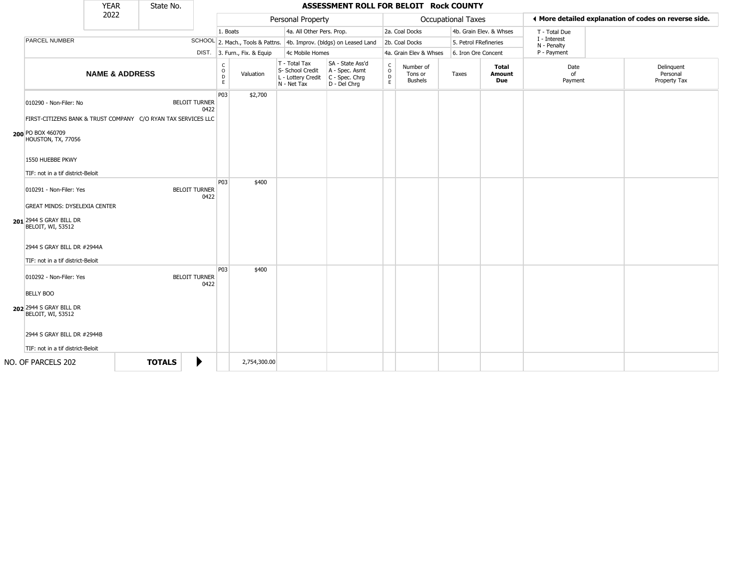|                                                                                         | <b>YEAR</b>               |               | State No. |                              |                        |                              |                                                                        | ASSESSMENT ROLL FOR BELOIT Rock COUNTY                               |                        |                                        |                           |                         |                             |                                                       |
|-----------------------------------------------------------------------------------------|---------------------------|---------------|-----------|------------------------------|------------------------|------------------------------|------------------------------------------------------------------------|----------------------------------------------------------------------|------------------------|----------------------------------------|---------------------------|-------------------------|-----------------------------|-------------------------------------------------------|
|                                                                                         | 2022                      |               |           |                              |                        |                              | Personal Property                                                      |                                                                      |                        |                                        | <b>Occupational Taxes</b> |                         |                             | ♦ More detailed explanation of codes on reverse side. |
|                                                                                         |                           |               |           |                              | 1. Boats               |                              | 4a. All Other Pers. Prop.                                              |                                                                      |                        | 2a. Coal Docks                         |                           | 4b. Grain Elev. & Whses | T - Total Due               |                                                       |
| PARCEL NUMBER                                                                           |                           |               |           |                              |                        |                              |                                                                        | SCHOOL 2. Mach., Tools & Pattns. 4b. Improv. (bldgs) on Leased Land  |                        | 2b. Coal Docks                         | 5. Petrol FRefineries     |                         | I - Interest<br>N - Penalty |                                                       |
|                                                                                         |                           |               |           |                              |                        | DIST. 3. Furn., Fix. & Equip | 4c Mobile Homes                                                        |                                                                      |                        | 4a. Grain Elev & Whses                 | 6. Iron Ore Concent       |                         | P - Payment                 |                                                       |
|                                                                                         | <b>NAME &amp; ADDRESS</b> |               |           |                              | C<br>$\circ$<br>D<br>E | Valuation                    | T - Total Tax<br>S- School Credit<br>L - Lottery Credit<br>N - Net Tax | SA - State Ass'd<br>A - Spec. Asmt<br>C - Spec. Chrg<br>D - Del Chrg | C<br>$\circ$<br>D<br>E | Number of<br>Tons or<br><b>Bushels</b> | Taxes                     | Total<br>Amount<br>Due  | Date<br>of<br>Payment       | Delinquent<br>Personal<br>Property Tax                |
| 010290 - Non-Filer: No<br>FIRST-CITIZENS BANK & TRUST COMPANY C/O RYAN TAX SERVICES LLC |                           |               |           | <b>BELOIT TURNER</b><br>0422 | P03                    | \$2,700                      |                                                                        |                                                                      |                        |                                        |                           |                         |                             |                                                       |
| 200 PO BOX 460709<br>HOUSTON, TX, 77056                                                 |                           |               |           |                              |                        |                              |                                                                        |                                                                      |                        |                                        |                           |                         |                             |                                                       |
| 1550 HUEBBE PKWY                                                                        |                           |               |           |                              |                        |                              |                                                                        |                                                                      |                        |                                        |                           |                         |                             |                                                       |
| TIF: not in a tif district-Beloit                                                       |                           |               |           |                              |                        |                              |                                                                        |                                                                      |                        |                                        |                           |                         |                             |                                                       |
| 010291 - Non-Filer: Yes<br><b>GREAT MINDS: DYSELEXIA CENTER</b>                         |                           |               |           | <b>BELOIT TURNER</b><br>0422 | P03                    | \$400                        |                                                                        |                                                                      |                        |                                        |                           |                         |                             |                                                       |
| 201 2944 S GRAY BILL DR<br><b>BELOIT, WI, 53512</b>                                     |                           |               |           |                              |                        |                              |                                                                        |                                                                      |                        |                                        |                           |                         |                             |                                                       |
| 2944 S GRAY BILL DR #2944A<br>TIF: not in a tif district-Beloit                         |                           |               |           |                              |                        |                              |                                                                        |                                                                      |                        |                                        |                           |                         |                             |                                                       |
| 010292 - Non-Filer: Yes<br><b>BELLY BOO</b>                                             |                           |               |           | <b>BELOIT TURNER</b><br>0422 | P03                    | \$400                        |                                                                        |                                                                      |                        |                                        |                           |                         |                             |                                                       |
| 202 2944 S GRAY BILL DR<br><b>BELOIT, WI, 53512</b>                                     |                           |               |           |                              |                        |                              |                                                                        |                                                                      |                        |                                        |                           |                         |                             |                                                       |
| 2944 S GRAY BILL DR #2944B                                                              |                           |               |           |                              |                        |                              |                                                                        |                                                                      |                        |                                        |                           |                         |                             |                                                       |
| TIF: not in a tif district-Beloit                                                       |                           |               |           |                              |                        |                              |                                                                        |                                                                      |                        |                                        |                           |                         |                             |                                                       |
| NO. OF PARCELS 202                                                                      |                           | <b>TOTALS</b> |           | ▶                            |                        | 2,754,300.00                 |                                                                        |                                                                      |                        |                                        |                           |                         |                             |                                                       |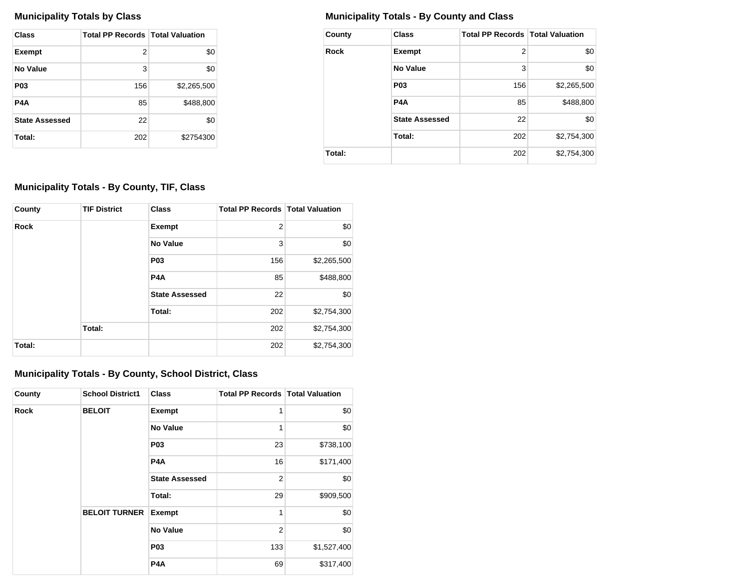| Class                 | <b>Total PP Records   Total Valuation</b> |             |
|-----------------------|-------------------------------------------|-------------|
| <b>Exempt</b>         | 2                                         | \$0         |
| No Value              | 3                                         | \$0         |
| P <sub>0</sub> 3      | 156                                       | \$2,265,500 |
| P4A                   | 85                                        | \$488,800   |
| <b>State Assessed</b> | 22                                        | \$0         |
| Total:                | 202                                       | \$2754300   |

# **Municipality Totals by Class Municipality Totals - By County and Class**

| County | <b>Class</b>          | <b>Total PP Records Total Valuation</b> |             |
|--------|-----------------------|-----------------------------------------|-------------|
| Rock   | <b>Exempt</b>         | 2                                       | \$0         |
|        | <b>No Value</b>       | 3                                       | \$0         |
|        | P <sub>0</sub> 3      | 156                                     | \$2,265,500 |
|        | P <sub>4</sub> A      | 85                                      | \$488,800   |
|        | <b>State Assessed</b> | 22                                      | \$0         |
|        | Total:                | 202                                     | \$2,754,300 |
| Total: |                       | 202                                     | \$2,754,300 |

# **Municipality Totals - By County, TIF, Class**

| County      | <b>TIF District</b> | <b>Class</b>          | <b>Total PP Records   Total Valuation</b> |             |
|-------------|---------------------|-----------------------|-------------------------------------------|-------------|
| <b>Rock</b> |                     | <b>Exempt</b>         | $\overline{2}$                            | \$0         |
|             |                     | <b>No Value</b>       | 3                                         | \$0         |
|             |                     | <b>P03</b>            | 156                                       | \$2,265,500 |
|             |                     | <b>P4A</b>            | 85                                        | \$488,800   |
|             |                     | <b>State Assessed</b> | 22                                        | \$0         |
|             |                     | Total:                | 202                                       | \$2,754,300 |
|             | Total:              |                       | 202                                       | \$2,754,300 |
| Total:      |                     |                       | 202                                       | \$2,754,300 |

# **Municipality Totals - By County, School District, Class**

| County      | <b>School District1</b> | <b>Class</b>          | <b>Total PP Records   Total Valuation</b> |             |
|-------------|-------------------------|-----------------------|-------------------------------------------|-------------|
| <b>Rock</b> | <b>BELOIT</b>           | <b>Exempt</b>         | 1                                         | \$0         |
|             |                         | <b>No Value</b>       | 1                                         | \$0         |
|             | <b>P03</b>              |                       | 23                                        | \$738,100   |
|             |                         | P <sub>4</sub> A      | 16                                        | \$171,400   |
|             |                         | <b>State Assessed</b> | 2                                         | \$0         |
|             |                         | Total:                | 29                                        | \$909,500   |
|             | <b>BELOIT TURNER</b>    | <b>Exempt</b>         | 1                                         | \$0         |
|             |                         | <b>No Value</b>       | $\overline{2}$                            | \$0         |
|             |                         | <b>P03</b>            | 133                                       | \$1,527,400 |
|             |                         | P4A                   | 69                                        | \$317,400   |